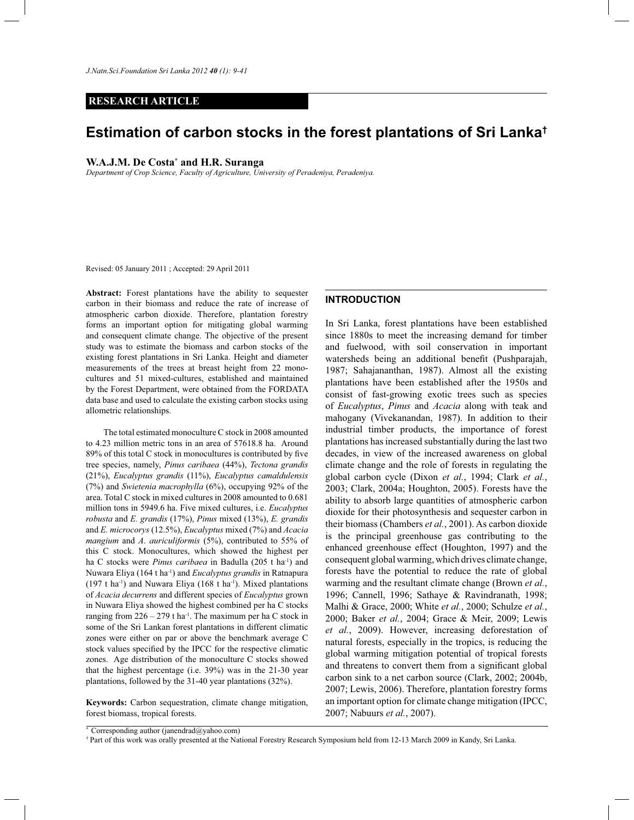*J.Natn.Sci.Foundation Sri Lanka 2012 40 (1): 9-41*

## **RESEARCH ARTICLE**

# **Estimation of carbon stocks in the forest plantations of Sri Lanka†**

## **W.A.J.M. De Costa\* and H.R. Suranga**

*Department of Crop Science, Faculty of Agriculture, University of Peradeniya, Peradeniya.*

Revised: 05 January 2011 ; Accepted: 29 April 2011

**Abstract:** Forest plantations have the ability to sequester carbon in their biomass and reduce the rate of increase of atmospheric carbon dioxide. Therefore, plantation forestry forms an important option for mitigating global warming and consequent climate change. The objective of the present study was to estimate the biomass and carbon stocks of the existing forest plantations in Sri Lanka. Height and diameter measurements of the trees at breast height from 22 monocultures and 51 mixed-cultures, established and maintained by the Forest Department, were obtained from the FORDATA data base and used to calculate the existing carbon stocks using allometric relationships.

 The total estimated monoculture C stock in 2008 amounted to 4.23 million metric tons in an area of 57618.8 ha. Around 89% of this total C stock in monocultures is contributed by five tree species, namely, *Pinus caribaea* (44%), *Tectona grandis*  (21%), *Eucalyptus grandis* (11%), *Eucalyptus camaldulensis*  (7%) and *Swietenia macrophylla* (6%), occupying 92% of the area. Total C stock in mixed cultures in 2008 amounted to 0.681 million tons in 5949.6 ha. Five mixed cultures, i.e. *Eucalyptus robusta* and *E. grandis* (17%), *Pinus* mixed (13%), *E. grandis*  and *E. microcorys* (12.5%), *Eucalyptus* mixed (7%) and *Acacia mangium* and *A*. *auriculiformis* (5%), contributed to 55% of this C stock. Monocultures, which showed the highest per ha C stocks were *Pinus caribaea* in Badulla (205 t ha<sup>-1</sup>) and Nuwara Eliya (164 t ha-1) and *Eucalyptus grandis* in Ratnapura (197 t ha<sup>-1</sup>) and Nuwara Eliya (168 t ha<sup>-1</sup>). Mixed plantations of *Acacia decurrens* and different species of *Eucalyptus* grown in Nuwara Eliya showed the highest combined per ha C stocks ranging from  $226 - 279$  t ha<sup>-1</sup>. The maximum per ha C stock in some of the Sri Lankan forest plantations in different climatic zones were either on par or above the benchmark average C stock values specified by the IPCC for the respective climatic zones. Age distribution of the monoculture C stocks showed that the highest percentage (i.e. 39%) was in the 21-30 year plantations, followed by the 31-40 year plantations (32%).

**Keywords:** Carbon sequestration, climate change mitigation, forest biomass, tropical forests.

#### **INTRODUCTION**

In Sri Lanka, forest plantations have been established since 1880s to meet the increasing demand for timber and fuelwood, with soil conservation in important watersheds being an additional benefit (Pushparajah, 1987; Sahajananthan, 1987). Almost all the existing plantations have been established after the 1950s and consist of fast-growing exotic trees such as species of *Eucalyptus*, *Pinus* and *Acacia* along with teak and mahogany (Vivekanandan, 1987). In addition to their industrial timber products, the importance of forest plantations has increased substantially during the last two decades, in view of the increased awareness on global climate change and the role of forests in regulating the global carbon cycle (Dixon *et al.*, 1994; Clark *et al.*, 2003; Clark, 2004a; Houghton, 2005). Forests have the ability to absorb large quantities of atmospheric carbon dioxide for their photosynthesis and sequester carbon in their biomass (Chambers *et al.*, 2001). As carbon dioxide is the principal greenhouse gas contributing to the enhanced greenhouse effect (Houghton, 1997) and the consequent global warming, which drives climate change, forests have the potential to reduce the rate of global warming and the resultant climate change (Brown *et al.*, 1996; Cannell, 1996; Sathaye & Ravindranath, 1998; Malhi & Grace, 2000; White *et al.*, 2000; Schulze *et al.*, 2000; Baker *et al.*, 2004; Grace & Meir, 2009; Lewis *et al.*, 2009). However, increasing deforestation of natural forests, especially in the tropics, is reducing the global warming mitigation potential of tropical forests and threatens to convert them from a significant global carbon sink to a net carbon source (Clark, 2002; 2004b, 2007; Lewis, 2006). Therefore, plantation forestry forms an important option for climate change mitigation (IPCC, 2007; Nabuurs *et al.*, 2007).

<sup>\*</sup> Corresponding author (janendrad@yahoo.com)

<sup>†</sup> Part of this work was orally presented at the National Forestry Research Symposium held from 12-13 March 2009 in Kandy, Sri Lanka.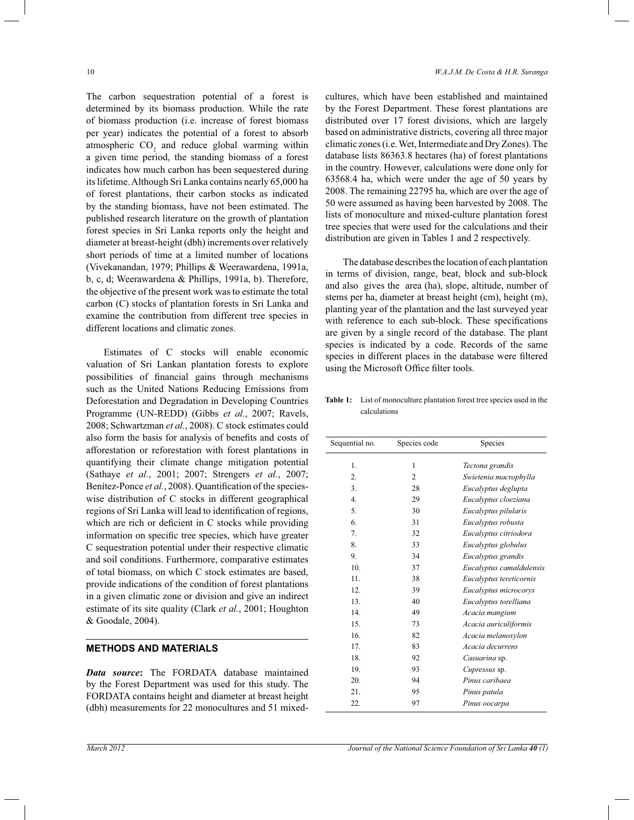The carbon sequestration potential of a forest is determined by its biomass production. While the rate of biomass production (i.e. increase of forest biomass per year) indicates the potential of a forest to absorb atmospheric  $CO<sub>2</sub>$  and reduce global warming within a given time period, the standing biomass of a forest indicates how much carbon has been sequestered during its lifetime. Although Sri Lanka contains nearly 65,000 ha of forest plantations, their carbon stocks as indicated by the standing biomass, have not been estimated. The published research literature on the growth of plantation forest species in Sri Lanka reports only the height and diameter at breast-height (dbh) increments over relatively short periods of time at a limited number of locations (Vivekanandan, 1979; Phillips & Weerawardena, 1991a, b, c, d; Weerawardena & Phillips, 1991a, b). Therefore, the objective of the present work was to estimate the total carbon (C) stocks of plantation forests in Sri Lanka and examine the contribution from different tree species in different locations and climatic zones.

 Estimates of C stocks will enable economic valuation of Sri Lankan plantation forests to explore possibilities of financial gains through mechanisms such as the United Nations Reducing Emissions from Deforestation and Degradation in Developing Countries Programme (UN-REDD) (Gibbs *et al.*, 2007; Ravels, 2008; Schwartzman *et al.*, 2008). C stock estimates could also form the basis for analysis of benefits and costs of afforestation or reforestation with forest plantations in quantifying their climate change mitigation potential (Sathaye *et al.*, 2001; 2007; Strengers *et al.*, 2007; Benítez-Ponce *et al.*, 2008). Quantification of the specieswise distribution of C stocks in different geographical regions of Sri Lanka will lead to identification of regions, which are rich or deficient in C stocks while providing information on specific tree species, which have greater C sequestration potential under their respective climatic and soil conditions. Furthermore, comparative estimates of total biomass, on which C stock estimates are based, provide indications of the condition of forest plantations in a given climatic zone or division and give an indirect estimate of its site quality (Clark *et al.*, 2001; Houghton & Goodale, 2004).

# **METHODS AND MATERIALS**

*Data source***:** The FORDATA database maintained by the Forest Department was used for this study. The FORDATA contains height and diameter at breast height (dbh) measurements for 22 monocultures and 51 mixedcultures, which have been established and maintained by the Forest Department. These forest plantations are distributed over 17 forest divisions, which are largely based on administrative districts, covering all three major climatic zones (i.e. Wet, Intermediate and Dry Zones). The database lists 86363.8 hectares (ha) of forest plantations in the country. However, calculations were done only for 63568.4 ha, which were under the age of 50 years by 2008. The remaining 22795 ha, which are over the age of 50 were assumed as having been harvested by 2008. The lists of monoculture and mixed-culture plantation forest tree species that were used for the calculations and their distribution are given in Tables 1 and 2 respectively.

 The database describes the location of each plantation in terms of division, range, beat, block and sub-block and also gives the area (ha), slope, altitude, number of stems per ha, diameter at breast height (cm), height (m), planting year of the plantation and the last surveyed year with reference to each sub-block. These specifications are given by a single record of the database. The plant species is indicated by a code. Records of the same species in different places in the database were filtered using the Microsoft Office filter tools.

**Table 1:** List of monoculture plantation forest tree species used in the calculations

| Sequential no. | Species code   | Species                  |
|----------------|----------------|--------------------------|
| 1.             | 1              | Tectona grandis          |
| 2.             | $\overline{c}$ | Swietenia macrophylla    |
| 3.             | 28             | Eucalyptus deglupta      |
| 4.             | 29             | Eucalyptus cloeziana     |
| 5.             | 30             | Eucalyptus pilularis     |
| 6.             | 31             | Eucalyptus robusta       |
| 7.             | 32             | Eucalyptus citriodora    |
| 8.             | 33             | Eucalyptus globulus      |
| 9.             | 34             | Eucalyptus grandis       |
| 10.            | 37             | Eucalyptus camaldulensis |
| 11.            | 38             | Eucalyptus tereticornis  |
| 12.            | 39             | Eucalyptus microcorys    |
| 13.            | 40             | Eucalyptus torelliana    |
| 14.            | 49             | Acacia mangium           |
| 15.            | 73             | Acacia auriculiformis    |
| 16.            | 82             | Acacia melanoxylon       |
| 17.            | 83             | Acacia decurrens         |
| 18.            | 92             | Casuarina sp.            |
| 19.            | 93             | Cupressus sp.            |
| 20.            | 94             | Pinus caribaea           |
| 21.            | 95             | Pinus patula             |
| 22.            | 97             | Pinus oocarpa            |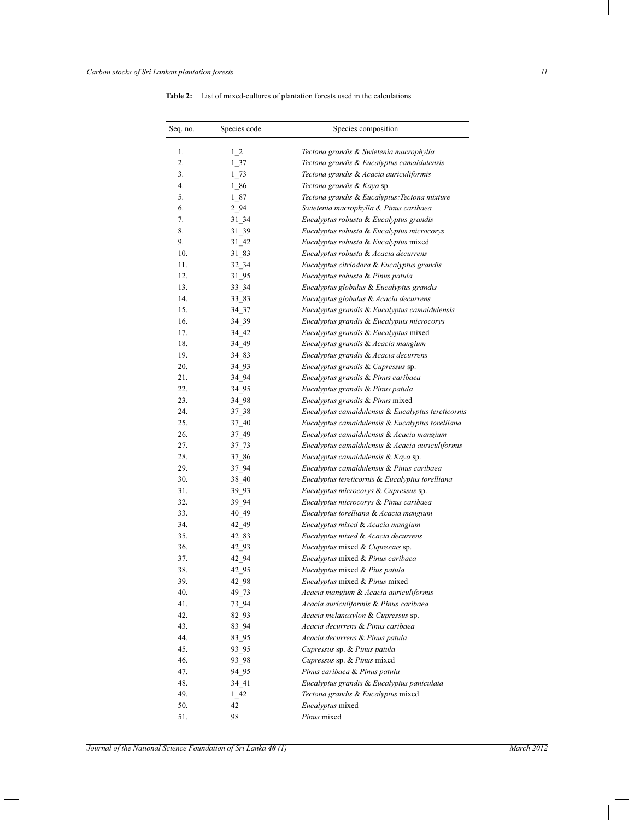| Seq. no. | Species code | Species composition                                |
|----------|--------------|----------------------------------------------------|
| 1.       | $1\,2$       | Tectona grandis & Swietenia macrophylla            |
| 2.       | 1 37         | Tectona grandis & Eucalyptus camaldulensis         |
| 3.       | 1 73         | Tectona grandis & Acacia auriculiformis            |
| 4.       | 1 86         | Tectona grandis & Kaya sp.                         |
| 5.       | 1 87         | Tectona grandis & Eucalyptus: Tectona mixture      |
| 6.       | 2 94         | Swietenia macrophylla & Pinus caribaea             |
| 7.       | $31 - 34$    | Eucalyptus robusta & Eucalyptus grandis            |
| 8.       | 31 39        | Eucalyptus robusta & Eucalyptus microcorys         |
| 9.       | 31 42        | Eucalyptus robusta & Eucalyptus mixed              |
| 10.      | 31 83        | Eucalyptus robusta & Acacia decurrens              |
| 11.      | 32 34        | Eucalyptus citriodora & Eucalyptus grandis         |
| 12.      | 31 95        | Eucalyptus robusta & Pinus patula                  |
| 13.      | 33 34        | Eucalyptus globulus & Eucalyptus grandis           |
| 14.      | 33 83        | Eucalyptus globulus & Acacia decurrens             |
| 15.      | 34 37        | Eucalyptus grandis & Eucalyptus camaldulensis      |
| 16.      | 34 39        | Eucalyptus grandis & Eucalyputs microcorys         |
| 17.      | 34 42        | Eucalyptus grandis & Eucalyptus mixed              |
| 18.      | 34 49        | Eucalyptus grandis & Acacia mangium                |
| 19.      | 34 83        | Eucalyptus grandis & Acacia decurrens              |
| 20.      | 34 93        | Eucalyptus grandis & Cupressus sp.                 |
| 21.      | 34 94        | Eucalyptus grandis & Pinus caribaea                |
| 22.      | 34 95        | Eucalyptus grandis & Pinus patula                  |
| 23.      | 34 98        | Eucalyptus grandis & Pinus mixed                   |
| 24.      | 37 38        | Eucalyptus camaldulensis & Eucalyptus tereticornis |
| 25.      | 37 40        | Eucalyptus camaldulensis & Eucalyptus torelliana   |
| 26.      | 37 49        | Eucalyptus camaldulensis & Acacia mangium          |
| 27.      | $37 - 73$    | Eucalyptus camaldulensis & Acacia auriculiformis   |
| 28.      | 37 86        | Eucalyptus camaldulensis & Kaya sp.                |
| 29.      | 37 94        | Eucalyptus camaldulensis & Pinus caribaea          |
| 30.      | 38 40        | Eucalyptus tereticornis & Eucalyptus torelliana    |
| 31.      | 39 93        | Eucalyptus microcorys & Cupressus sp.              |
| 32.      | 39 94        | Eucalyptus microcorys & Pinus caribaea             |
| 33.      | 40 49        | Eucalyptus torelliana & Acacia mangium             |
| 34.      | 42 49        | Eucalyptus mixed & Acacia mangium                  |
| 35.      | 42 83        | Eucalyptus mixed & Acacia decurrens                |
| 36.      | 42 93        | Eucalyptus mixed & Cupressus sp.                   |
| 37.      | 42 94        | Eucalyptus mixed & Pinus caribaea                  |
| 38.      | 42 95        | Eucalyptus mixed & Pius patula                     |
| 39.      | 42_98        | Eucalyptus mixed & Pinus mixed                     |
| 40.      | 49_73        | Acacia mangium & Acacia auriculiformis             |
| 41.      | 73 94        | Acacia auriculiformis & Pinus caribaea             |
| 42.      | 82 93        | Acacia melanoxylon & Cupressus sp.                 |
| 43.      | 83 94        | Acacia decurrens & Pinus caribaea                  |
| 44.      | 83 95        | Acacia decurrens & Pinus patula                    |
| 45.      | 93 95        | Cupressus sp. & Pinus patula                       |
| 46.      | 93 98        | Cupressus sp. & Pinus mixed                        |
| 47.      | 94 95        | Pinus caribaea & Pinus patula                      |
| 48.      | 34 41        | Eucalyptus grandis & Eucalyptus paniculata         |
| 49.      | 1 42         | Tectona grandis & Eucalyptus mixed                 |
| 50.      | 42           | <i>Eucalyptus</i> mixed                            |
| 51.      | 98           | Pinus mixed                                        |

Ĭ.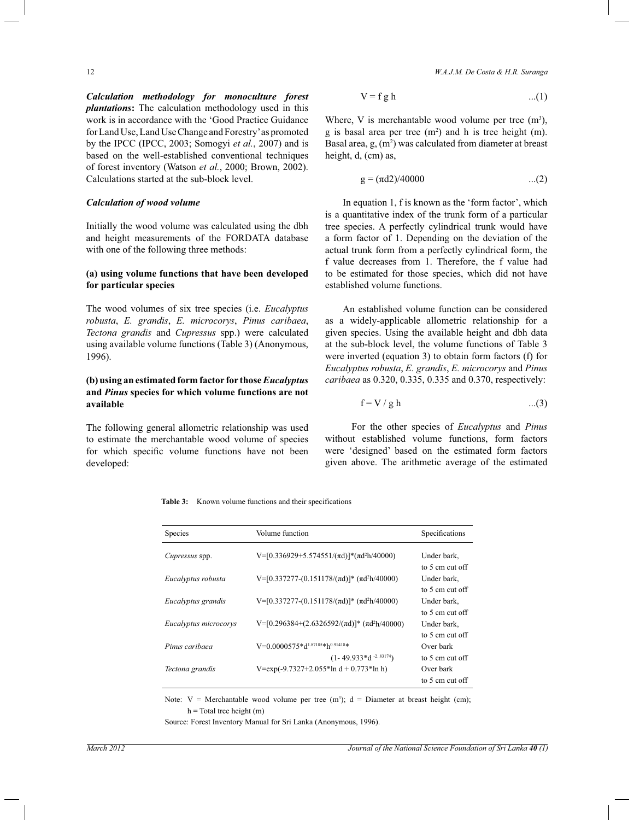*Calculation methodology for monoculture forest plantations***:** The calculation methodology used in this work is in accordance with the 'Good Practice Guidance for Land Use, Land Use Change and Forestry' as promoted by the IPCC (IPCC, 2003; Somogyi *et al.*, 2007) and is based on the well-established conventional techniques of forest inventory (Watson *et al.*, 2000; Brown, 2002). Calculations started at the sub-block level.

#### *Calculation of wood volume*

Initially the wood volume was calculated using the dbh and height measurements of the FORDATA database with one of the following three methods:

# **(a) using volume functions that have been developed for particular species**

The wood volumes of six tree species (i.e. *Eucalyptus robusta*, *E. grandis*, *E. microcorys*, *Pinus caribaea*, *Tectona grandis* and *Cupressus* spp.) were calculated using available volume functions (Table 3) (Anonymous, 1996).

# **(b) using an estimated form factor for those** *Eucalyptus* **and** *Pinus* **species for which volume functions are not available**

The following general allometric relationship was used to estimate the merchantable wood volume of species for which specific volume functions have not been developed:

12 *W.A.J.M. De Costa & H.R. Suranga*

$$
V = f g h \qquad ...(1)
$$

Where, V is merchantable wood volume per tree  $(m<sup>3</sup>)$ , g is basal area per tree  $(m<sup>2</sup>)$  and h is tree height  $(m)$ . Basal area,  $g$ ,  $(m<sup>2</sup>)$  was calculated from diameter at breast height, d, (cm) as,

$$
g = (\pi d2)/40000 \qquad \qquad ...(2)
$$

 In equation 1, f is known as the 'form factor', which is a quantitative index of the trunk form of a particular tree species. A perfectly cylindrical trunk would have a form factor of 1. Depending on the deviation of the actual trunk form from a perfectly cylindrical form, the f value decreases from 1. Therefore, the f value had to be estimated for those species, which did not have established volume functions.

 An established volume function can be considered as a widely-applicable allometric relationship for a given species. Using the available height and dbh data at the sub-block level, the volume functions of Table 3 were inverted (equation 3) to obtain form factors (f) for *Eucalyptus robusta*, *E. grandis*, *E. microcorys* and *Pinus caribaea* as 0.320, 0.335, 0.335 and 0.370, respectively:

$$
f = V / g h \qquad ...(3)
$$

For the other species of *Eucalyptus* and *Pinus* without established volume functions, form factors were 'designed' based on the estimated form factors given above. The arithmetic average of the estimated

**Table 3:** Known volume functions and their specifications

| <b>Species</b>        | Volume function                                                     | Specifications  |
|-----------------------|---------------------------------------------------------------------|-----------------|
| <i>Cupressus</i> spp. | V=[0.336929+5.574551/( $\pi$ d)]*( $\pi$ d <sup>2</sup> h/40000)    | Under bark.     |
|                       |                                                                     | to 5 cm cut off |
| Eucalyptus robusta    | V=[0.337277-(0.151178/( $\pi$ d)]* ( $\pi$ d <sup>2</sup> h/40000)  | Under bark,     |
|                       |                                                                     | to 5 cm cut off |
| Eucalyptus grandis    | V=[0.337277-(0.151178/( $\pi$ d)]* ( $\pi$ d <sup>2</sup> h/40000)  | Under bark,     |
|                       |                                                                     | to 5 cm cut off |
| Eucalyptus microcorys | V=[0.296384+(2.6326592/( $\pi$ d)]* ( $\pi$ d <sup>2</sup> h/40000) | Under bark.     |
|                       |                                                                     | to 5 cm cut off |
| Pinus caribaea        | V=0.0000575*d1.87185*h0.91418*                                      | Over bark       |
|                       | $(1 - 49.933 * d - 2.83174)$                                        | to 5 cm cut off |
| Tectona grandis       | V= $\exp(-9.7327 + 2.055 \cdot \ln d + 0.773 \cdot \ln h)$          | Over bark       |
|                       |                                                                     | to 5 cm cut off |

Note:  $V =$  Merchantable wood volume per tree  $(m^3)$ ;  $d =$  Diameter at breast height (cm);  $h$  = Total tree height (m)

Source: Forest Inventory Manual for Sri Lanka (Anonymous, 1996).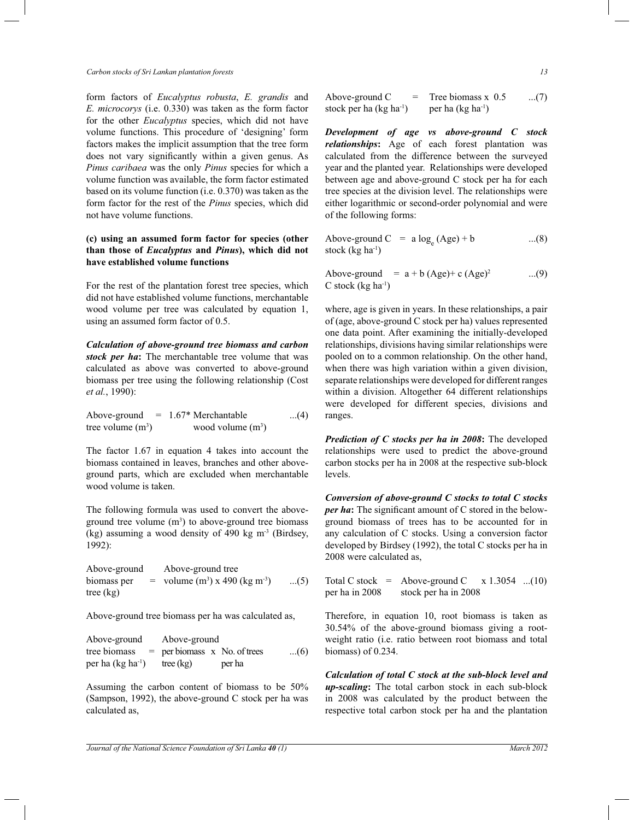form factors of *Eucalyptus robusta*, *E. grandis* and *E. microcorys* (i.e. 0.330) was taken as the form factor for the other *Eucalyptus* species, which did not have volume functions. This procedure of 'designing' form factors makes the implicit assumption that the tree form does not vary significantly within a given genus. As *Pinus caribaea* was the only *Pinus* species for which a volume function was available, the form factor estimated based on its volume function (i.e. 0.370) was taken as the form factor for the rest of the *Pinus* species, which did not have volume functions.

# **(c) using an assumed form factor for species (other than those of** *Eucalyptus* **and** *Pinus***), which did not have established volume functions**

For the rest of the plantation forest tree species, which did not have established volume functions, merchantable wood volume per tree was calculated by equation 1, using an assumed form factor of 0.5.

*Calculation of above-ground tree biomass and carbon stock per ha***:** The merchantable tree volume that was calculated as above was converted to above-ground biomass per tree using the following relationship (Cost *et al.*, 1990):

Above-ground  $= 1.67$ <sup>\*</sup> Merchantable ...(4) tree volume  $(m<sup>3</sup>)$  $)$  wood volume  $(m^3)$ 

The factor 1.67 in equation 4 takes into account the biomass contained in leaves, branches and other aboveground parts, which are excluded when merchantable wood volume is taken.

The following formula was used to convert the aboveground tree volume  $(m<sup>3</sup>)$  to above-ground tree biomass (kg) assuming a wood density of 490 kg  $m<sup>3</sup>$  (Birdsey, 1992):

 Above-ground Above-ground tree biomass per  $=$  volume  $(m^3)$  x 490 (kg m<sup>-3</sup>) ...(5) tree (kg)

Above-ground tree biomass per ha was calculated as,

| Above-ground                  | Above-ground                   |        |     |  |  |  |
|-------------------------------|--------------------------------|--------|-----|--|--|--|
| tree biomass                  | $=$ per biomass x No. of trees |        | (6) |  |  |  |
| per ha (kg ha <sup>-1</sup> ) | tree $(kg)$                    | per ha |     |  |  |  |

Assuming the carbon content of biomass to be 50% (Sampson, 1992), the above-ground C stock per ha was calculated as,

Above-ground  $C = Tree \, \text{biomass x } 0.5 \quad ... (7)$ stock per ha  $(kg ha^{-1})$  per ha  $(kg ha^{-1})$ 

*Development of age vs above-ground C stock relationships***:** Age of each forest plantation was calculated from the difference between the surveyed year and the planted year. Relationships were developed between age and above-ground C stock per ha for each tree species at the division level. The relationships were either logarithmic or second-order polynomial and were of the following forms:

Above-ground  $C = a \log_e (Age) + b$  ...(8) stock  $(kg ha<sup>-1</sup>)$ 

Above-ground =  $a + b$  (Age)+ c (Age)<sup>2</sup> ...(9)  $C$  stock (kg ha $^{-1}$ )

where, age is given in years. In these relationships, a pair of (age, above-ground C stock per ha) values represented one data point. After examining the initially-developed relationships, divisions having similar relationships were pooled on to a common relationship. On the other hand, when there was high variation within a given division, separate relationships were developed for different ranges within a division. Altogether 64 different relationships were developed for different species, divisions and ranges.

*Prediction of C stocks per ha in 2008***:** The developed relationships were used to predict the above-ground carbon stocks per ha in 2008 at the respective sub-block levels.

*Conversion of above-ground C stocks to total C stocks per ha***:** The significant amount of C stored in the belowground biomass of trees has to be accounted for in any calculation of C stocks. Using a conversion factor developed by Birdsey (1992), the total C stocks per ha in 2008 were calculated as,

Total C stock = Above-ground C  $x$  1.3054 ...(10) per ha in 2008 stock per ha in 2008

Therefore, in equation 10, root biomass is taken as 30.54% of the above-ground biomass giving a rootweight ratio (i.e. ratio between root biomass and total biomass) of 0.234.

*Calculation of total C stock at the sub-block level and up-scaling***:** The total carbon stock in each sub-block in 2008 was calculated by the product between the respective total carbon stock per ha and the plantation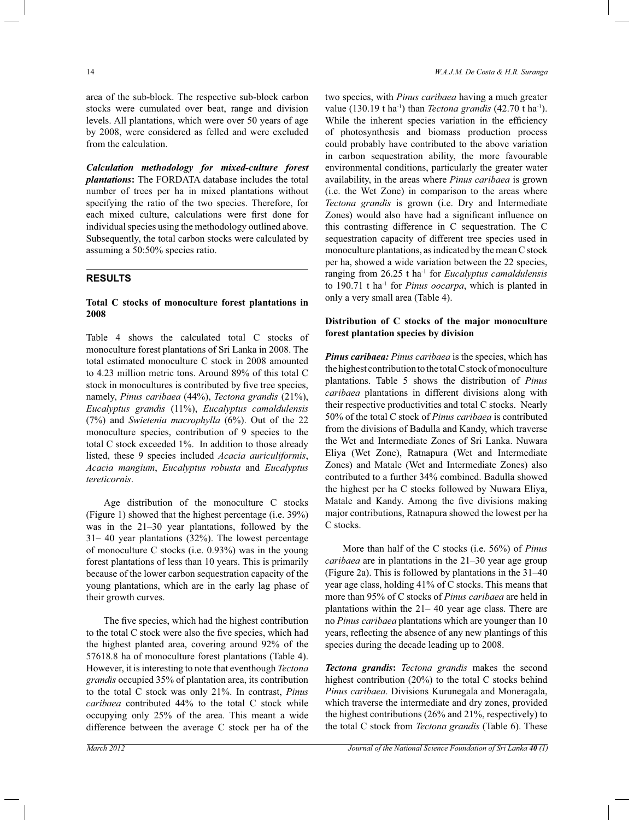area of the sub-block. The respective sub-block carbon stocks were cumulated over beat, range and division levels. All plantations, which were over 50 years of age by 2008, were considered as felled and were excluded from the calculation.

*Calculation methodology for mixed-culture forest plantations***:** The FORDATA database includes the total number of trees per ha in mixed plantations without specifying the ratio of the two species. Therefore, for each mixed culture, calculations were first done for individual species using the methodology outlined above. Subsequently, the total carbon stocks were calculated by assuming a 50:50% species ratio.

# **RESULTS**

## **Total C stocks of monoculture forest plantations in 2008**

Table 4 shows the calculated total C stocks of monoculture forest plantations of Sri Lanka in 2008. The total estimated monoculture C stock in 2008 amounted to 4.23 million metric tons. Around 89% of this total C stock in monocultures is contributed by five tree species, namely, *Pinus caribaea* (44%), *Tectona grandis* (21%), *Eucalyptus grandis* (11%), *Eucalyptus camaldulensis*  (7%) and *Swietenia macrophylla* (6%). Out of the 22 monoculture species, contribution of 9 species to the total C stock exceeded 1%. In addition to those already listed, these 9 species included *Acacia auriculiformis*, *Acacia mangium*, *Eucalyptus robusta* and *Eucalyptus tereticornis*.

 Age distribution of the monoculture C stocks (Figure 1) showed that the highest percentage (i.e. 39%) was in the 21*–*30 year plantations, followed by the 31*–* 40 year plantations (32%). The lowest percentage of monoculture C stocks (i.e. 0.93%) was in the young forest plantations of less than 10 years. This is primarily because of the lower carbon sequestration capacity of the young plantations, which are in the early lag phase of their growth curves.

 The five species, which had the highest contribution to the total C stock were also the five species, which had the highest planted area, covering around 92% of the 57618.8 ha of monoculture forest plantations (Table 4). However, it is interesting to note that eventhough *Tectona grandis* occupied 35% of plantation area, its contribution to the total C stock was only 21%. In contrast, *Pinus caribaea* contributed 44% to the total C stock while occupying only 25% of the area. This meant a wide difference between the average C stock per ha of the

two species, with *Pinus caribaea* having a much greater value (130.19 t ha-1) than *Tectona grandis* (42.70 t ha-1). While the inherent species variation in the efficiency of photosynthesis and biomass production process could probably have contributed to the above variation in carbon sequestration ability, the more favourable environmental conditions, particularly the greater water availability, in the areas where *Pinus caribaea* is grown (i.e. the Wet Zone) in comparison to the areas where *Tectona grandis* is grown (i.e. Dry and Intermediate Zones) would also have had a significant influence on this contrasting difference in C sequestration. The C sequestration capacity of different tree species used in monoculture plantations, as indicated by the mean C stock per ha, showed a wide variation between the 22 species, ranging from 26.25 t ha-1 for *Eucalyptus camaldulensis*  to 190.71 t ha-1 for *Pinus oocarpa*, which is planted in only a very small area (Table 4).

## **Distribution of C stocks of the major monoculture forest plantation species by division**

*Pinus caribaea: Pinus caribaea* is the species, which has the highest contribution to the total C stock of monoculture plantations. Table 5 shows the distribution of *Pinus caribaea* plantations in different divisions along with their respective productivities and total C stocks. Nearly 50% of the total C stock of *Pinus caribaea* is contributed from the divisions of Badulla and Kandy, which traverse the Wet and Intermediate Zones of Sri Lanka. Nuwara Eliya (Wet Zone), Ratnapura (Wet and Intermediate Zones) and Matale (Wet and Intermediate Zones) also contributed to a further 34% combined. Badulla showed the highest per ha C stocks followed by Nuwara Eliya, Matale and Kandy. Among the five divisions making major contributions, Ratnapura showed the lowest per ha C stocks.

 More than half of the C stocks (i.e. 56%) of *Pinus caribaea* are in plantations in the 21*–*30 year age group (Figure 2a). This is followed by plantations in the 31*–*40 year age class, holding 41% of C stocks. This means that more than 95% of C stocks of *Pinus caribaea* are held in plantations within the 21*–* 40 year age class. There are no *Pinus caribaea* plantations which are younger than 10 years, reflecting the absence of any new plantings of this species during the decade leading up to 2008.

*Tectona grandis***:** *Tectona grandis* makes the second highest contribution (20%) to the total C stocks behind *Pinus caribaea*. Divisions Kurunegala and Moneragala, which traverse the intermediate and dry zones, provided the highest contributions (26% and 21%, respectively) to the total C stock from *Tectona grandis* (Table 6). These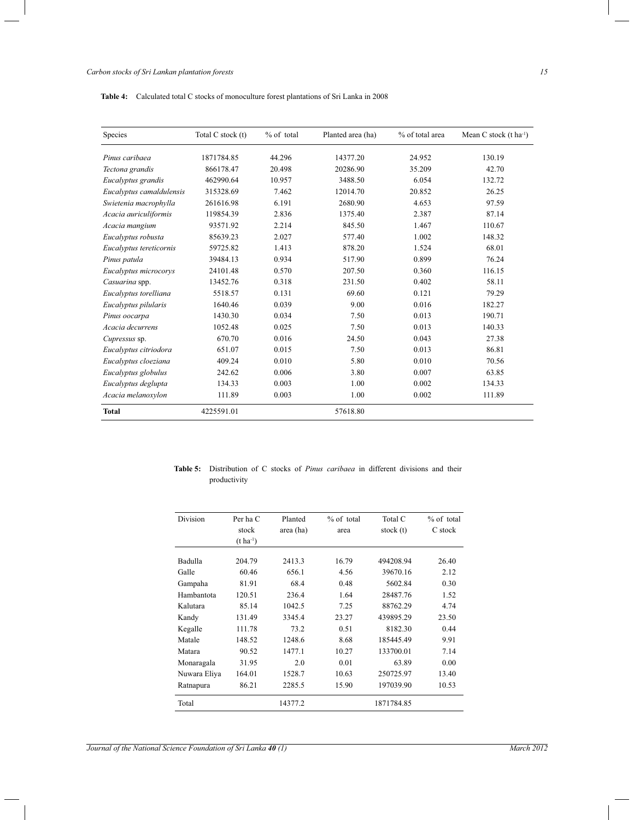| Species                  | Total C stock (t) | $%$ of total | Planted area (ha) | % of total area | Mean C stock $(t \text{ ha}^{-1})$ |
|--------------------------|-------------------|--------------|-------------------|-----------------|------------------------------------|
| Pinus caribaea           | 1871784.85        | 44.296       | 14377.20          | 24.952          | 130.19                             |
| Tectona grandis          | 866178.47         | 20.498       | 20286.90          | 35.209          | 42.70                              |
| Eucalyptus grandis       | 462990.64         | 10.957       | 3488.50           | 6.054           | 132.72                             |
| Eucalyptus camaldulensis | 315328.69         | 7.462        | 12014.70          | 20.852          | 26.25                              |
| Swietenia macrophylla    | 261616.98         | 6.191        | 2680.90           | 4.653           | 97.59                              |
| Acacia auriculiformis    | 119854.39         | 2.836        | 1375.40           | 2.387           | 87.14                              |
| Acacia mangium           | 93571.92          | 2.214        | 845.50            | 1.467           | 110.67                             |
| Eucalyptus robusta       | 85639.23          | 2.027        | 577.40            | 1.002           | 148.32                             |
| Eucalyptus tereticornis  | 59725.82          | 1.413        | 878.20            | 1.524           | 68.01                              |
| Pinus patula             | 39484.13          | 0.934        | 517.90            | 0.899           | 76.24                              |
| Eucalyptus microcorys    | 24101.48          | 0.570        | 207.50            | 0.360           | 116.15                             |
| Casuarina spp.           | 13452.76          | 0.318        | 231.50            | 0.402           | 58.11                              |
| Eucalyptus torelliana    | 5518.57           | 0.131        | 69.60             | 0.121           | 79.29                              |
| Eucalyptus pilularis     | 1640.46           | 0.039        | 9.00              | 0.016           | 182.27                             |
| Pinus oocarpa            | 1430.30           | 0.034        | 7.50              | 0.013           | 190.71                             |
| Acacia decurrens         | 1052.48           | 0.025        | 7.50              | 0.013           | 140.33                             |
| Cupressus sp.            | 670.70            | 0.016        | 24.50             | 0.043           | 27.38                              |
| Eucalyptus citriodora    | 651.07            | 0.015        | 7.50              | 0.013           | 86.81                              |
| Eucalyptus cloeziana     | 409.24            | 0.010        | 5.80              | 0.010           | 70.56                              |
| Eucalyptus globulus      | 242.62            | 0.006        | 3.80              | 0.007           | 63.85                              |
| Eucalyptus deglupta      | 134.33            | 0.003        | 1.00              | 0.002           | 134.33                             |
| Acacia melanoxylon       | 111.89            | 0.003        | 1.00              | 0.002           | 111.89                             |
| <b>Total</b>             | 4225591.01        |              | 57618.80          |                 |                                    |

| <b>Table 5:</b> Distribution of C stocks of <i>Pinus caribaea</i> in different divisions and their |  |  |  |  |  |  |
|----------------------------------------------------------------------------------------------------|--|--|--|--|--|--|
| productivity                                                                                       |  |  |  |  |  |  |

| Division     | Per ha C<br>stock<br>$(t \text{ ha}^{-1})$ | Planted<br>area (ha) | $%$ of total<br>area | Total C<br>stock (t) | % of total<br>C stock |
|--------------|--------------------------------------------|----------------------|----------------------|----------------------|-----------------------|
| Badulla      | 204.79                                     | 2413.3               | 16.79                | 494208.94            | 26.40                 |
| Galle        | 60.46                                      | 656.1                | 4.56                 | 39670.16             | 2.12                  |
| Gampaha      | 81.91                                      | 68.4                 | 0.48                 | 5602.84              | 0.30                  |
| Hambantota   | 120.51                                     | 236.4                | 1.64                 | 28487.76             | 1.52                  |
| Kalutara     | 85.14                                      | 1042.5               | 7.25                 | 88762.29             | 4.74                  |
| Kandy        | 131.49                                     | 3345.4               | 23.27                | 439895.29            | 23.50                 |
| Kegalle      | 111.78                                     | 73.2                 | 0.51                 | 8182.30              | 0.44                  |
| Matale       | 148.52                                     | 1248.6               | 8.68                 | 185445.49            | 9.91                  |
| Matara       | 90.52                                      | 1477.1               | 10.27                | 133700.01            | 7.14                  |
| Monaragala   | 31.95                                      | 2.0                  | 0.01                 | 63.89                | 0.00                  |
| Nuwara Eliya | 164.01                                     | 1528.7               | 10.63                | 250725.97            | 13.40                 |
| Ratnapura    | 86.21                                      | 2285.5               | 15.90                | 197039.90            | 10.53                 |
| Total        |                                            | 14377.2              |                      | 1871784.85           |                       |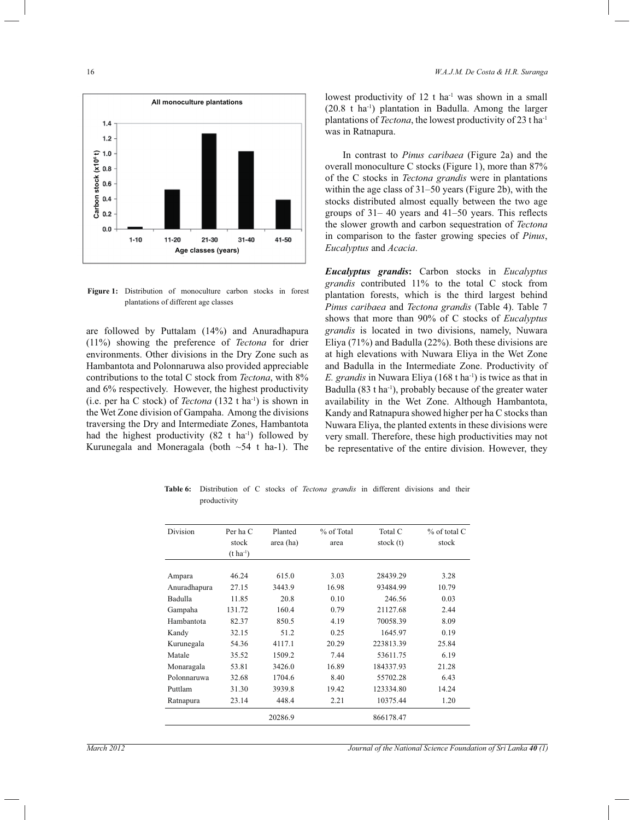

**Figure 1:** Distribution of monoculture carbon stocks in forest plantations of different age classes

are followed by Puttalam (14%) and Anuradhapura (11%) showing the preference of *Tectona* for drier environments. Other divisions in the Dry Zone such as Hambantota and Polonnaruwa also provided appreciable contributions to the total C stock from *Tectona*, with 8% and 6% respectively. However, the highest productivity (i.e. per ha C stock) of *Tectona* (132 t ha-1) is shown in the Wet Zone division of Gampaha. Among the divisions traversing the Dry and Intermediate Zones, Hambantota had the highest productivity  $(82 \text{ t} \text{ ha}^{-1})$  followed by Kurunegala and Moneragala (both  $\sim$  54 t ha-1). The lowest productivity of  $12$  t ha<sup>-1</sup> was shown in a small  $(20.8 \text{ t} \text{ ha}^{-1})$  plantation in Badulla. Among the larger plantations of *Tectona*, the lowest productivity of 23 t ha-1 was in Ratnapura.

 In contrast to *Pinus caribaea* (Figure 2a) and the overall monoculture C stocks (Figure 1), more than 87% of the C stocks in *Tectona grandis* were in plantations within the age class of 31*–*50 years (Figure 2b), with the stocks distributed almost equally between the two age groups of 31*–* 40 years and 41*–*50 years. This reflects the slower growth and carbon sequestration of *Tectona*  in comparison to the faster growing species of *Pinus*, *Eucalyptus* and *Acacia*.

*Eucalyptus grandis***:** Carbon stocks in *Eucalyptus grandis* contributed 11% to the total C stock from plantation forests, which is the third largest behind *Pinus caribaea* and *Tectona grandis* (Table 4). Table 7 shows that more than 90% of C stocks of *Eucalyptus grandis* is located in two divisions, namely, Nuwara Eliya (71%) and Badulla (22%). Both these divisions are at high elevations with Nuwara Eliya in the Wet Zone and Badulla in the Intermediate Zone. Productivity of *E. grandis* in Nuwara Eliya (168 t ha<sup>-1</sup>) is twice as that in Badulla  $(83 \text{ tha}^{-1})$ , probably because of the greater water availability in the Wet Zone. Although Hambantota, Kandy and Ratnapura showed higher per ha C stocks than Nuwara Eliya, the planted extents in these divisions were very small. Therefore, these high productivities may not be representative of the entire division. However, they

**Table 6:** Distribution of C stocks of *Tectona grandis* in different divisions and their productivity

| Division     | Per ha C<br>stock<br>$(t \, ha^{-1})$ | Planted<br>area (ha) | % of Total<br>area | Total C<br>stock (t) | $%$ of total C<br>stock |
|--------------|---------------------------------------|----------------------|--------------------|----------------------|-------------------------|
|              |                                       |                      |                    |                      |                         |
| Ampara       | 46.24                                 | 615.0                | 3.03               | 28439.29             | 3.28                    |
| Anuradhapura | 27.15                                 | 3443.9               | 16.98              | 93484.99             | 10.79                   |
| Badulla      | 11.85                                 | 20.8                 | 0.10               | 246.56               | 0.03                    |
| Gampaha      | 131.72                                | 160.4                | 0.79               | 21127.68             | 2.44                    |
| Hambantota   | 82.37                                 | 850.5                | 4.19               | 70058.39             | 8.09                    |
| Kandy        | 32.15                                 | 51.2                 | 0.25               | 1645.97              | 0.19                    |
| Kurunegala   | 54.36                                 | 4117.1               | 20.29              | 223813.39            | 25.84                   |
| Matale       | 35.52                                 | 1509.2               | 7.44               | 53611.75             | 6.19                    |
| Monaragala   | 53.81                                 | 3426.0               | 16.89              | 184337.93            | 21.28                   |
| Polonnaruwa  | 32.68                                 | 1704.6               | 8.40               | 55702.28             | 6.43                    |
| Puttlam      | 31.30                                 | 3939.8               | 19.42              | 123334.80            | 14.24                   |
| Ratnapura    | 23.14                                 | 448.4                | 2.21               | 10375.44             | 1.20                    |
|              |                                       | 20286.9              |                    | 866178.47            |                         |

*Journal of the National Science Foundation of Sri Lanka 40 <i>(1) Journal of the National Science Foundation of Sri Lanka* **40** *(1)*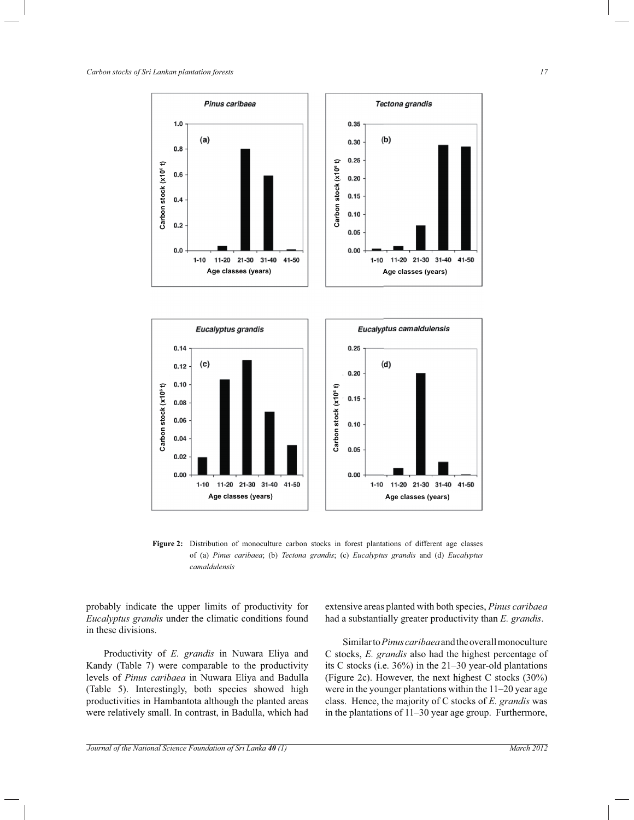

**Figure 2:** Distribution of monoculture carbon stocks in forest plantations of different age classes of (a) *Pinus caribaea*; (b) *Tectona grandis*; (c) *Eucalyptus grandis* and (d) *Eucalyptus camaldulensis*

probably indicate the upper limits of productivity for *Eucalyptus grandis* under the climatic conditions found in these divisions.

 Productivity of *E. grandis* in Nuwara Eliya and Kandy (Table 7) were comparable to the productivity levels of *Pinus caribaea* in Nuwara Eliya and Badulla (Table 5). Interestingly, both species showed high productivities in Hambantota although the planted areas were relatively small. In contrast, in Badulla, which had

extensive areas planted with both species, *Pinus caribaea*  had a substantially greater productivity than *E. grandis*.

 Similar to *Pinus caribaea* and the overall monoculture C stocks, *E. grandis* also had the highest percentage of its C stocks (i.e. 36%) in the 21*–*30 year-old plantations (Figure 2c). However, the next highest C stocks (30%) were in the younger plantations within the 11*–*20 year age class. Hence, the majority of C stocks of *E. grandis* was in the plantations of 11*–*30 year age group. Furthermore,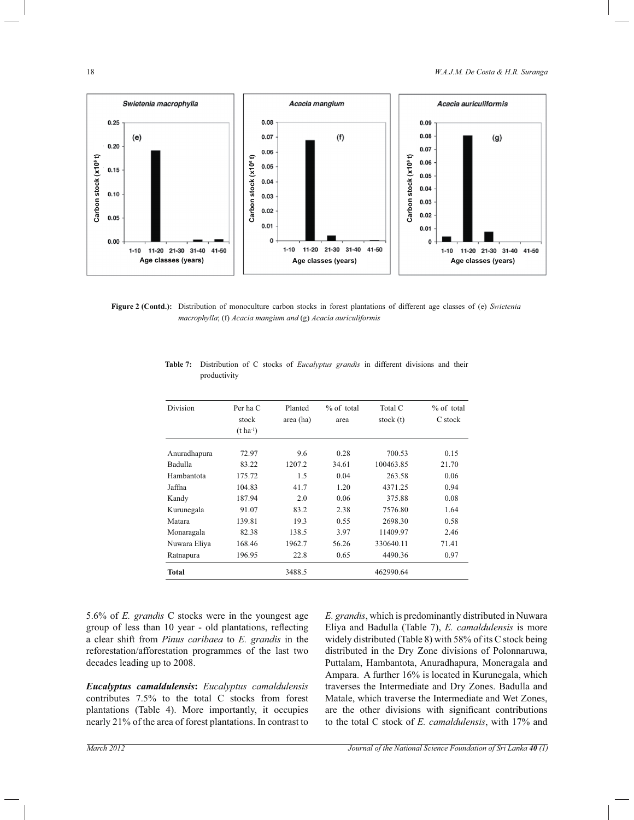

**Figure 2 (Contd.):** Distribution of monoculture carbon stocks in forest plantations of different age classes of (e) *Swietenia macrophylla*; (f) *Acacia mangium and* (g) *Acacia auriculiformis*

| Division     | Per ha C<br>stock<br>$(t \text{ ha}^{-1})$ | Planted<br>area (ha) | $%$ of total<br>area | Total C<br>stock (t) | $%$ of total<br>C stock |
|--------------|--------------------------------------------|----------------------|----------------------|----------------------|-------------------------|
| Anuradhapura | 72.97                                      | 9.6                  | 0.28                 | 700.53               | 0.15                    |
| Badulla      | 83.22                                      | 1207.2               | 34.61                | 100463.85            | 21.70                   |
| Hambantota   | 175.72                                     | 1.5                  | 0.04                 | 263.58               | 0.06                    |
| Jaffna       | 104.83                                     | 41.7                 | 1.20                 | 4371.25              | 0.94                    |
| Kandy        | 187.94                                     | 2.0                  | 0.06                 | 375.88               | 0.08                    |
| Kurunegala   | 91.07                                      | 83.2                 | 2.38                 | 7576.80              | 1.64                    |
| Matara       | 139.81                                     | 19.3                 | 0.55                 | 2698.30              | 0.58                    |
| Monaragala   | 82.38                                      | 138.5                | 3.97                 | 11409.97             | 2.46                    |
| Nuwara Eliya | 168.46                                     | 1962.7               | 56.26                | 330640.11            | 71.41                   |
| Ratnapura    | 196.95                                     | 22.8                 | 0.65                 | 4490.36              | 0.97                    |
| Total        |                                            | 3488.5               |                      | 462990.64            |                         |

**Table 7:** Distribution of C stocks of *Eucalyptus grandis* in different divisions and their productivity

5.6% of *E. grandis* C stocks were in the youngest age group of less than 10 year - old plantations, reflecting a clear shift from *Pinus caribaea* to *E. grandis* in the reforestation/afforestation programmes of the last two decades leading up to 2008.

*Eucalyptus camaldulensis***:** *Eucalyptus camaldulensis*  contributes 7.5% to the total C stocks from forest plantations (Table 4). More importantly, it occupies nearly 21% of the area of forest plantations. In contrast to

*E. grandis*, which is predominantly distributed in Nuwara Eliya and Badulla (Table 7), *E. camaldulensis* is more widely distributed (Table 8) with 58% of its C stock being distributed in the Dry Zone divisions of Polonnaruwa, Puttalam, Hambantota, Anuradhapura, Moneragala and Ampara. A further 16% is located in Kurunegala, which traverses the Intermediate and Dry Zones. Badulla and Matale, which traverse the Intermediate and Wet Zones, are the other divisions with significant contributions to the total C stock of *E. camaldulensis*, with 17% and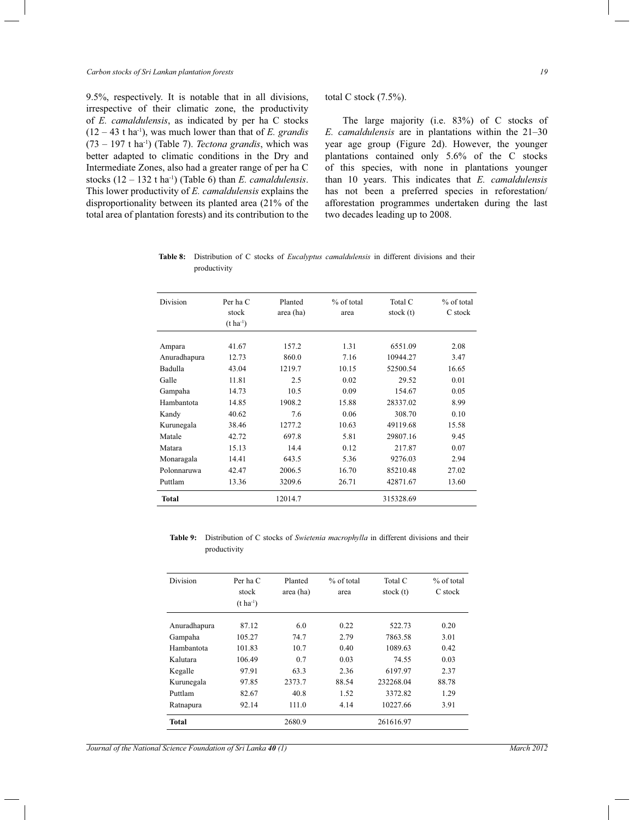9.5%, respectively. It is notable that in all divisions, irrespective of their climatic zone, the productivity of *E. camaldulensis*, as indicated by per ha C stocks  $(12 - 43$  t ha<sup>-1</sup>), was much lower than that of *E*. *grandis* (73 – 197 t ha-1) (Table 7). *Tectona grandis*, which was better adapted to climatic conditions in the Dry and Intermediate Zones, also had a greater range of per ha C stocks  $(12 – 132 t ha<sup>-1</sup>)$  (Table 6) than *E. camaldulensis*. This lower productivity of *E. camaldulensis* explains the disproportionality between its planted area (21% of the total area of plantation forests) and its contribution to the total C stock (7.5%).

 The large majority (i.e. 83%) of C stocks of *E. camaldulensis* are in plantations within the 21*–*30 year age group (Figure 2d). However, the younger plantations contained only 5.6% of the C stocks of this species, with none in plantations younger than 10 years. This indicates that *E. camaldulensis*  has not been a preferred species in reforestation/ afforestation programmes undertaken during the last two decades leading up to 2008.

|              |  |  | Table 8: Distribution of C stocks of <i>Eucalyptus camaldulensis</i> in different divisions and their |  |  |  |
|--------------|--|--|-------------------------------------------------------------------------------------------------------|--|--|--|
| productivity |  |  |                                                                                                       |  |  |  |

| Division     | Per ha C<br>stock<br>$(t \, ha^{-1})$ | Planted<br>area (ha) | $%$ of total<br>area | Total C<br>stock $(t)$ | % of total<br>C stock |
|--------------|---------------------------------------|----------------------|----------------------|------------------------|-----------------------|
| Ampara       | 41.67                                 | 157.2                | 1.31                 | 6551.09                | 2.08                  |
| Anuradhapura | 12.73                                 | 860.0                | 7.16                 | 10944.27               | 3.47                  |
| Badulla      | 43.04                                 | 1219.7               | 10.15                | 52500.54               | 16.65                 |
| Galle        | 11.81                                 | 2.5                  | 0.02                 | 29.52                  | 0.01                  |
| Gampaha      | 14.73                                 | 10.5                 | 0.09                 | 154.67                 | 0.05                  |
| Hambantota   | 14.85                                 | 1908.2               | 15.88                | 28337.02               | 8.99                  |
| Kandy        | 40.62                                 | 7.6                  | 0.06                 | 308.70                 | 0.10                  |
| Kurunegala   | 38.46                                 | 1277.2               | 10.63                | 49119.68               | 15.58                 |
| Matale       | 42.72                                 | 697.8                | 5.81                 | 29807.16               | 9.45                  |
| Matara       | 15.13                                 | 14.4                 | 0.12                 | 217.87                 | 0.07                  |
| Monaragala   | 14.41                                 | 643.5                | 5.36                 | 9276.03                | 2.94                  |
| Polonnaruwa  | 42.47                                 | 2006.5               | 16.70                | 85210.48               | 27.02                 |
| Puttlam      | 13.36                                 | 3209.6               | 26.71                | 42871.67               | 13.60                 |
| <b>Total</b> |                                       | 12014.7              |                      | 315328.69              |                       |

**Table 9:** Distribution of C stocks of *Swietenia macrophylla* in different divisions and their productivity

| Division     | Per ha C<br>stock<br>$(t \, ha^{-1})$ | Planted<br>area (ha) | $%$ of total<br>area | Total C<br>stock $(t)$ | $%$ of total<br>C stock |
|--------------|---------------------------------------|----------------------|----------------------|------------------------|-------------------------|
| Anuradhapura | 87.12                                 | 6.0                  | 0.22                 | 522.73                 | 0.20                    |
| Gampaha      | 105.27                                | 74.7                 | 2.79                 | 7863.58                | 3.01                    |
| Hambantota   | 101.83                                | 10.7                 | 0.40                 | 1089.63                | 0.42                    |
| Kalutara     | 106.49                                | 0.7                  | 0.03                 | 74.55                  | 0.03                    |
| Kegalle      | 97.91                                 | 63.3                 | 2.36                 | 6197.97                | 2.37                    |
| Kurunegala   | 97.85                                 | 2373.7               | 88.54                | 232268.04              | 88.78                   |
| Puttlam      | 82.67                                 | 40.8                 | 1.52                 | 3372.82                | 1.29                    |
| Ratnapura    | 92.14                                 | 111.0                | 4.14                 | 10227.66               | 3.91                    |
| Total        |                                       | 2680.9               |                      | 261616.97              |                         |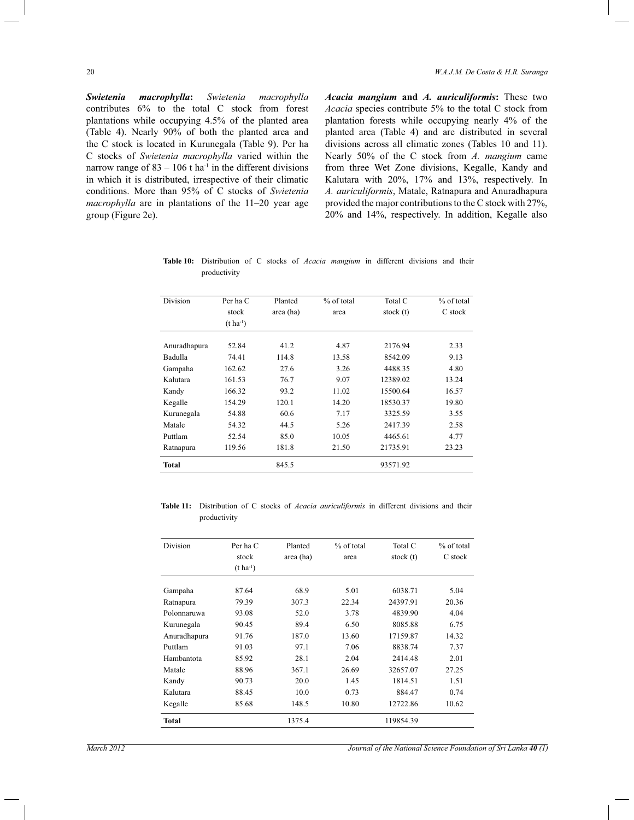*Swietenia macrophylla***:** *Swietenia macrophylla*  contributes 6% to the total C stock from forest plantations while occupying 4.5% of the planted area (Table 4). Nearly 90% of both the planted area and the C stock is located in Kurunegala (Table 9). Per ha C stocks of *Swietenia macrophylla* varied within the narrow range of  $83 - 106$  t ha<sup>-1</sup> in the different divisions in which it is distributed, irrespective of their climatic conditions. More than 95% of C stocks of *Swietenia macrophylla* are in plantations of the 11*–*20 year age group (Figure 2e).

*Acacia mangium* **and** *A. auriculiformis***:** These two *Acacia* species contribute 5% to the total C stock from plantation forests while occupying nearly 4% of the planted area (Table 4) and are distributed in several divisions across all climatic zones (Tables 10 and 11). Nearly 50% of the C stock from *A. mangium* came from three Wet Zone divisions, Kegalle, Kandy and Kalutara with 20%, 17% and 13%, respectively. In *A. auriculiformis*, Matale, Ratnapura and Anuradhapura provided the major contributions to the C stock with 27%, 20% and 14%, respectively. In addition, Kegalle also

| <b>Table 10:</b> Distribution of C stocks of <i>Acacia mangium</i> in different divisions and their |  |  |  |  |  |  |
|-----------------------------------------------------------------------------------------------------|--|--|--|--|--|--|
| productivity                                                                                        |  |  |  |  |  |  |

| Division     | Per ha C<br>stock | Planted   | $%$ of total | Total C     | $%$ of total<br>C stock |
|--------------|-------------------|-----------|--------------|-------------|-------------------------|
|              | $(t \, ha^{-1})$  | area (ha) | area         | stock $(t)$ |                         |
| Anuradhapura | 52.84             | 41.2      | 4.87         | 2176.94     | 2.33                    |
| Badulla      | 74.41             | 114.8     | 13.58        | 8542.09     | 9.13                    |
| Gampaha      | 162.62            | 27.6      | 3.26         | 4488.35     | 4.80                    |
| Kalutara     | 161.53            | 76.7      | 9.07         | 12389.02    | 13.24                   |
| Kandy        | 166.32            | 93.2      | 11.02        | 15500.64    | 16.57                   |
| Kegalle      | 154.29            | 120.1     | 14.20        | 18530.37    | 19.80                   |
| Kurunegala   | 54.88             | 60.6      | 7.17         | 3325.59     | 3.55                    |
| Matale       | 54.32             | 44.5      | 5.26         | 2417.39     | 2.58                    |
| Puttlam      | 52.54             | 85.0      | 10.05        | 4465.61     | 4.77                    |
| Ratnapura    | 119.56            | 181.8     | 21.50        | 21735.91    | 23.23                   |
| <b>Total</b> |                   | 845.5     |              | 93571.92    |                         |

**Table 11:** Distribution of C stocks of *Acacia auriculiformis* in different divisions and their productivity

| <b>Division</b> | Per ha C<br>stock<br>$(t \, ha^{-1})$ | Planted<br>area (ha) | % of total<br>area | Total C<br>stock $(t)$ | $%$ of total<br>C stock |
|-----------------|---------------------------------------|----------------------|--------------------|------------------------|-------------------------|
| Gampaha         | 87.64                                 | 68.9                 | 5.01               | 6038.71                | 5.04                    |
| Ratnapura       | 79.39                                 | 307.3                | 22.34              | 24397.91               | 20.36                   |
| Polonnaruwa     | 93.08                                 | 52.0                 | 3.78               | 4839.90                | 4.04                    |
| Kurunegala      | 90.45                                 | 89.4                 | 6.50               | 8085.88                | 6.75                    |
| Anuradhapura    | 91.76                                 | 187.0                | 13.60              | 17159.87               | 14.32                   |
| Puttlam         | 91.03                                 | 97.1                 | 7.06               | 8838.74                | 7.37                    |
| Hambantota      | 85.92                                 | 28.1                 | 2.04               | 2414.48                | 2.01                    |
| Matale          | 88.96                                 | 367.1                | 26.69              | 32657.07               | 27.25                   |
| Kandy           | 90.73                                 | 20.0                 | 1.45               | 1814.51                | 1.51                    |
| Kalutara        | 88.45                                 | 10.0                 | 0.73               | 884.47                 | 0.74                    |
| Kegalle         | 85.68                                 | 148.5                | 10.80              | 12722.86               | 10.62                   |
| Total           |                                       | 1375.4               |                    | 119854.39              |                         |

*March 2012 Journal of the National Science Foundation of Sri Lanka 40 (1) Journal of the National Science Foundation of Sri Lanka* **40** (1)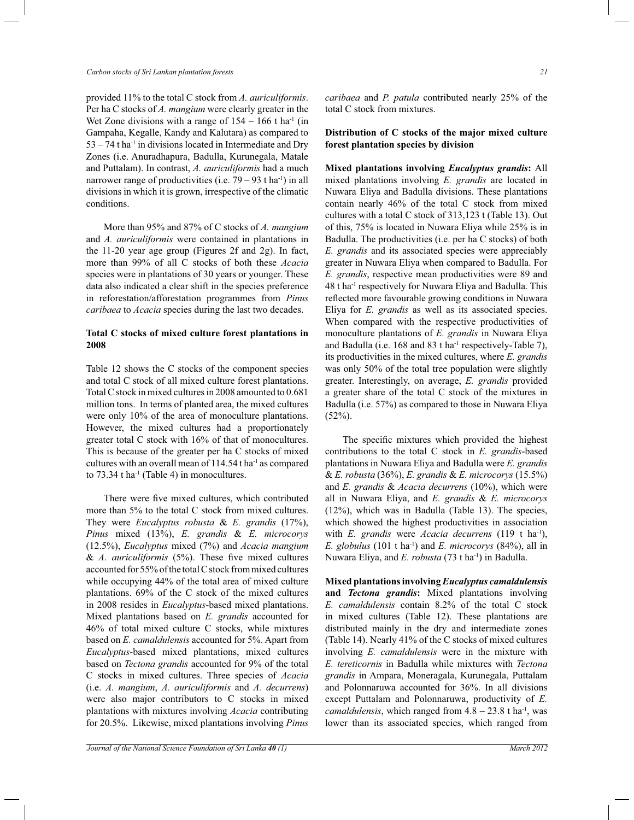provided 11% to the total C stock from *A. auriculiformis*. Per ha C stocks of *A. mangium* were clearly greater in the Wet Zone divisions with a range of  $154 - 166$  t ha<sup>-1</sup> (in Gampaha, Kegalle, Kandy and Kalutara) as compared to  $53 - 74$  t ha<sup>-1</sup> in divisions located in Intermediate and Dry Zones (i.e. Anuradhapura, Badulla, Kurunegala, Matale and Puttalam). In contrast, *A. auriculiformis* had a much narrower range of productivities (i.e.  $79 - 93$  t ha<sup>-1</sup>) in all divisions in which it is grown, irrespective of the climatic conditions.

 More than 95% and 87% of C stocks of *A. mangium*  and *A. auriculiformis* were contained in plantations in the 11-20 year age group (Figures 2f and 2g). In fact, more than 99% of all C stocks of both these *Acacia*  species were in plantations of 30 years or younger. These data also indicated a clear shift in the species preference in reforestation/afforestation programmes from *Pinus caribaea* to *Acacia* species during the last two decades.

## **Total C stocks of mixed culture forest plantations in 2008**

Table 12 shows the C stocks of the component species and total C stock of all mixed culture forest plantations. Total C stock in mixed cultures in 2008 amounted to 0.681 million tons. In terms of planted area, the mixed cultures were only 10% of the area of monoculture plantations. However, the mixed cultures had a proportionately greater total C stock with 16% of that of monocultures. This is because of the greater per ha C stocks of mixed cultures with an overall mean of 114.54 t ha-1 as compared to  $73.34$  t ha<sup>-1</sup> (Table 4) in monocultures.

 There were five mixed cultures, which contributed more than 5% to the total C stock from mixed cultures. They were *Eucalyptus robusta* & *E. grandis* (17%), *Pinus* mixed (13%), *E. grandis* & *E. microcorys*  (12.5%), *Eucalyptus* mixed (7%) and *Acacia mangium*  & *A*. *auriculiformis* (5%). These five mixed cultures accounted for 55% of the total C stock from mixed cultures while occupying 44% of the total area of mixed culture plantations. 69% of the C stock of the mixed cultures in 2008 resides in *Eucalyptus*-based mixed plantations. Mixed plantations based on *E. grandis* accounted for 46% of total mixed culture C stocks, while mixtures based on *E. camaldulensis* accounted for 5%. Apart from *Eucalyptus*-based mixed plantations, mixed cultures based on *Tectona grandis* accounted for 9% of the total C stocks in mixed cultures. Three species of *Acacia*  (i.e. *A. mangium*, *A. auriculiformis* and *A. decurrens*) were also major contributors to C stocks in mixed plantations with mixtures involving *Acacia* contributing for 20.5%. Likewise, mixed plantations involving *Pinus*  *caribaea* and *P. patula* contributed nearly 25% of the total C stock from mixtures.

#### **Distribution of C stocks of the major mixed culture forest plantation species by division**

**Mixed plantations involving** *Eucalyptus grandis***:** All mixed plantations involving *E. grandis* are located in Nuwara Eliya and Badulla divisions. These plantations contain nearly 46% of the total C stock from mixed cultures with a total C stock of 313,123 t (Table 13). Out of this, 75% is located in Nuwara Eliya while 25% is in Badulla. The productivities (i.e. per ha C stocks) of both *E. grandis* and its associated species were appreciably greater in Nuwara Eliya when compared to Badulla. For *E. grandis*, respective mean productivities were 89 and 48 t ha-1 respectively for Nuwara Eliya and Badulla. This reflected more favourable growing conditions in Nuwara Eliya for *E. grandis* as well as its associated species. When compared with the respective productivities of monoculture plantations of *E. grandis* in Nuwara Eliya and Badulla (i.e. 168 and 83 t ha<sup>-1</sup> respectively-Table 7), its productivities in the mixed cultures, where *E. grandis*  was only 50% of the total tree population were slightly greater. Interestingly, on average, *E. grandis* provided a greater share of the total C stock of the mixtures in Badulla (i.e. 57%) as compared to those in Nuwara Eliya  $(52\%)$ .

 The specific mixtures which provided the highest contributions to the total C stock in *E. grandis*-based plantations in Nuwara Eliya and Badulla were *E. grandis*  & *E. robusta* (36%), *E. grandis* & *E. microcorys* (15.5%) and *E. grandis* & *Acacia decurrens* (10%), which were all in Nuwara Eliya, and *E. grandis* & *E. microcorys*  (12%), which was in Badulla (Table 13). The species, which showed the highest productivities in association with *E. grandis* were *Acacia decurrens* (119 t ha-1), *E. globulus* (101 t ha-1) and *E. microcorys* (84%), all in Nuwara Eliya, and *E. robusta* (73 t ha-1) in Badulla.

**Mixed plantations involving** *Eucalyptus camaldulensis*  **and** *Tectona grandis***:** Mixed plantations involving *E. camaldulensis* contain 8.2% of the total C stock in mixed cultures (Table 12). These plantations are distributed mainly in the dry and intermediate zones (Table 14). Nearly 41% of the C stocks of mixed cultures involving *E. camaldulensis* were in the mixture with *E. tereticornis* in Badulla while mixtures with *Tectona grandis* in Ampara, Moneragala, Kurunegala, Puttalam and Polonnaruwa accounted for 36%. In all divisions except Puttalam and Polonnaruwa, productivity of *E. camaldulensis*, which ranged from 4.8 *–* 23.8 t ha-1 , was lower than its associated species, which ranged from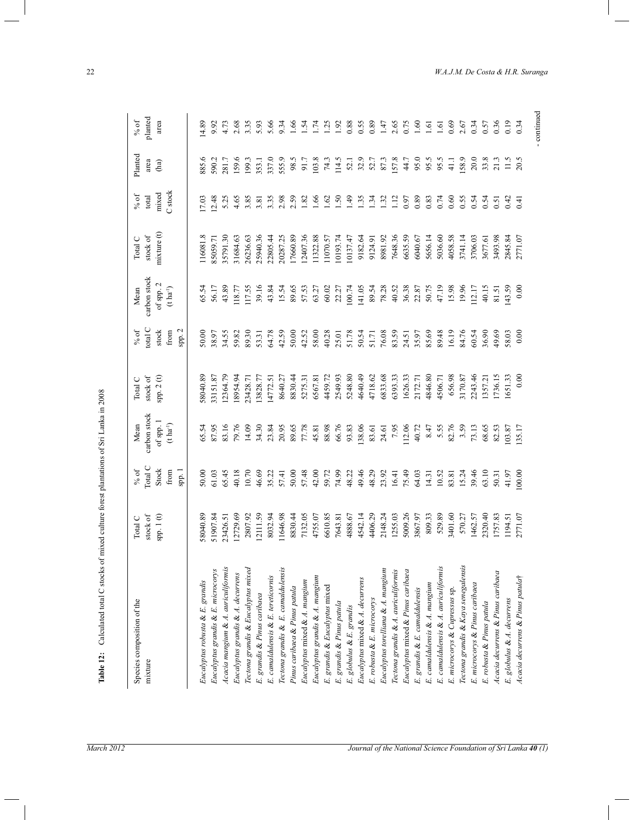| Species composition of the                                                                                     | Total C   | $\%$ of | Mean                  | Total C     | % of          | Mean                                      | Total C    | $%$ of             | Planted |  |
|----------------------------------------------------------------------------------------------------------------|-----------|---------|-----------------------|-------------|---------------|-------------------------------------------|------------|--------------------|---------|--|
| mixture                                                                                                        | stock of  | Total C | carbon stock          | stock of    | total C       | carbon stock                              | stock of   | total              | area    |  |
|                                                                                                                | spp. 1(t) | Stock   | of spp. $1$           | spp. $2(t)$ | stock         | of spp. $2$                               | mixture(t) | mixed              | (ha)    |  |
|                                                                                                                |           | from    | $(t \text{ ha}^{-1})$ |             | from          | $(\mathfrak{t}\;\mathsf{ha}^{\text{-}1})$ |            | C <sub>stock</sub> |         |  |
|                                                                                                                |           | spp. 1  |                       |             | ${\tt spp.2}$ |                                           |            |                    |         |  |
| Eucalyptus robusta & E. grandis                                                                                | 58040.89  | 50.00   | 65.54                 | 58040.89    | 50.00         | 65.54                                     | 116081.8   | 17.03              | 885.6   |  |
|                                                                                                                | 51907.84  | 61.03   | 87.95                 | 83151.87    | 38.97         | 56.17                                     | 85059.71   | 12.48              | 590.2   |  |
| Eucalyptus grandis & E. microcorys<br>Acacia mangium & A. auriculiformis                                       | 23426.51  | 65.45   | 83.16                 | 2364.79     | 34.55         | 43.89                                     | 5791.30    | 5.25               | 281.7   |  |
| Eucalyptus grandis & A. decurrens                                                                              | 12729.69  | 40.18   | 79.76                 | 8954.94     | 59.82         | 118.77                                    | 31684.63   | 4.65               | 159.6   |  |
| Tectona grandis & Eucalyptus mixed                                                                             | 2807.92   | 10.70   | 14.09                 | 23428.71    | 89.30         | 117.55                                    | 26236.63   | 3.85               | 199.3   |  |
| E. grandis & Pinus caribaea                                                                                    | 12111.59  | 46.69   | 34.30                 | .3828.77    | 53.31         | 39.16                                     | 25940.36   | 3.81               | 353.1   |  |
| E. camaldulensis & E. tereticornis                                                                             | 8032.94   | 35.22   | 23.84                 | 14772.51    | 64.78         | 43.84                                     | 22805.44   | 3.35               | 337.0   |  |
| Tectona grandis & E. camaldulensis                                                                             | 1646.98   | 57.41   | 20.95                 | 8640.27     | 42.59         | 15.54                                     | 20287.25   | 2.98               | 555.9   |  |
| Pinus caribaea & Pinus patula                                                                                  | 8830.44   | 50.00   | 89.65                 | 8830.44     | 50.00         | 89.65                                     | 17660.89   | 2.59               | 98.5    |  |
| Eucalyptus mixed & A. mangium                                                                                  | 7132.05   | 57.48   | 77.78                 | 5275.31     | 42.52         | 57.53                                     | 12407.36   | 1.82               | 91.7    |  |
| Eucalyptus grandis & A. mangium                                                                                | 4755.07   | 42.00   | 45.81                 | 6567.81     | 58.00         | 63.27                                     | 11322.88   | 1.66               | 103.8   |  |
| E. grandis & Eucalyptus mixed                                                                                  | 6610.85   | 59.72   | 88.98                 | 4459.72     | 40.28         | 60.02                                     | 11070.57   | 1.62               | 74.3    |  |
| E. grandis & Pinus patula                                                                                      | 7643.81   | 74.99   | 66.76                 | 2549.93     | 25.01         | 22.27                                     | 10193.74   | 1.50               | 114.5   |  |
| E. globulus & E. grandis                                                                                       | 4888.67   | 48.22   | 93.83                 | 5248.80     | 51.78         | 100.74                                    | 10137.47   | 1.49               | 52.1    |  |
| Eucalyptus mixed & A. decurrens                                                                                | 4542.14   | 49.46   | 138.06                | 4640.49     | 50.54         | 141.05                                    | 9182.64    | <b>1.35</b>        | 32.9    |  |
| E. robusta & E. microcorys                                                                                     | 4406.29   | 48.29   | 83.61                 | 4718.62     | 51.71         | 89.54                                     | 9124.91    | 1.34               | 52.7    |  |
|                                                                                                                | 2148.24   | 23.92   | 24.61                 | 6833.68     | 76.08         | 78.28                                     | 8981.92    | 1.32               | 87.3    |  |
| Eucalyptus torelliana & A. mangium<br>Tectona grandis & A. auriculiformis<br>Eucalyptus mixed & Pinus caribaea | 1255.03   | 16.41   | 7.95                  | 6393.33     | 83.59         | 40.52                                     | 7648.36    | 1.12               | 157.8   |  |
|                                                                                                                | 5009.26   | 75.49   | 112.06                | 1626.33     | 24.51         | 36.38                                     | 6635.59    | 0.97               | 44.7    |  |
| E. grandis & E. camaldulensis                                                                                  | 3867.97   | 64.03   | 40.72                 | 2172.71     | 35.97         | 22.87                                     | 6040.67    | 0.89               | 95.0    |  |
| E. camaldulensis & A. mangium                                                                                  | 809.33    | 14.31   | 8.47                  | 4846.80     | 85.69         | 50.75                                     | 5656.14    | 0.83               | 95.5    |  |
| E. camaldulensis & A. auriculiformis                                                                           | 529.89    | 10.52   | 5.55                  | 4506.71     | 89.48         | 47.19                                     | 5036.60    | 0.74               | 95.5    |  |
| E. microcorys & Cupressus sp.                                                                                  | 3401.60   | 83.81   | 82.76                 | 656.98      | 16.19         | 15.98                                     | 4058.58    | 0.60               | 41.1    |  |
| Tectona grandis & Kaya senegalensis                                                                            | 570.27    | 15.24   | 3.59                  | 3170.87     | 84.76         | 19.96                                     | 3741.14    | 0.55               | 158.9   |  |
| E. microcorys & Pinus caribaea                                                                                 | 1462.57   | 39.46   | 73.13                 | 2243.46     | 60.54         | 112.17                                    | 3706.03    | 0.54               | 20.0    |  |
| E. robusta & Pinus patula                                                                                      | 2320.40   | 63.10   | 68.65                 | 1357.21     | 36.90         | 40.15                                     | 3677.61    | 0.54               | 33.8    |  |
| Acacia decurrens & Pinus caribaea                                                                              | 1757.83   | 50.31   | 82.53                 | 1736.15     | 49.69         | 81.51                                     | 3493.98    | 0.51               | 21.3    |  |
| E. globulus & A. decurrens                                                                                     | 1194.51   | 41.97   | 103.87                | 1651.33     | 58.03         | 43.59                                     | 2845.84    | 0.42               | 11.5    |  |
| Acacia decurrens & Pinus patulat                                                                               | 2771.07   | 00,00   | 135.17                | 0.00        | 0.00          | 0.00                                      | 2771.07    | 0.41               | 20.5    |  |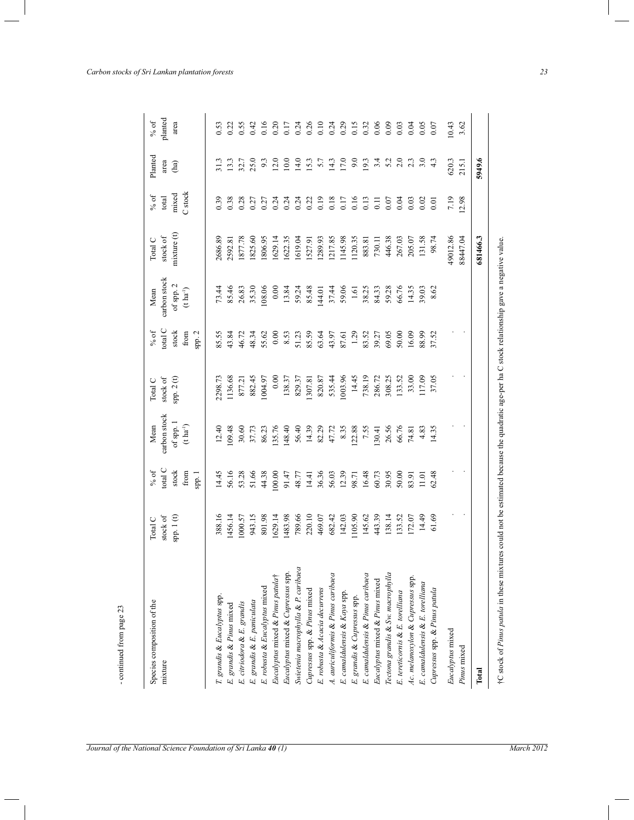| Species composition of the<br>mixture | stock of<br>Total C | total C<br>$\%$ of    | carbon stock<br>Mean                      | stock of<br>Total C | total C<br>$\%$ of | carbon stock<br>Mean                      | stock of<br>Total C    | $\%$ of<br>total | Planted<br>area |
|---------------------------------------|---------------------|-----------------------|-------------------------------------------|---------------------|--------------------|-------------------------------------------|------------------------|------------------|-----------------|
|                                       | spp. 1(t)           | stock                 | of spp. $1$                               | spp. $2(0)$         | stock              | of spp. 2                                 | $m$ <i>xture</i> $(t)$ | mixed            | (ha)            |
|                                       |                     | from                  | $(\mathbf{t}\,\mathbf{h}\mathbf{a}^{-1})$ |                     | from               | $(\mathbf{t}\,\mathbf{h}\mathbf{a}^{-1})$ |                        | C stock          |                 |
|                                       |                     | $\mathop{\rm spp.} 1$ |                                           |                     | ${\tt spp.2}$      |                                           |                        |                  |                 |
| T. grandis & Eucalyptus spp.          | 388.16              | 14.45                 | 12.40                                     | 2298.73             | 85.55              | 73.44                                     | 2686.89                | 0.39             | 31.3            |
| E. grandis & Pinus mixed              | 1456.14             | 56.16                 | 09.48                                     | 1136.68             | 43.84              | 85.46                                     | 2592.81                | 0.38             | 13.3            |
| E. citriodora & E. grandis            | 1000.57             | 53.28                 | 30.60                                     | 877.21              | 46.72              | 26.83                                     | 1877.78                | 0.28             | 32.7            |
| E. grandis & E. paniculata            | 943.15              | 51.66                 | 37.73                                     | 882.45              | 48.34              | 35.30                                     | 1825.60                | 0.27             | 25.0            |
| E. robusta & Eucalyptus mixed         | 801.98              | 44.38                 | 86.23                                     | 1004.97             | 55.62              | 108.06                                    | 806.95                 | 0.27             | 9.3             |
| Eucalyptus mixed & Pinus patulat      | 1629.14             | 100.00                | 35.76                                     | 0.00                | 0.00               | 0.00                                      | 1629.14                | 0.24             | 12.0            |
| Eucalyptus mixed & Cupressus spp.     | 1483.98             | 91.47                 | 48.40                                     | 138.37              | 8.53               | 13.84                                     | .622.35                | 0.24             | 10.0            |
| Swietenia macrophylla & P. caribaea   | 789.66              | 48.77                 | 56.40                                     | 829.37              | 51.23              | 59.24                                     | 1619.04                | 0.24             | 14.0            |
| Cupressus spp. & Pinus mixed          | 220.10              | 14.41                 | 14.39                                     | 1307.81             | 85.59              | 85.48                                     | 1527.91                | 0.22             | 15.3            |
| E. robusta & Acacia decurrens         | 469.07              | 36.36                 | 82.29                                     | 820.87              | 63.64              | 144.01                                    | 1289.93                | 0.19             | 5.7             |
| A. auriculiformis & Pinus caribaea    | 682.42              | 56.03                 | 47.72                                     | 535.44              | 43.97              | 37.44                                     | 1217.85                | 0.18             | 14.3            |
| E. camaldulensis & Kaya spp.          | 142.03              | 12.39                 | 8.35                                      | 1003.96             | 87.61              | 59.06                                     | 1145.98                | 0.17             | 17.0            |
| E. grandis & Cupressus spp.           | 1105.90             | 98.71                 | 22.88                                     | 14.45               | 1.29               | 1.61                                      | 1120.35                | 0.16             | 9.0             |
| E. camaldulensis & Pinus caribaea     | 145.62              | 16.48                 | 7.55                                      | 738.19              | 83.52              | 38.25                                     | 883.81                 | 0.13             | 19.3            |
| Eucalyptus mixed & Pinus mixed        | 443.39              | 60.73                 | 30.41                                     | 286.72              | 39.27              | 84.33                                     | 730.11                 | $\overline{0}$ . | 3.4             |
| Tectona grandis & Sw. macrophylla     | 138.14              | 30.95                 | 26.56                                     | 308.25              | 69.05              | 59.28                                     | 446.38                 | 0.07             | 5.2             |
| E. tereticornis & E. torelliana       | 133.52              | 50.00                 | 66.76                                     | 133.52              | 50.00              | 66.76                                     | 267.03                 | 0.04             | 2.0             |
| Ac. melanoxylon & Cupressus spp.      | 172.07              | 83.91                 | 74.81                                     | 33.00               | 16.09              | 14.35                                     | 205.07                 | 0.03             | 2.3             |
| E. camaldulensis & E. torelliana      | 14.49               | 11.01                 | 4.83                                      | 117.09              | 88.99              | 39.03                                     | 131.58                 | 0.02             | 3.0             |
| Cupressus spp. & Pinus patula         | 61.69               | 62.48                 | 14.35                                     | 37.05               | 37.52              | 8.62                                      | 98.74                  | $\overline{0}$ . | 4.3             |
| Eucalyptus mixed                      |                     |                       |                                           |                     |                    |                                           | 49012.86               | 7.19             | 620.3           |
| Pinus mixed                           |                     |                       |                                           |                     |                    |                                           | 88447.04               | 12.98            | 215.1           |
| Total                                 |                     |                       |                                           |                     |                    |                                           | 681466.3               |                  | 5949.6          |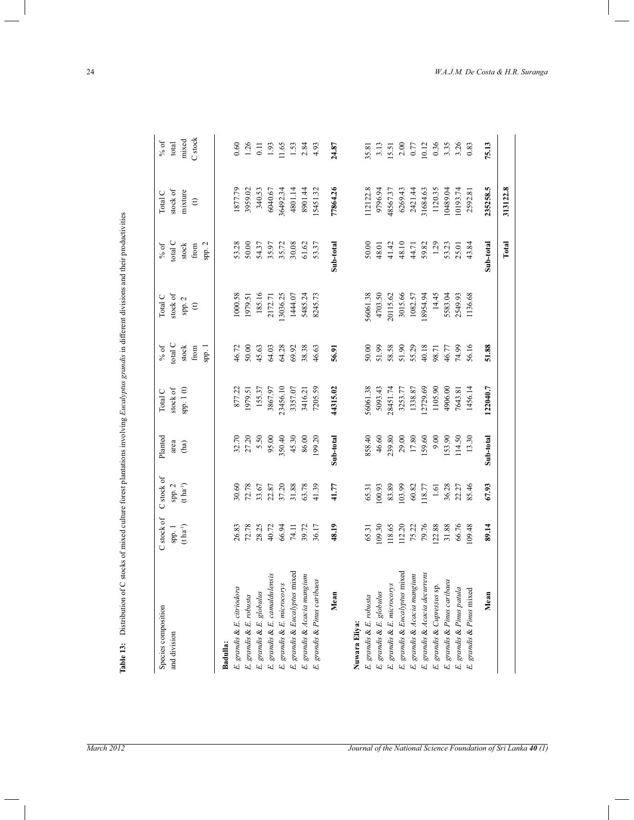| 27.20<br>5.50<br>95.00<br>350.40<br>45.30<br>Sub-total<br>46.60<br>29.00<br>17.80<br>9.00<br>Planted<br>86.00<br>858.40<br>239.80<br>159.60<br>153.90<br>114.50<br>Sub-total<br>32.70<br>13.30<br>199.20<br>area<br>(ha)<br>C stock of<br>$(t \, \mathrm{ha}^{-1})$<br>spp. 2<br>30.60<br>72.78<br>33.67<br>22.87<br>37.20<br>31.88<br>63.78<br>36.28<br>67.93<br>41.39<br>41.77<br>83.89<br>103.99<br>$1.61\,$<br>65.31<br>00.93<br>60.82<br>118.77<br>22.27<br>85.46 | C stock of<br>72.78<br>28.25<br>48.19<br>79.76<br>122.88<br>31.88<br>66.76<br>89.14<br>$(t\, \mathrm{h} a^{-1})$<br>26.83<br>40.72<br>66.94<br>109.30<br>118.65<br>112.20<br>75.22<br>39.72<br>109.48<br>74.11<br>36.17<br>65.31<br>spp. 1 |
|------------------------------------------------------------------------------------------------------------------------------------------------------------------------------------------------------------------------------------------------------------------------------------------------------------------------------------------------------------------------------------------------------------------------------------------------------------------------|--------------------------------------------------------------------------------------------------------------------------------------------------------------------------------------------------------------------------------------------|
|                                                                                                                                                                                                                                                                                                                                                                                                                                                                        |                                                                                                                                                                                                                                            |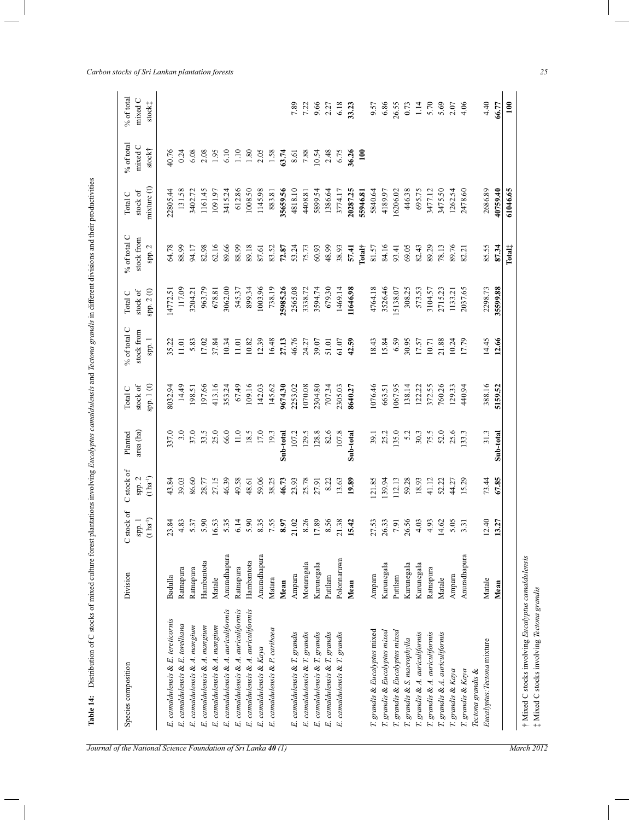| ׇ֚֘֡                                                                               |
|------------------------------------------------------------------------------------|
|                                                                                    |
|                                                                                    |
|                                                                                    |
|                                                                                    |
|                                                                                    |
|                                                                                    |
|                                                                                    |
| l                                                                                  |
| $\overline{a}$                                                                     |
| į                                                                                  |
|                                                                                    |
| ١                                                                                  |
|                                                                                    |
|                                                                                    |
|                                                                                    |
| J                                                                                  |
|                                                                                    |
|                                                                                    |
| I                                                                                  |
|                                                                                    |
| ֚֬֕                                                                                |
|                                                                                    |
|                                                                                    |
|                                                                                    |
|                                                                                    |
|                                                                                    |
|                                                                                    |
|                                                                                    |
|                                                                                    |
|                                                                                    |
| ì<br>ţ                                                                             |
| l                                                                                  |
| ļ                                                                                  |
| ļ<br>֕                                                                             |
| l<br>╡                                                                             |
| l                                                                                  |
| $\overline{\phantom{a}}$                                                           |
|                                                                                    |
|                                                                                    |
|                                                                                    |
|                                                                                    |
| i                                                                                  |
| ļ                                                                                  |
| Ì                                                                                  |
| $\overline{a}$                                                                     |
|                                                                                    |
|                                                                                    |
|                                                                                    |
|                                                                                    |
|                                                                                    |
|                                                                                    |
| ļ                                                                                  |
| i                                                                                  |
|                                                                                    |
|                                                                                    |
| i<br>Ì                                                                             |
| j<br>I                                                                             |
| ï<br>ŗ.<br>ļ                                                                       |
| ï                                                                                  |
| j<br>l                                                                             |
| i<br>١<br>١                                                                        |
| ï                                                                                  |
| ÷<br>֒                                                                             |
| l                                                                                  |
| ֖֖֖֖֖֖֖֧֧֪֪֪֪֪֪֪֪֪֪֪֪֪֪֪֪֪֪֪֪֪֪֪֪֪֪֪֪֪֪֪֪֪֪֚֚֚֚֚֚֚֚֚֚֚֚֚֚֚֚֚֚֚֚֚֚֚֚֚֚֚֚֚֚֚֚֬֝֓֞֝֓֞ |
| l<br>١                                                                             |
| Í                                                                                  |
| l                                                                                  |
| able 1                                                                             |

| Species composition                  | Division     | stock of                                         | C stock of              | Planted   | Total C    | % of total C | Total C  | % of total C             | Total C    | % of total    | $%$ of total               |
|--------------------------------------|--------------|--------------------------------------------------|-------------------------|-----------|------------|--------------|----------|--------------------------|------------|---------------|----------------------------|
|                                      |              | spp.1                                            | spp. 2                  | area (ha) | stock of   | stock from   | stock of | stock from               | stock of   | mixed C       | mixed C                    |
|                                      |              | $(\mathbf{t}\;\mathbf{h}\mathbf{a}^{\text{-}1})$ | $(t \, \text{ha}^{-1})$ |           | spp. 1 (t) | spp. 1       | spp.2(t) | spp. 2                   | mixture(t) | stock†        | stock‡                     |
| E. camaldulensis & E. tereticornis   | Badulla      | 23.84                                            | 43.84                   | 337.0     | 8032.94    | 35.22        | 14772.51 | 64.78                    | 22805.44   | 40.76         |                            |
| E. camaldulensis & E. torelliana     | Ratnapura    | 4.83                                             | 39.03                   | 3.0       | 14.49      | 11.01        | 117.09   | 88.99                    | 131.58     | 0.24          |                            |
| E. camaldulensis & A. mangium        | Ratnapura    | 5.37                                             | 86.60                   | 37.0      | 198.51     | 5.83         | 3204.21  | 94.17                    | 3402.72    | 6.08          |                            |
| E. camaldulensis & A. mangium        | Hambantota   | 5.90                                             | 28.77                   | 33.5      | 197.66     | 17.02        | 963.79   | 82.98                    | 1161.45    | 2.08          |                            |
| E. camaldulensis & A. mangium        | Matale       | 6.53                                             | 27.15                   | 25.0      | 413.16     | 37.84        | 678.81   | 62.16                    | 1091.97    | 1.95          |                            |
| E. camaldulensis & A. auriculiformis | Anuradhapura | 5.35                                             | 46.39                   | 66.0      | 353.24     | 10.34        | 3062.00  | 89.66                    | 3415.24    | 6.10          |                            |
| E. camaldulensis & A. auriculiformis | Ratnapura    | 6.14                                             | 49.58                   | 11.0      | 67.49      | 11.01        | 545.37   | 88.99                    | 612.86     | 1.10          |                            |
| E. camaldulensis & A. auriculiformis | Hambantota   | 5.90                                             | 48.61                   | 18.5      | 109.16     | 10.82        | 899.34   | 89.18                    | 1008.50    | 1.80          |                            |
| E. camaldulensis & Kaya              | Anuradhapura | 8.35                                             | 59.06                   | 17.0      | 142.03     | 12.39        | 1003.96  | 87.61                    | 1145.98    | 2.05          |                            |
| camaldulensis & P. caribaea<br>E.    | Matara       | 7.55                                             | 38.25                   | 19.3      | 145.62     | 16.48        | 738.19   | 83.52                    | 883.81     | 1.58          |                            |
|                                      | Mean         | 8.97                                             | 46.73                   | Sub-total | 9674.30    | 27.13        | 25985.26 | 72.87                    | 35659.56   | 63.74         |                            |
| E. camaldulensis & T. grandis        | Ampara       | 21.02<br>8.26<br>17.89                           | 23.93                   | 107.2     | 2253.02    | 46.76        | 2565.08  | 53.24                    | 4818.10    | 8.61          | 7.89                       |
| E. camaldulensis & T. grandis        | Monaragala   |                                                  | 25.78                   | 129.5     | 1070.08    | 24.27        | 3338.72  | 75.73                    | 4408.81    | 7.88          | 7.22                       |
| E. camaldulensis & T. grandis        | Kurunegala   |                                                  | 27.91                   | 128.8     | 2304.80    | 39.07        | 3594.74  | 60.93                    | 5899.54    | 10.54         | 9.66                       |
| E. camaldulensis & T. grandis        | Puttlam      | 8.56                                             | 8.22                    | 82.6      | 707.34     | 51.01        | 679.30   | 48.99                    | 1386.64    | 2.48          | 2.27                       |
| E. camaldulensis & T. grandis        | Polomaruwa   | 21.38                                            | 13.63                   | 107.8     | 2305.03    | 61.07        | 1469.14  | 38.93                    | 3774.17    | 6.75          | 6.18                       |
|                                      | Mean         | 15.42                                            | 19.89                   | Sub-total | 8640.27    | 42.59        | 11646.98 | 57.41                    | 20287.25   | <b>16.26</b>  | 33.23                      |
|                                      |              |                                                  |                         |           |            |              |          | $0$ tal†                 | 55946.81   | $\frac{1}{2}$ |                            |
| T. grandis & Eucalyptus mixed        | Ampara       | 27.53<br>26.33<br>7.91                           | .21.85                  | 39.1      | 1076.46    | 18.43        | 4764.18  | 81.57                    | 5840.64    |               |                            |
| T. grandis & Eucalyptus mixed        | Kurunegala   |                                                  | 39.94                   | 25.2      | 663.51     | 15.84        | 3526.46  | 84.16                    | 4189.97    |               | 9.57<br>6.86               |
| T. grandis & Eucalyptus mixed        | Puttlam      |                                                  | 112.13                  | 135.0     | 1067.95    | 6.59         | 5138.07  | 93.41                    | 16206.02   |               | 26.55                      |
| T. grandis & S. macrophylla          | Kurunegala   | 26.56                                            | 59.28                   | 5.2       | 138.14     | 30.95        | 308.25   | 69.05                    | 446.38     |               | 0.73                       |
| T. grandis & A. auriculiformis       | Kurunegala   | 4.03                                             | 18.93                   | 30.3      | 122.22     | 17.57        | 573.53   | 82.43                    | 695.75     |               | $\frac{1}{4}$              |
| T. grandis & A. auriculiformis       | Ratnapura    | 4.93                                             | 41.12                   | 75.5      | 372.55     | 10.71        | 3104.57  | 89.29                    | 3477.12    |               |                            |
| T. grandis & A. auriculiformis       | Matale       |                                                  | 52.22                   | 52.0      | 760.26     | 21.88        | 2715.23  | 78.13                    | 3475.50    |               |                            |
| T. grandis & Kaya                    | Ampara       | $14.62$<br>5.05<br>3.31                          | 44.27                   | 25.6      | 129.33     | 10.24        | 1133.21  | 89.76                    | 1262.54    |               | $5.70$<br>$5.69$<br>$4.06$ |
| T. grandis & Kaya                    | Anuradhapur  |                                                  | 15.29                   | 133.3     | 440.94     | 17.79        | 2037.65  | 82.21                    | 2478.60    |               |                            |
| Tectona grandis &                    |              |                                                  |                         |           |            |              |          |                          |            |               |                            |
| Eucalyptus: Tectona mixture          | Matale       | 12.40                                            | 73.44                   | 31.3      | 388.16     | 14.45        | 2298.73  | 85.55                    | 2686.89    |               | 4.40                       |
|                                      | Mean         | 13.27                                            | 67.85                   | Sub-total | 5159.52    | 12.66        | 35599.88 | 87.34                    | 40759.40   |               | 66.77                      |
|                                      |              |                                                  |                         |           |            |              |          | $\Gamma$ otal $\ddagger$ | 61046.65   |               | $\overline{100}$           |

*Carbon stocks of Sri Lankan plantation forests 25*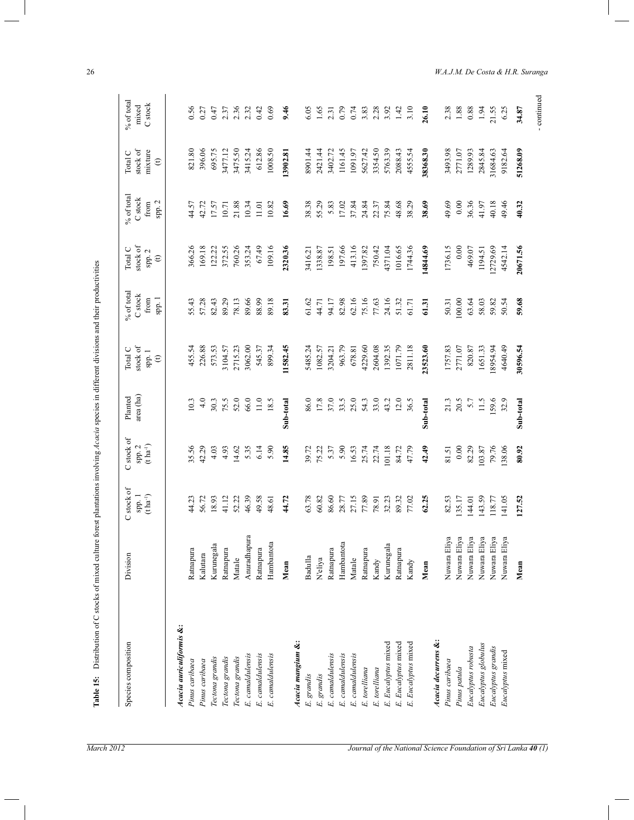| Species composition             | Division     | C stock of<br>$(\mathbf{t}\:\mathbf{ha}^{-1})$<br>spp. 1 | C stock of<br>$(t \, \mathrm{h} \mathrm{a}^{\text{-}1})$<br>spp. 2 | area (ha)<br>Planted | stock of<br>Total C<br>spp. 1<br>$\mathfrak{S}$ | % of total<br>$\mathbf C$ stock<br>spp.1<br>from | stock of<br>Total C<br>spp. 2<br>$\oplus$ | % of total<br>$\mathbf C$ stock<br>spp. 2<br>from | stock of<br>mixture<br>Total C<br>$\oplus$ | $%$ of total<br>C stock<br>mixed |
|---------------------------------|--------------|----------------------------------------------------------|--------------------------------------------------------------------|----------------------|-------------------------------------------------|--------------------------------------------------|-------------------------------------------|---------------------------------------------------|--------------------------------------------|----------------------------------|
| Acacia auriculiformis &:        |              |                                                          |                                                                    |                      |                                                 |                                                  |                                           |                                                   |                                            |                                  |
| Pinus caribaea                  | Ratnapura    | 44.23                                                    | 35.56                                                              | 10.3                 | 455.54                                          | 55.43                                            | 366.26                                    | 44.57                                             | 821.80                                     |                                  |
| Pinus caribaea                  | Kalutara     | 56.72                                                    | 42.29                                                              | 4.0                  | 226.88                                          | 57.28                                            | 169.18                                    | 42.72                                             | 396.06                                     |                                  |
| Tectona grandis                 | Kurunegala   | 18.93                                                    | 4.03                                                               | 30.3                 | 573.53                                          | 82.43                                            | 122.22                                    | 17.57                                             | 695.75                                     |                                  |
| Tectona grandis                 | Ratnapura    | 41.12                                                    | 4.93                                                               | 75.5                 | 3104.57                                         | 89.29                                            | 372.55                                    | 10.71                                             | 3477.12                                    |                                  |
| Tectona grandis                 | Matale       | 52.22                                                    | 14.62                                                              | 52.0                 | 2715.23                                         | 78.13                                            | 760.26                                    | 21.88                                             | 3475.50                                    |                                  |
| E. canaldulensis                | Anuradhapura | 46.39                                                    | 5.35                                                               | 66.0                 | 3062.00                                         | 89.66                                            | 353.24                                    | 10.34                                             | 3415.24                                    |                                  |
| E. canaldulensis                | Ratnapura    | 49.58                                                    | 6.14                                                               | 11.0                 | 545.37                                          | 88.99                                            | 67.49                                     | 11.01                                             | 612.86                                     |                                  |
| E. camaldulensis                | Hambantota   | 48.61                                                    | 5.90                                                               | 18.5                 | 899.34                                          | 89.18                                            | 109.16                                    | 10.82                                             | 1008.50                                    |                                  |
|                                 | Mean         | 44.72                                                    | 14.85                                                              | Sub-total            | 11582.45                                        | 83.31                                            | 2320.36                                   | 16.69                                             | 13902.81                                   |                                  |
| Acacia mangium &:               |              |                                                          |                                                                    |                      |                                                 |                                                  |                                           |                                                   |                                            |                                  |
| E. grandis                      | Badulla      | 63.78                                                    | 39.72                                                              | 86.0                 | 5485.24                                         | 61.62                                            | 3416.21                                   | 38.38                                             | 8901.44                                    |                                  |
| grandis<br>E.                   | Neliya       | 60.82                                                    | 75.22                                                              | 17.8                 | 1082.57                                         | 44.71                                            | 1338.87                                   | 55.29                                             | 2421.44                                    |                                  |
| E. canaldulensis                | Ratnapura    | 86.60                                                    | 5.37                                                               | 37.0                 | 3204.21                                         | 94.17                                            | 198.51                                    | 5.83                                              | 3402.72                                    |                                  |
| E. camaldulensis                | Hambantota   | 28.77                                                    | 5.90                                                               | 33.5                 | 963.79                                          | 82.98                                            | 197.66                                    | 17.02                                             | 1161.45                                    |                                  |
| E. canaldulensis                | Matale       | 27.15                                                    | 16.53                                                              | 25.0                 | 678.81                                          | 62.16                                            | 413.16                                    | 37.84                                             | 1091.97                                    |                                  |
| E. torelliana                   | Ratnapura    | 77.89                                                    | 25.74                                                              | 54.3                 | 4229.60                                         | 75.16                                            | 1397.82                                   | 24.84                                             | 5627.42                                    |                                  |
| E. torelliana                   | Kandy        | 78.91                                                    | 22.74                                                              | 33.0                 | 2604.08                                         | 77.63                                            | 750.42                                    | 22.37                                             | 3354.50                                    |                                  |
| E. Eucalyptus mixed             | Kurunegala   | 32.23                                                    | 101.18                                                             | 43.2                 | 1392.35                                         | 24.16                                            | 4371.04                                   | 75.84                                             | 5763.39                                    |                                  |
| E. Eucalyptus mixed             | Ratnapura    | 89.32                                                    | 84.72                                                              | 12.0                 | 1071.79                                         | 51.32                                            | 1016.65                                   | 48.68                                             | 2088.43                                    |                                  |
| Eucalyptus mixed<br>$E_{\perp}$ | Kandy        | 77.02                                                    | 47.79                                                              | 36.5                 | 2811.18                                         | 61.71                                            | 1744.36                                   | 38.29                                             | 4555.54                                    |                                  |
|                                 | Mean         | 62.25                                                    | 42.49                                                              | Sub-total            | 23523.60                                        | 61.31                                            | 14844.69                                  | 38.69                                             | 38368.30                                   | 26.10                            |
| Acacia decurrens &:             |              |                                                          |                                                                    |                      |                                                 |                                                  |                                           |                                                   |                                            |                                  |
| Pinus caribaea                  | Nuwara Eliya | 82.53                                                    | 81.51                                                              | 21.3                 | 1757.83                                         | 50.31                                            | 1736.15                                   | 49.69                                             | 3493.98                                    |                                  |
| Pinus patula                    | Nuwara Eliya | 135.17                                                   | 0.00                                                               | 20.5                 | 2771.07                                         | 100.00                                           | 0.00                                      | 0.00                                              | 2771.07                                    |                                  |
| Eucalyptus robusta              | Nuwara Eliya | 144.01                                                   | 82.29                                                              | 5.7                  | 820.87                                          | 63.64                                            | 469.07                                    | 36.36                                             | 1289.93                                    |                                  |
| Eucalyptus globulus             | Nuwara Eliya | 143.59                                                   | 103.87                                                             | 11.5                 | 1651.33                                         | 58.03                                            | 1194.51                                   | 41.97                                             | 2845.84                                    |                                  |
| Eucalyptus grandis              | Nuwara Eliya | 118.77                                                   | 79.76                                                              | 159.6                | 8954.94                                         | 59.82                                            | 2729.69                                   | 40.18                                             | 31684.63                                   | 21.55                            |
| Eucalyptus mixed                | Nuwara Eliya | 141.05                                                   | 138.06                                                             | 32.9                 | 4640.49                                         | 50.54                                            | 4542.14                                   | 49.46                                             | 9182.64                                    |                                  |
|                                 | Mean         | 127.52                                                   | 80.92                                                              | Sub-total            | 30596.54                                        | 59.68                                            | 20671.56                                  | 40.32                                             | 51268.09                                   | 34.87                            |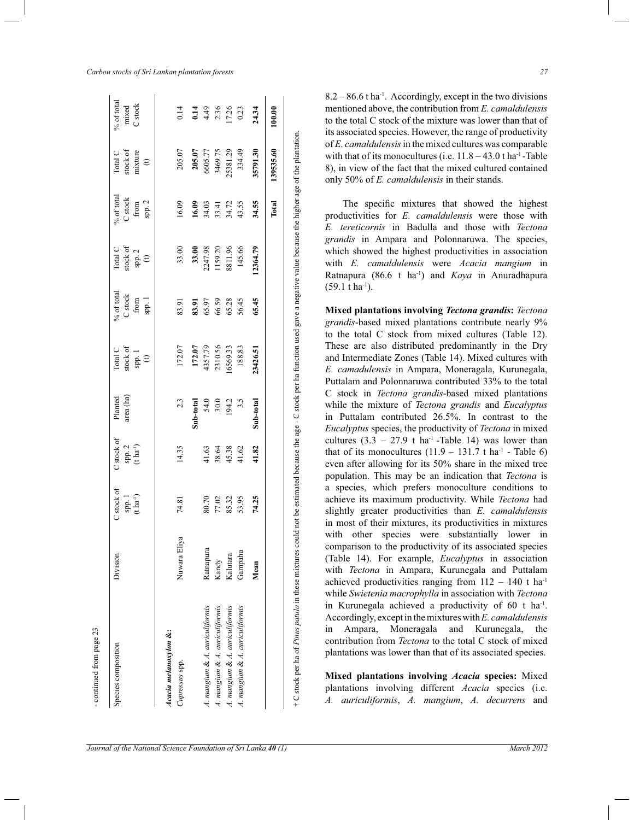| -continued from page 23                 |                     |                                                       |                                               |                                                    |                                                    |                                                   |                                                                                                |                                                                                                                       |                                                           |                                                  |
|-----------------------------------------|---------------------|-------------------------------------------------------|-----------------------------------------------|----------------------------------------------------|----------------------------------------------------|---------------------------------------------------|------------------------------------------------------------------------------------------------|-----------------------------------------------------------------------------------------------------------------------|-----------------------------------------------------------|--------------------------------------------------|
| Species composition                     | Division            | $\supset$ stock of<br>spp. 1<br>(t ha <sup>-1</sup> ) | C stock of<br>spp. 2<br>(t ha <sup>-1</sup> ) | Planted<br>area (ha)                               | Total C<br>stock of<br>spp. 1<br>(t)               | % of total<br>C stock<br>from<br>from<br>spp. $1$ | $\begin{array}{l} \text{Total C}\\ \text{stock of}\\ \text{spp. 2}\\ \text{(t)}\\ \end{array}$ | % of total<br>C stock<br>from<br>spp. 2                                                                               | Total C<br>stock of<br>mixture<br>(t)                     | % of total<br>mixed<br>C stock                   |
| Acacia melanoxylon &:<br>Cupressus spp. | Nuwara Eliya        | 74.81                                                 | 14.35                                         | 2.3                                                | 172.07                                             | 83.91                                             |                                                                                                | 16.09                                                                                                                 | 205.07                                                    | 0.14                                             |
|                                         |                     |                                                       |                                               |                                                    | 172.07<br>4357.79<br>2310.56<br>16569.33<br>188.83 |                                                   |                                                                                                |                                                                                                                       |                                                           |                                                  |
| A. mangium & A. auriculiformis          | Ratnapura           |                                                       |                                               | <b>Sub-total</b><br>54.0<br>30.0<br>194.2<br>194.2 |                                                    |                                                   |                                                                                                |                                                                                                                       |                                                           |                                                  |
| A. mangium & A. auriculiformis          | Kandy               |                                                       |                                               |                                                    |                                                    |                                                   |                                                                                                |                                                                                                                       |                                                           |                                                  |
| A. mangium & A. auriculiformis          |                     |                                                       |                                               |                                                    |                                                    |                                                   |                                                                                                |                                                                                                                       |                                                           |                                                  |
| A. mangium & A. auriculiformis          | Kalutara<br>Gampaha | 80.70<br>77.02<br>85.32<br>53.95<br>74.25             | $41.63$<br>38.64<br>$45.38$<br>41.82<br>41.82 |                                                    |                                                    | 83.91<br>65.97<br>66.58<br>56.45<br>65.45         | 33.00<br><b>33.00</b><br><b>33.00</b><br>2247.98<br>1159.20<br>1159.20<br>8811.96              | $\begin{array}{c} \mathbf{16.09} \\ \mathbf{34.03} \\ \mathbf{33.41} \\ \mathbf{34.72} \\ \mathbf{34.55} \end{array}$ | <b>205.07</b><br>6605.77<br>3469.75<br>25381.29<br>334.49 | $1498$<br>$436$<br>$17.26$<br>$10.23$<br>$24.34$ |
|                                         | Mean                |                                                       |                                               | Sub-total                                          | 3426.51                                            |                                                   | 12364.79                                                                                       | 34.55                                                                                                                 | 35791.30                                                  |                                                  |
|                                         |                     |                                                       |                                               |                                                    |                                                    |                                                   |                                                                                                | Total                                                                                                                 | 139535.60                                                 | 100.00                                           |
|                                         |                     |                                                       |                                               |                                                    |                                                    |                                                   |                                                                                                |                                                                                                                       |                                                           |                                                  |

| j<br>č<br>$\overline{\phantom{a}}$<br>ł<br>l<br>ì<br>5<br>֡֡֡֡֡֡֡<br>ׇ֚֚֬<br>ţ<br>;<br>j<br>ł<br>ł<br>j |
|---------------------------------------------------------------------------------------------------------|
| dăΩ<br>ļ<br>č<br>ĭ<br>Î<br>ļ<br>í<br>çe,<br>j<br>١Č<br>į<br>i<br>$\mathbf{I}$<br>ļ<br>į                 |

8.2 *–* 86.6 t ha-1. Accordingly, except in the two divisions mentioned above, the contribution from *E. camaldulensis*  to the total C stock of the mixture was lower than that of its associated species. However, the range of productivity of *E. camaldulensis* in the mixed cultures was comparable with that of its monocultures (i.e.  $11.8 - 43.0$  t ha<sup>-1</sup>-Table 8), in view of the fact that the mixed cultured contained only 50% of *E. camaldulensis* in their stands.

 The specific mixtures that showed the highest productivities for *E. camaldulensis* were those with *E. tereticornis* in Badulla and those with *Tectona grandis* in Ampara and Polonnaruwa. The species, which showed the highest productivities in association with *E. camaldulensis* were *Acacia mangium* in Ratnapura (86.6 t ha-1) and *Kaya* in Anuradhapura  $(59.1 \text{ t} \text{ ha}^{-1})$ .

**Mixed plantations involving** *Tectona grandis***:** *Tectona grandis*-based mixed plantations contribute nearly 9% to the total C stock from mixed cultures (Table 12). These are also distributed predominantly in the Dry and Intermediate Zones (Table 14). Mixed cultures with *E. camadulensis* in Ampara, Moneragala, Kurunegala, Puttalam and Polonnaruwa contributed 33% to the total C stock in *Tectona grandis*-based mixed plantations while the mixture of *Tectona grandis* and *Eucalyptus*  in Puttalam contributed 26.5%. In contrast to the *Eucalyptus* species, the productivity of *Tectona* in mixed cultures  $(3.3 - 27.9 \text{ t} \text{ ha}^{-1} \text{ -Table 14})$  was lower than that of its monocultures  $(11.9 - 131.7 \text{ t ha}^{-1}$  - Table 6) even after allowing for its 50% share in the mixed tree population. This may be an indication that *Tectona* is a species, which prefers monoculture conditions to achieve its maximum productivity. While *Tectona* had slightly greater productivities than *E. camaldulensis*  in most of their mixtures, its productivities in mixtures with other species were substantially lower in comparison to the productivity of its associated species (Table 14). For example, *Eucalyptus* in association with *Tectona* in Ampara, Kurunegala and Puttalam achieved productivities ranging from 112 *–* 140 t ha-1 while *Swietenia macrophylla* in association with *Tectona*  in Kurunegala achieved a productivity of  $60$  t ha<sup>-1</sup>. Accordingly, except in the mixtures with *E. camaldulensis*  in Ampara, Moneragala and Kurunegala, the contribution from *Tectona* to the total C stock of mixed plantations was lower than that of its associated species.

**Mixed plantations involving** *Acacia* **species:** Mixed plantations involving different *Acacia* species (i.e. *A. auriculiformis*, *A. mangium*, *A. decurrens* and

continued from page 23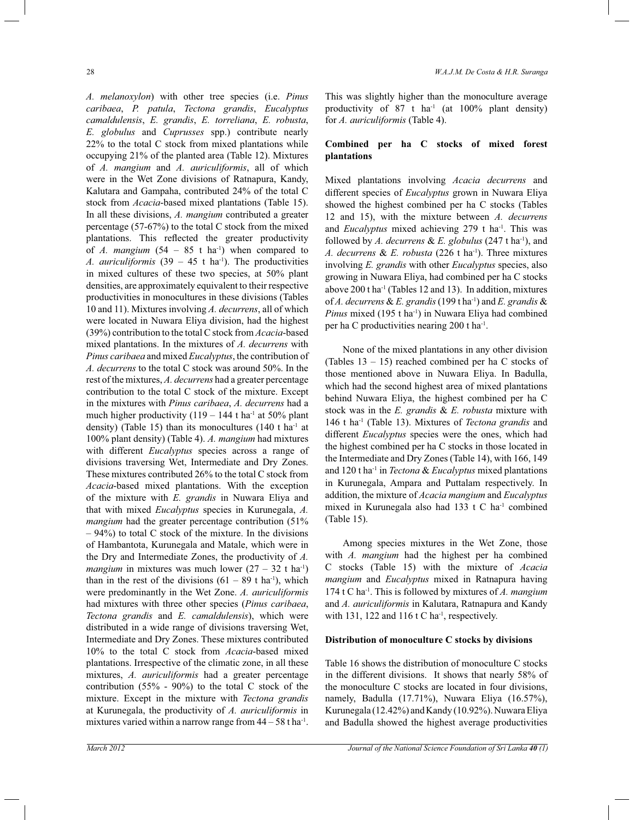*A. melanoxylon*) with other tree species (i.e. *Pinus caribaea*, *P. patula*, *Tectona grandis*, *Eucalyptus camaldulensis*, *E. grandis*, *E. torreliana*, *E. robusta*, *E. globulus* and *Cuprusses* spp.) contribute nearly 22% to the total C stock from mixed plantations while occupying 21% of the planted area (Table 12). Mixtures of *A. mangium* and *A. auriculiformis*, all of which were in the Wet Zone divisions of Ratnapura, Kandy, Kalutara and Gampaha, contributed 24% of the total C stock from *Acacia*-based mixed plantations (Table 15). In all these divisions, *A. mangium* contributed a greater percentage (57-67%) to the total C stock from the mixed plantations. This reflected the greater productivity of *A. mangium*  $(54 - 85$  t ha<sup>-1</sup>) when compared to *A. auriculiformis*  $(39 - 45 \text{ t} \text{ ha}^{-1})$ . The productivities in mixed cultures of these two species, at 50% plant densities, are approximately equivalent to their respective productivities in monocultures in these divisions (Tables 10 and 11). Mixtures involving *A. decurrens*, all of which were located in Nuwara Eliya division, had the highest (39%) contribution to the total C stock from *Acacia*-based mixed plantations. In the mixtures of *A. decurrens* with *Pinus caribaea* and mixed *Eucalyptus*, the contribution of *A. decurrens* to the total C stock was around 50%. In the rest of the mixtures, *A. decurrens* had a greater percentage contribution to the total C stock of the mixture. Except in the mixtures with *Pinus caribaea*, *A. decurrens* had a much higher productivity  $(119 - 144$  t ha<sup>-1</sup> at 50% plant density) (Table 15) than its monocultures (140 t ha<sup>-1</sup> at 100% plant density) (Table 4). *A. mangium* had mixtures with different *Eucalyptus* species across a range of divisions traversing Wet, Intermediate and Dry Zones. These mixtures contributed 26% to the total C stock from *Acacia*-based mixed plantations. With the exception of the mixture with *E. grandis* in Nuwara Eliya and that with mixed *Eucalyptus* species in Kurunegala, *A. mangium* had the greater percentage contribution (51%)  $-94\%$ ) to total C stock of the mixture. In the divisions of Hambantota, Kurunegala and Matale, which were in the Dry and Intermediate Zones, the productivity of *A. mangium* in mixtures was much lower  $(27 - 32 \text{ t ha}^{-1})$ than in the rest of the divisions  $(61 – 89$  t ha<sup>-1</sup>), which were predominantly in the Wet Zone. *A. auriculiformis*  had mixtures with three other species (*Pinus caribaea*, *Tectona grandis* and *E. camaldulensis*), which were distributed in a wide range of divisions traversing Wet, Intermediate and Dry Zones. These mixtures contributed 10% to the total C stock from *Acacia*-based mixed plantations. Irrespective of the climatic zone, in all these mixtures, *A. auriculiformis* had a greater percentage contribution (55% - 90%) to the total C stock of the mixture. Except in the mixture with *Tectona grandis*  at Kurunegala, the productivity of *A. auriculiformis* in mixtures varied within a narrow range from  $44 - 58$  t ha<sup>-1</sup>. This was slightly higher than the monoculture average productivity of  $87$  t ha<sup>-1</sup> (at  $100\%$  plant density) for *A. auriculiformis* (Table 4).

## **Combined per ha C stocks of mixed forest plantations**

Mixed plantations involving *Acacia decurrens* and different species of *Eucalyptus* grown in Nuwara Eliya showed the highest combined per ha C stocks (Tables 12 and 15), with the mixture between *A. decurrens*  and *Eucalyptus* mixed achieving 279 t ha<sup>-1</sup>. This was followed by *A. decurrens* & *E. globulus* (247 t ha<sup>-1</sup>), and *A. decurrens* & *E. robusta* (226 t ha-1). Three mixtures involving *E. grandis* with other *Eucalyptus* species, also growing in Nuwara Eliya, had combined per ha C stocks above 200 t ha-1 (Tables 12 and 13). In addition, mixtures of *A. decurrens* & *E. grandis* (199 t ha-1) and *E. grandis* & Pinus mixed (195 t ha<sup>-1</sup>) in Nuwara Eliya had combined per ha C productivities nearing 200 t ha-1 .

 None of the mixed plantations in any other division (Tables  $13 - 15$ ) reached combined per ha C stocks of those mentioned above in Nuwara Eliya. In Badulla, which had the second highest area of mixed plantations behind Nuwara Eliya, the highest combined per ha C stock was in the *E. grandis* & *E. robusta* mixture with 146 t ha-1 (Table 13). Mixtures of *Tectona grandis* and different *Eucalyptus* species were the ones, which had the highest combined per ha C stocks in those located in the Intermediate and Dry Zones (Table 14), with 166, 149 and 120 t ha-1 in *Tectona* & *Eucalyptus* mixed plantations in Kurunegala, Ampara and Puttalam respectively. In addition, the mixture of *Acacia mangium* and *Eucalyptus*  mixed in Kurunegala also had 133 t C ha<sup>-1</sup> combined (Table 15).

 Among species mixtures in the Wet Zone, those with *A. mangium* had the highest per ha combined C stocks (Table 15) with the mixture of *Acacia mangium* and *Eucalyptus* mixed in Ratnapura having 174 t C ha-1. This is followed by mixtures of *A. mangium*  and *A. auriculiformis* in Kalutara, Ratnapura and Kandy with 131, 122 and 116  $t \,$ C ha<sup>-1</sup>, respectively.

#### **Distribution of monoculture C stocks by divisions**

Table 16 shows the distribution of monoculture C stocks in the different divisions. It shows that nearly 58% of the monoculture C stocks are located in four divisions, namely, Badulla (17.71%), Nuwara Eliya (16.57%), Kurunegala (12.42%) and Kandy (10.92%). Nuwara Eliya and Badulla showed the highest average productivities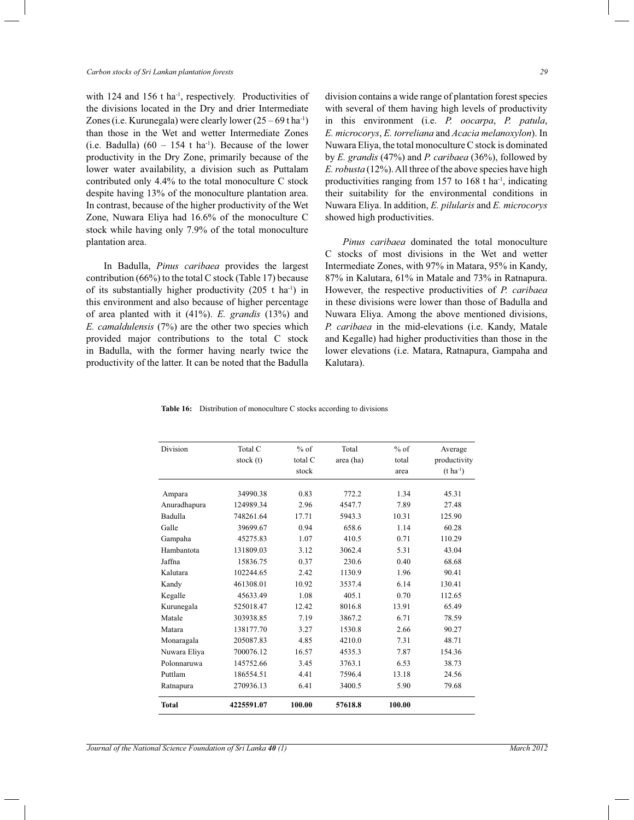#### *Carbon stocks of Sri Lankan plantation forests 29*

with 124 and 156 t ha<sup>-1</sup>, respectively. Productivities of the divisions located in the Dry and drier Intermediate Zones (i.e. Kurunegala) were clearly lower  $(25 - 69$  t ha<sup>-1</sup>) than those in the Wet and wetter Intermediate Zones (i.e. Badulla)  $(60 - 154 \text{ t} \text{ ha}^{-1})$ . Because of the lower productivity in the Dry Zone, primarily because of the lower water availability, a division such as Puttalam contributed only 4.4% to the total monoculture C stock despite having 13% of the monoculture plantation area. In contrast, because of the higher productivity of the Wet Zone, Nuwara Eliya had 16.6% of the monoculture C stock while having only 7.9% of the total monoculture plantation area.

 In Badulla, *Pinus caribaea* provides the largest contribution (66%) to the total C stock (Table 17) because of its substantially higher productivity  $(205 \text{ t} \text{ ha}^{-1})$  in this environment and also because of higher percentage of area planted with it (41%). *E. grandis* (13%) and *E. camaldulensis* (7%) are the other two species which provided major contributions to the total C stock in Badulla, with the former having nearly twice the productivity of the latter. It can be noted that the Badulla division contains a wide range of plantation forest species with several of them having high levels of productivity in this environment (i.e. *P. oocarpa*, *P. patula*, *E. microcorys*, *E. torreliana* and *Acacia melanoxylon*). In Nuwara Eliya, the total monoculture C stock is dominated by *E. grandis* (47%) and *P. caribaea* (36%), followed by *E. robusta* (12%). All three of the above species have high productivities ranging from  $157$  to  $168$  t ha<sup>-1</sup>, indicating their suitability for the environmental conditions in Nuwara Eliya. In addition, *E. pilularis* and *E. microcorys*  showed high productivities.

 *Pinus caribaea* dominated the total monoculture C stocks of most divisions in the Wet and wetter Intermediate Zones, with 97% in Matara, 95% in Kandy, 87% in Kalutara, 61% in Matale and 73% in Ratnapura. However, the respective productivities of *P. caribaea*  in these divisions were lower than those of Badulla and Nuwara Eliya. Among the above mentioned divisions, *P. caribaea* in the mid-elevations (i.e. Kandy, Matale and Kegalle) had higher productivities than those in the lower elevations (i.e. Matara, Ratnapura, Gampaha and Kalutara).

|  |  | <b>Table 16:</b> Distribution of monoculture C stocks according to divisions |  |  |  |
|--|--|------------------------------------------------------------------------------|--|--|--|
|--|--|------------------------------------------------------------------------------|--|--|--|

| Division     | Total C    | $%$ of  | Total     | $%$ of | Average          |
|--------------|------------|---------|-----------|--------|------------------|
|              | stock (t)  | total C | area (ha) | total  | productivity     |
|              |            | stock   |           | area   | $(t \, ha^{-1})$ |
| Ampara       | 34990.38   | 0.83    | 772.2     | 1.34   | 45.31            |
| Anuradhapura | 124989.34  | 2.96    | 4547.7    | 7.89   | 27.48            |
| Badulla      | 748261.64  | 17.71   | 5943.3    | 10.31  | 125.90           |
| Galle        | 39699.67   | 0.94    | 658.6     | 1.14   | 60.28            |
| Gampaha      | 45275.83   | 1.07    | 410.5     | 0.71   | 110.29           |
| Hambantota   | 131809.03  | 3.12    | 3062.4    | 5.31   | 43.04            |
| Jaffna       | 15836.75   | 0.37    | 230.6     | 0.40   | 68.68            |
| Kalutara     | 102244.65  | 2.42    | 1130.9    | 1.96   | 90.41            |
| Kandy        | 461308.01  | 10.92   | 3537.4    | 6.14   | 130.41           |
| Kegalle      | 45633.49   | 1.08    | 405.1     | 0.70   | 112.65           |
| Kurunegala   | 525018.47  | 12.42   | 8016.8    | 13.91  | 65.49            |
| Matale       | 303938.85  | 7.19    | 3867.2    | 6.71   | 78.59            |
| Matara       | 138177.70  | 3.27    | 1530.8    | 2.66   | 90.27            |
| Monaragala   | 205087.83  | 4.85    | 4210.0    | 7.31   | 48.71            |
| Nuwara Eliya | 700076.12  | 16.57   | 4535.3    | 7.87   | 154.36           |
| Polonnaruwa  | 145752.66  | 3.45    | 3763.1    | 6.53   | 38.73            |
| Puttlam      | 186554.51  | 441     | 7596.4    | 13.18  | 24.56            |
| Ratnapura    | 270936.13  | 6.41    | 3400.5    | 5.90   | 79.68            |
| <b>Total</b> | 4225591.07 | 100.00  | 57618.8   | 100.00 |                  |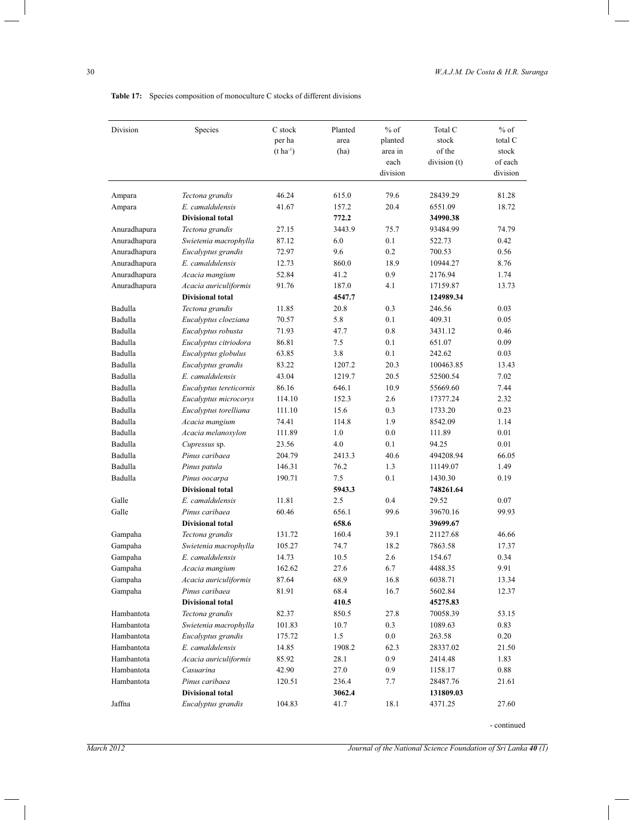| Division     | Species                 | C stock          | Planted | $%$ of   | Total C      | $%$ of   |
|--------------|-------------------------|------------------|---------|----------|--------------|----------|
|              |                         | per ha           | area    | planted  | stock        | total C  |
|              |                         | $(t \, ha^{-1})$ | (ha)    | area in  | of the       | stock    |
|              |                         |                  |         | each     | division (t) | of each  |
|              |                         |                  |         | division |              | division |
| Ampara       | Tectona grandis         | 46.24            | 615.0   | 79.6     | 28439.29     | 81.28    |
| Ampara       | E. camaldulensis        | 41.67            | 157.2   | 20.4     | 6551.09      | 18.72    |
|              | <b>Divisional total</b> |                  | 772.2   |          | 34990.38     |          |
| Anuradhapura | Tectona grandis         | 27.15            | 3443.9  | 75.7     | 93484.99     | 74.79    |
| Anuradhapura | Swietenia macrophylla   | 87.12            | 6.0     | 0.1      | 522.73       | 0.42     |
| Anuradhapura | Eucalyptus grandis      | 72.97            | 9.6     | 0.2      | 700.53       | 0.56     |
| Anuradhapura | E. camaldulensis        | 12.73            | 860.0   | 18.9     | 10944.27     | 8.76     |
| Anuradhapura | Acacia mangium          | 52.84            | 41.2    | 0.9      | 2176.94      | 1.74     |
| Anuradhapura | Acacia auriculiformis   | 91.76            | 187.0   | 4.1      | 17159.87     | 13.73    |
|              | <b>Divisional total</b> |                  | 4547.7  |          | 124989.34    |          |
| Badulla      | Tectona grandis         | 11.85            | 20.8    | 0.3      | 246.56       | 0.03     |
| Badulla      | Eucalyptus cloeziana    | 70.57            | 5.8     | 0.1      | 409.31       | 0.05     |
| Badulla      | Eucalyptus robusta      | 71.93            | 47.7    | 0.8      | 3431.12      | 0.46     |
| Badulla      | Eucalyptus citriodora   | 86.81            | 7.5     | 0.1      | 651.07       | 0.09     |
| Badulla      | Eucalyptus globulus     | 63.85            | 3.8     | 0.1      | 242.62       | 0.03     |
| Badulla      | Eucalyptus grandis      | 83.22            | 1207.2  | 20.3     | 100463.85    | 13.43    |
| Badulla      | E. camaldulensis        | 43.04            | 1219.7  | 20.5     | 52500.54     | 7.02     |
| Badulla      | Eucalyptus tereticornis | 86.16            | 646.1   | 10.9     | 55669.60     | 7.44     |
| Badulla      | Eucalyptus microcorys   | 114.10           | 152.3   | 2.6      | 17377.24     | 2.32     |
| Badulla      | Eucalyptus torelliana   | 111.10           | 15.6    | 0.3      | 1733.20      | 0.23     |
| Badulla      | Acacia mangium          | 74.41            | 114.8   | 1.9      | 8542.09      | 1.14     |
| Badulla      | Acacia melanoxylon      | 111.89           | 1.0     | 0.0      | 111.89       | 0.01     |
| Badulla      | Cupressus sp.           | 23.56            | 4.0     | 0.1      | 94.25        | 0.01     |
| Badulla      | Pinus caribaea          | 204.79           | 2413.3  | 40.6     | 494208.94    | 66.05    |
| Badulla      | Pinus patula            | 146.31           | 76.2    | 1.3      | 11149.07     | 1.49     |
| Badulla      | Pinus oocarpa           | 190.71           | 7.5     | 0.1      | 1430.30      | 0.19     |
|              | <b>Divisional total</b> |                  | 5943.3  |          | 748261.64    |          |
| Galle        | E. camaldulensis        | 11.81            | 2.5     | 0.4      | 29.52        | 0.07     |
| Galle        | Pinus caribaea          | 60.46            | 656.1   | 99.6     | 39670.16     | 99.93    |
|              | <b>Divisional total</b> |                  | 658.6   |          | 39699.67     |          |
| Gampaha      | Tectona grandis         | 131.72           | 160.4   | 39.1     | 21127.68     | 46.66    |
| Gampaha      | Swietenia macrophylla   | 105.27           | 74.7    | 18.2     | 7863.58      | 17.37    |
| Gampaha      | E. camaldulensis        | 14.73            | 10.5    | 2.6      | 154.67       | 0.34     |
| Gampaha      | Acacia mangium          | 162.62           | 27.6    | 6.7      | 4488.35      | 9.91     |
| Gampaha      | Acacia auriculiformis   | 87.64            | 68.9    | 16.8     | 6038.71      | 13.34    |
| Gampaha      | Pinus caribaea          | 81.91            | 68.4    | 16.7     | 5602.84      | 12.37    |
|              | <b>Divisional total</b> |                  | 410.5   |          | 45275.83     |          |
| Hambantota   | Tectona grandis         | 82.37            | 850.5   | 27.8     | 70058.39     | 53.15    |
| Hambantota   | Swietenia macrophylla   | 101.83           | 10.7    | 0.3      | 1089.63      | 0.83     |
| Hambantota   | Eucalyptus grandis      | 175.72           | 1.5     | $0.0\,$  | 263.58       | 0.20     |
| Hambantota   | E. camaldulensis        | 14.85            | 1908.2  | 62.3     | 28337.02     | 21.50    |
| Hambantota   | Acacia auriculiformis   | 85.92            | 28.1    | 0.9      | 2414.48      | 1.83     |
| Hambantota   | Casuarina               | 42.90            | 27.0    | 0.9      | 1158.17      | 0.88     |
| Hambantota   | Pinus caribaea          | 120.51           | 236.4   | 7.7      | 28487.76     | 21.61    |
|              | <b>Divisional total</b> |                  | 3062.4  |          | 131809.03    |          |
| Jaffna       | Eucalyptus grandis      | 104.83           | 41.7    | 18.1     | 4371.25      | 27.60    |

Table 17: Species composition of monoculture C stocks of different divisions

- continued

 $\overline{\phantom{a}}$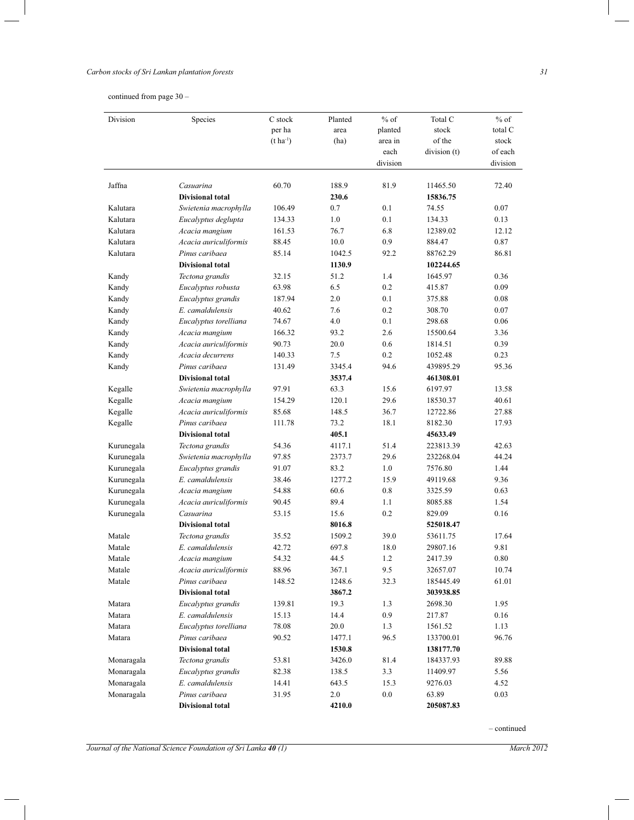# *Carbon stocks of Sri Lankan plantation forests 31*

continued from page 30 *–*

L

 $\overline{\phantom{a}}$ 

| Division   | Species                 | C stock          | Planted | $%$ of   | Total C      | $%$ of   |
|------------|-------------------------|------------------|---------|----------|--------------|----------|
|            |                         | per ha           | area    | planted  | stock        | total C  |
|            |                         | $(t \, ha^{-1})$ | (ha)    | area in  | of the       | stock    |
|            |                         |                  |         | each     | division (t) | of each  |
|            |                         |                  |         | division |              | division |
| Jaffna     | Casuarina               | 60.70            | 188.9   | 81.9     | 11465.50     | 72.40    |
|            | <b>Divisional total</b> |                  | 230.6   |          | 15836.75     |          |
| Kalutara   | Swietenia macrophylla   | 106.49           | 0.7     | 0.1      | 74.55        | 0.07     |
| Kalutara   | Eucalyptus deglupta     | 134.33           | 1.0     | 0.1      | 134.33       | 0.13     |
| Kalutara   | Acacia mangium          | 161.53           | 76.7    | 6.8      | 12389.02     | 12.12    |
| Kalutara   | Acacia auriculiformis   | 88.45            | 10.0    | 0.9      | 884.47       | 0.87     |
| Kalutara   | Pinus caribaea          | 85.14            | 1042.5  | 92.2     | 88762.29     | 86.81    |
|            | <b>Divisional total</b> |                  | 1130.9  |          | 102244.65    |          |
| Kandy      | Tectona grandis         | 32.15            | 51.2    | 1.4      | 1645.97      | 0.36     |
| Kandy      | Eucalyptus robusta      | 63.98            | 6.5     | 0.2      | 415.87       | 0.09     |
| Kandy      | Eucalyptus grandis      | 187.94           | 2.0     | 0.1      | 375.88       | 0.08     |
| Kandy      | E. camaldulensis        | 40.62            | 7.6     | 0.2      | 308.70       | 0.07     |
| Kandy      | Eucalyptus torelliana   | 74.67            | 4.0     | 0.1      | 298.68       | 0.06     |
| Kandy      | Acacia mangium          | 166.32           | 93.2    | 2.6      | 15500.64     | 3.36     |
| Kandy      | Acacia auriculiformis   | 90.73            | 20.0    | 0.6      | 1814.51      | 0.39     |
| Kandy      | Acacia decurrens        | 140.33           | 7.5     | 0.2      | 1052.48      | 0.23     |
| Kandy      | Pinus caribaea          | 131.49           | 3345.4  | 94.6     | 439895.29    | 95.36    |
|            | <b>Divisional total</b> |                  | 3537.4  |          | 461308.01    |          |
| Kegalle    | Swietenia macrophylla   | 97.91            | 63.3    | 15.6     | 6197.97      | 13.58    |
| Kegalle    | Acacia mangium          | 154.29           | 120.1   | 29.6     | 18530.37     | 40.61    |
| Kegalle    | Acacia auriculiformis   | 85.68            | 148.5   | 36.7     | 12722.86     | 27.88    |
| Kegalle    | Pinus caribaea          | 111.78           | 73.2    | 18.1     | 8182.30      | 17.93    |
|            | <b>Divisional total</b> |                  | 405.1   |          | 45633.49     |          |
| Kurunegala | Tectona grandis         | 54.36            | 4117.1  | 51.4     | 223813.39    | 42.63    |
| Kurunegala | Swietenia macrophylla   | 97.85            | 2373.7  | 29.6     | 232268.04    | 44.24    |
| Kurunegala | Eucalyptus grandis      | 91.07            | 83.2    | 1.0      | 7576.80      | 1.44     |
| Kurunegala | E. camaldulensis        | 38.46            | 1277.2  | 15.9     | 49119.68     | 9.36     |
| Kurunegala | Acacia mangium          | 54.88            | 60.6    | 0.8      | 3325.59      | 0.63     |
| Kurunegala | Acacia auriculiformis   | 90.45            | 89.4    | 1.1      | 8085.88      | 1.54     |
| Kurunegala | Casuarina               | 53.15            | 15.6    | 0.2      | 829.09       | 0.16     |
|            | <b>Divisional total</b> |                  | 8016.8  |          | 525018.47    |          |
| Matale     | Tectona grandis         | 35.52            | 1509.2  | 39.0     | 53611.75     | 17.64    |
| Matale     | E. camaldulensis        | 42.72            | 697.8   | 18.0     | 29807.16     | 9.81     |
| Matale     | Acacia mangium          | 54.32            | 44.5    | 1.2      | 2417.39      | 0.80     |
| Matale     | Acacia auriculiformis   | 88.96            | 367.1   | 9.5      | 32657.07     | 10.74    |
| Matale     | Pinus caribaea          | 148.52           | 1248.6  | 32.3     | 185445.49    | 61.01    |
|            | <b>Divisional total</b> |                  | 3867.2  |          | 303938.85    |          |
| Matara     | Eucalyptus grandis      | 139.81           | 19.3    | 1.3      | 2698.30      | 1.95     |
| Matara     | E. camaldulensis        | 15.13            | 14.4    | 0.9      | 217.87       | 0.16     |
| Matara     | Eucalyptus torelliana   | 78.08            | 20.0    | 1.3      | 1561.52      | 1.13     |
| Matara     | Pinus caribaea          | 90.52            | 1477.1  | 96.5     | 133700.01    | 96.76    |
|            | <b>Divisional total</b> |                  | 1530.8  |          | 138177.70    |          |
| Monaragala | Tectona grandis         | 53.81            | 3426.0  | 81.4     | 184337.93    | 89.88    |
| Monaragala | Eucalyptus grandis      | 82.38            | 138.5   | 3.3      | 11409.97     | 5.56     |
| Monaragala | E. camaldulensis        | 14.41            | 643.5   | 15.3     | 9276.03      | 4.52     |
| Monaragala | Pinus caribaea          | 31.95            | $2.0\,$ | $0.0\,$  | 63.89        | 0.03     |
|            | <b>Divisional total</b> |                  | 4210.0  |          | 205087.83    |          |

*Journal of the National Science Foundation of Sri Lanka 40 (1)* March 2012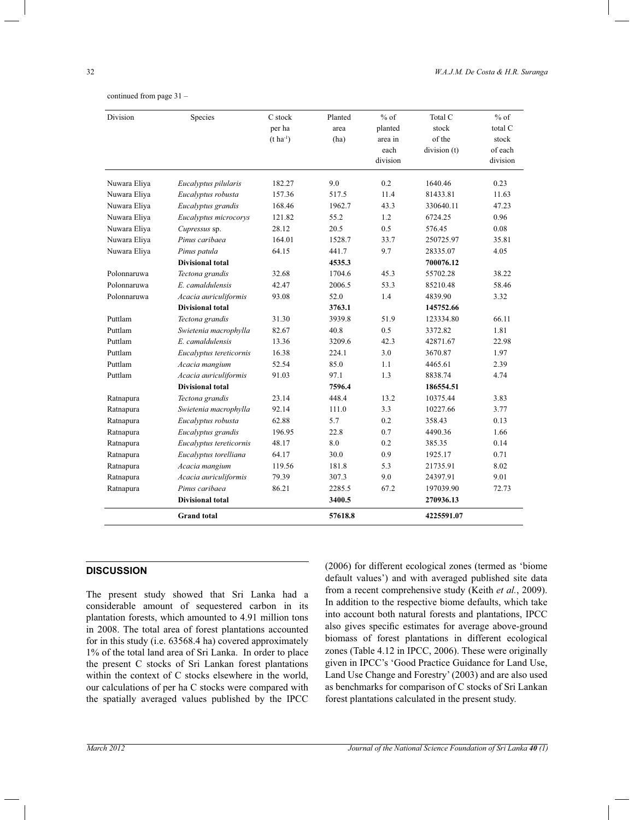| Division     | Species                 | C stock<br>per ha<br>$(t \, ha^{-1})$ | Planted<br>area<br>(ha) | $%$ of<br>planted<br>area in<br>each | Total C<br>stock<br>of the<br>division (t) | $%$ of<br>total C<br>stock<br>of each |
|--------------|-------------------------|---------------------------------------|-------------------------|--------------------------------------|--------------------------------------------|---------------------------------------|
|              |                         |                                       |                         | division                             |                                            | division                              |
| Nuwara Eliya | Eucalyptus pilularis    | 182.27                                | 9.0                     | 0.2                                  | 1640.46                                    | 0.23                                  |
| Nuwara Eliya | Eucalyptus robusta      | 157.36                                | 517.5                   | 11.4                                 | 81433.81                                   | 11.63                                 |
| Nuwara Eliya | Eucalyptus grandis      | 168.46                                | 1962.7                  | 43.3                                 | 330640.11                                  | 47.23                                 |
| Nuwara Eliya | Eucalyptus microcorys   | 121.82                                | 55.2                    | 1.2                                  | 6724.25                                    | 0.96                                  |
| Nuwara Eliya | Cupressus sp.           | 28.12                                 | 20.5                    | 0.5                                  | 576.45                                     | 0.08                                  |
| Nuwara Eliya | Pinus caribaea          | 164.01                                | 1528.7                  | 33.7                                 | 250725.97                                  | 35.81                                 |
| Nuwara Eliya | Pinus patula            | 64.15                                 | 441.7                   | 9.7                                  | 28335.07                                   | 4.05                                  |
|              | <b>Divisional total</b> |                                       | 4535.3                  |                                      | 700076.12                                  |                                       |
| Polonnaruwa  | Tectona grandis         | 32.68                                 | 1704.6                  | 45.3                                 | 55702.28                                   | 38.22                                 |
| Polonnaruwa  | E. camaldulensis        | 42.47                                 | 2006.5                  | 53.3                                 | 85210.48                                   | 58.46                                 |
| Polonnaruwa  | Acacia auriculiformis   | 93.08                                 | 52.0                    | 1.4                                  | 4839.90                                    | 3.32                                  |
|              | <b>Divisional total</b> |                                       | 3763.1                  |                                      | 145752.66                                  |                                       |
| Puttlam      | Tectona grandis         | 31.30                                 | 3939.8                  | 51.9                                 | 123334.80                                  | 66.11                                 |
| Puttlam      | Swietenia macrophylla   | 82.67                                 | 40.8                    | 0.5                                  | 3372.82                                    | 1.81                                  |
| Puttlam      | E. camaldulensis        | 13.36                                 | 3209.6                  | 42.3                                 | 42871.67                                   | 22.98                                 |
| Puttlam      | Eucalyptus tereticornis | 16.38                                 | 224.1                   | 3.0                                  | 3670.87                                    | 1.97                                  |
| Puttlam      | Acacia mangium          | 52.54                                 | 85.0                    | 1.1                                  | 4465.61                                    | 2.39                                  |
| Puttlam      | Acacia auriculiformis   | 91.03                                 | 97.1                    | 1.3                                  | 8838.74                                    | 4.74                                  |
|              | <b>Divisional total</b> |                                       | 7596.4                  |                                      | 186554.51                                  |                                       |
| Ratnapura    | Tectona grandis         | 23.14                                 | 448.4                   | 13.2                                 | 10375.44                                   | 3.83                                  |
| Ratnapura    | Swietenia macrophylla   | 92.14                                 | 111.0                   | 3.3                                  | 10227.66                                   | 3.77                                  |
| Ratnapura    | Eucalyptus robusta      | 62.88                                 | 5.7                     | 0.2                                  | 358.43                                     | 0.13                                  |
| Ratnapura    | Eucalyptus grandis      | 196.95                                | 22.8                    | 0.7                                  | 4490.36                                    | 1.66                                  |
| Ratnapura    | Eucalyptus tereticornis | 48.17                                 | 8.0                     | 0.2                                  | 385.35                                     | 0.14                                  |
| Ratnapura    | Eucalyptus torelliana   | 64.17                                 | 30.0                    | 0.9                                  | 1925.17                                    | 0.71                                  |
| Ratnapura    | Acacia mangium          | 119.56                                | 181.8                   | 5.3                                  | 21735.91                                   | 8.02                                  |
| Ratnapura    | Acacia auriculiformis   | 79.39                                 | 307.3                   | 9.0                                  | 24397.91                                   | 9.01                                  |
| Ratnapura    | Pinus caribaea          | 86.21                                 | 2285.5                  | 67.2                                 | 197039.90                                  | 72.73                                 |
|              | <b>Divisional total</b> |                                       | 3400.5                  |                                      | 270936.13                                  |                                       |
|              | <b>Grand</b> total      |                                       | 57618.8                 |                                      | 4225591.07                                 |                                       |

continued from page 31 *–*

#### **DISCUSSION**

The present study showed that Sri Lanka had a considerable amount of sequestered carbon in its plantation forests, which amounted to 4.91 million tons in 2008. The total area of forest plantations accounted for in this study (i.e. 63568.4 ha) covered approximately 1% of the total land area of Sri Lanka. In order to place the present C stocks of Sri Lankan forest plantations within the context of C stocks elsewhere in the world, our calculations of per ha C stocks were compared with the spatially averaged values published by the IPCC

(2006) for different ecological zones (termed as 'biome default values') and with averaged published site data from a recent comprehensive study (Keith *et al.*, 2009). In addition to the respective biome defaults, which take into account both natural forests and plantations, IPCC also gives specific estimates for average above-ground biomass of forest plantations in different ecological zones (Table 4.12 in IPCC, 2006). These were originally given in IPCC's 'Good Practice Guidance for Land Use, Land Use Change and Forestry' (2003) and are also used as benchmarks for comparison of C stocks of Sri Lankan forest plantations calculated in the present study.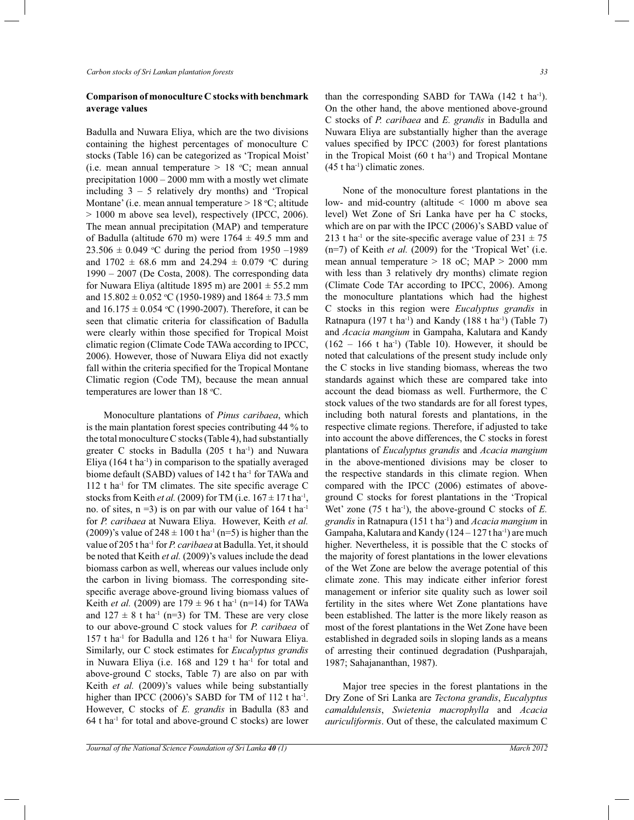# **Comparison of monoculture C stocks with benchmark average values**

Badulla and Nuwara Eliya, which are the two divisions containing the highest percentages of monoculture C stocks (Table 16) can be categorized as 'Tropical Moist' (i.e. mean annual temperature  $> 18$  °C; mean annual precipitation 1000 – 2000 mm with a mostly wet climate including  $3 - 5$  relatively dry months) and 'Tropical Montane' (i.e. mean annual temperature > 18 °C; altitude > 1000 m above sea level), respectively (IPCC, 2006). The mean annual precipitation (MAP) and temperature of Badulla (altitude 670 m) were  $1764 \pm 49.5$  mm and  $23.506 \pm 0.049$  °C during the period from 1950 –1989 and  $1702 \pm 68.6$  mm and  $24.294 \pm 0.079$  °C during 1990 *–* 2007 (De Costa, 2008). The corresponding data for Nuwara Eliya (altitude 1895 m) are  $2001 \pm 55.2$  mm and  $15.802 \pm 0.052$  °C (1950-1989) and  $1864 \pm 73.5$  mm and  $16.175 \pm 0.054$  °C (1990-2007). Therefore, it can be seen that climatic criteria for classification of Badulla were clearly within those specified for Tropical Moist climatic region (Climate Code TAWa according to IPCC, 2006). However, those of Nuwara Eliya did not exactly fall within the criteria specified for the Tropical Montane Climatic region (Code TM), because the mean annual temperatures are lower than 18 °C.

 Monoculture plantations of *Pinus caribaea*, which is the main plantation forest species contributing 44 % to the total monoculture C stocks (Table 4), had substantially greater C stocks in Badulla (205 t ha-1) and Nuwara Eliya  $(164 \text{ t} \text{ ha}^{-1})$  in comparison to the spatially averaged biome default (SABD) values of 142 t ha<sup>-1</sup> for TAWa and  $112$  t ha<sup>-1</sup> for TM climates. The site specific average C stocks from Keith *et al.* (2009) for TM (i.e.  $167 \pm 17$  tha<sup>-1</sup>, no. of sites,  $n = 3$ ) is on par with our value of 164 t ha<sup>-1</sup> for *P. caribaea* at Nuwara Eliya. However, Keith *et al.* (2009)'s value of  $248 \pm 100$  t ha<sup>-1</sup> (n=5) is higher than the value of 205 t ha-1 for *P. caribaea* at Badulla. Yet, it should be noted that Keith *et al.* (2009)'s values include the dead biomass carbon as well, whereas our values include only the carbon in living biomass. The corresponding sitespecific average above-ground living biomass values of Keith *et al.* (2009) are  $179 \pm 96$  t ha<sup>-1</sup> (n=14) for TAWa and  $127 \pm 8$  t ha<sup>-1</sup> (n=3) for TM. These are very close to our above-ground C stock values for *P. caribaea* of 157 t ha-1 for Badulla and 126 t ha-1 for Nuwara Eliya. Similarly, our C stock estimates for *Eucalyptus grandis*  in Nuwara Eliya (i.e.  $168$  and  $129$  t ha<sup>-1</sup> for total and above-ground C stocks, Table 7) are also on par with Keith *et al.* (2009)'s values while being substantially higher than IPCC  $(2006)$ 's SABD for TM of 112 t ha<sup>-1</sup>. However, C stocks of *E. grandis* in Badulla (83 and  $64$  t ha<sup>-1</sup> for total and above-ground C stocks) are lower

than the corresponding SABD for TAWa  $(142 \text{ t} \text{ ha}^{-1})$ . On the other hand, the above mentioned above-ground C stocks of *P. caribaea* and *E. grandis* in Badulla and Nuwara Eliya are substantially higher than the average values specified by IPCC (2003) for forest plantations in the Tropical Moist  $(60 \text{ t} \text{ ha}^{-1})$  and Tropical Montane  $(45 \text{ t} \text{ ha}^{-1})$  climatic zones.

 None of the monoculture forest plantations in the low- and mid-country (altitude < 1000 m above sea level) Wet Zone of Sri Lanka have per ha C stocks, which are on par with the IPCC (2006)'s SABD value of 213 t ha<sup>-1</sup> or the site-specific average value of  $231 \pm 75$ (n=7) of Keith *et al.* (2009) for the 'Tropical Wet' (i.e. mean annual temperature > 18 oC; MAP > 2000 mm with less than 3 relatively dry months) climate region (Climate Code TAr according to IPCC, 2006). Among the monoculture plantations which had the highest C stocks in this region were *Eucalyptus grandis* in Ratnapura (197 t ha<sup>-1</sup>) and Kandy (188 t ha<sup>-1</sup>) (Table 7) and *Acacia mangium* in Gampaha, Kalutara and Kandy  $(162 - 166$  t ha<sup>-1</sup>) (Table 10). However, it should be noted that calculations of the present study include only the C stocks in live standing biomass, whereas the two standards against which these are compared take into account the dead biomass as well. Furthermore, the C stock values of the two standards are for all forest types, including both natural forests and plantations, in the respective climate regions. Therefore, if adjusted to take into account the above differences, the C stocks in forest plantations of *Eucalyptus grandis* and *Acacia mangium*  in the above-mentioned divisions may be closer to the respective standards in this climate region. When compared with the IPCC (2006) estimates of aboveground C stocks for forest plantations in the 'Tropical Wet' zone (75 t ha<sup>-1</sup>), the above-ground C stocks of *E*. *grandis* in Ratnapura (151 t ha-1) and *Acacia mangium* in Gampaha, Kalutara and Kandy ( $124 - 127$  t ha<sup>-1</sup>) are much higher. Nevertheless, it is possible that the C stocks of the majority of forest plantations in the lower elevations of the Wet Zone are below the average potential of this climate zone. This may indicate either inferior forest management or inferior site quality such as lower soil fertility in the sites where Wet Zone plantations have been established. The latter is the more likely reason as most of the forest plantations in the Wet Zone have been established in degraded soils in sloping lands as a means of arresting their continued degradation (Pushparajah, 1987; Sahajananthan, 1987).

 Major tree species in the forest plantations in the Dry Zone of Sri Lanka are *Tectona grandis*, *Eucalyptus camaldulensis*, *Swietenia macrophylla* and *Acacia auriculiformis*. Out of these, the calculated maximum C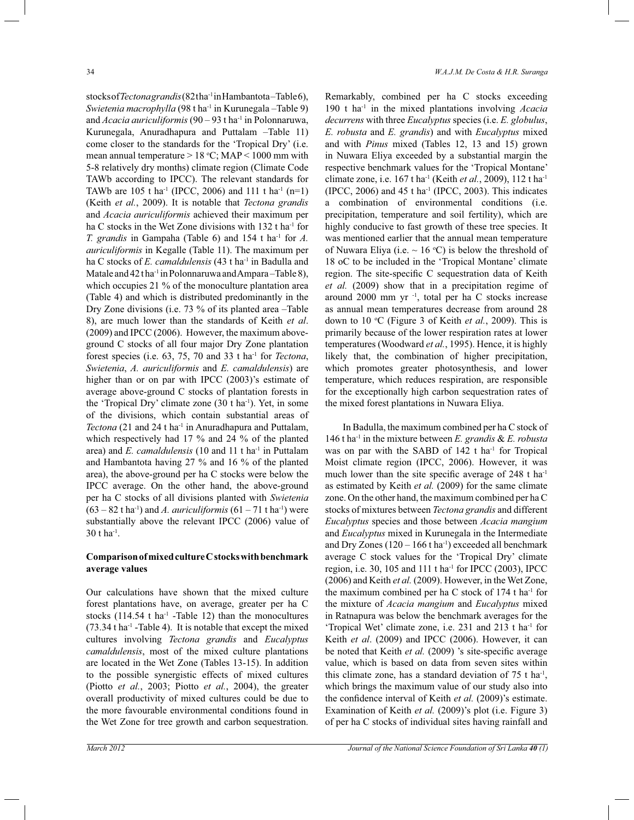stocks of *Tectona grandis* (82tha<sup>-1</sup> in Hambantota-Table 6), *Swietenia macrophylla* (98 t ha-1 in Kurunegala *–*Table 9) and *Acacia auriculiformis* (90 – 93 t ha<sup>-1</sup> in Polonnaruwa, Kurunegala, Anuradhapura and Puttalam –Table 11) come closer to the standards for the 'Tropical Dry' (i.e. mean annual temperature  $> 18$  °C; MAP  $< 1000$  mm with 5-8 relatively dry months) climate region (Climate Code TAWb according to IPCC). The relevant standards for TAWb are 105 t ha<sup>-1</sup> (IPCC, 2006) and 111 t ha<sup>-1</sup> (n=1) (Keith *et al.*, 2009). It is notable that *Tectona grandis*  and *Acacia auriculiformis* achieved their maximum per ha C stocks in the Wet Zone divisions with 132 t ha<sup>-1</sup> for *T. grandis* in Gampaha (Table 6) and 154 t ha<sup>-1</sup> for *A*. *auriculiformis* in Kegalle (Table 11). The maximum per ha C stocks of *E. camaldulensis* (43 t ha<sup>-1</sup> in Badulla and Matale and 42 tha<sup>-1</sup> in Polonnaruwa and Ampara-Table 8), which occupies 21 % of the monoculture plantation area (Table 4) and which is distributed predominantly in the Dry Zone divisions (i.e. 73 % of its planted area –Table 8), are much lower than the standards of Keith *et al*. (2009) and IPCC (2006). However, the maximum aboveground C stocks of all four major Dry Zone plantation forest species (i.e. 63, 75, 70 and 33 t ha-1 for *Tectona*, *Swietenia*, *A. auriculiformis* and *E. camaldulensis*) are higher than or on par with IPCC (2003)'s estimate of average above-ground C stocks of plantation forests in the 'Tropical Dry' climate zone (30 t ha-1). Yet, in some of the divisions, which contain substantial areas of *Tectona* (21 and 24 t ha-1 in Anuradhapura and Puttalam, which respectively had 17 % and 24 % of the planted area) and *E. camaldulensis* (10 and 11 t ha<sup>-1</sup> in Puttalam and Hambantota having 27 % and 16 % of the planted area), the above-ground per ha C stocks were below the IPCC average. On the other hand, the above-ground per ha C stocks of all divisions planted with *Swietenia*   $(63 - 82 \text{ t} \text{ ha}^{-1})$  and *A. auriculiformis*  $(61 - 71 \text{ t} \text{ ha}^{-1})$  were substantially above the relevant IPCC (2006) value of  $30$  t ha<sup>-1</sup>.

#### **Comparison of mixed culture C stocks with benchmark average values**

Our calculations have shown that the mixed culture forest plantations have, on average, greater per ha C stocks (114.54  $t$  ha<sup>-1</sup> -Table 12) than the monocultures  $(73.34 \text{ tha}^{-1}$  -Table 4). It is notable that except the mixed cultures involving *Tectona grandis* and *Eucalyptus camaldulensis*, most of the mixed culture plantations are located in the Wet Zone (Tables 13-15). In addition to the possible synergistic effects of mixed cultures (Piotto *et al.*, 2003; Piotto *et al.*, 2004), the greater overall productivity of mixed cultures could be due to the more favourable environmental conditions found in the Wet Zone for tree growth and carbon sequestration.

Remarkably, combined per ha C stocks exceeding 190 t ha-1 in the mixed plantations involving *Acacia decurrens* with three *Eucalyptus* species (i.e. *E. globulus*, *E. robusta* and *E. grandis*) and with *Eucalyptus* mixed and with *Pinus* mixed (Tables 12, 13 and 15) grown in Nuwara Eliya exceeded by a substantial margin the respective benchmark values for the 'Tropical Montane' climate zone, i.e. 167 t ha-1 (Keith *et al.*, 2009), 112 t ha-1  $(IPCC, 2006)$  and 45 t ha<sup>-1</sup> (IPCC, 2003). This indicates a combination of environmental conditions (i.e. precipitation, temperature and soil fertility), which are highly conducive to fast growth of these tree species. It was mentioned earlier that the annual mean temperature of Nuwara Eliya (i.e.  $\sim 16$  °C) is below the threshold of 18 oC to be included in the 'Tropical Montane' climate region. The site-specific C sequestration data of Keith *et al.* (2009) show that in a precipitation regime of around 2000 mm yr $^{-1}$ , total per ha C stocks increase as annual mean temperatures decrease from around 28 down to 10 °C (Figure 3 of Keith *et al.*, 2009). This is primarily because of the lower respiration rates at lower temperatures (Woodward *et al.*, 1995). Hence, it is highly likely that, the combination of higher precipitation, which promotes greater photosynthesis, and lower temperature, which reduces respiration, are responsible for the exceptionally high carbon sequestration rates of the mixed forest plantations in Nuwara Eliya.

 In Badulla, the maximum combined per ha C stock of 146 t ha-1 in the mixture between *E. grandis* & *E. robusta*  was on par with the SABD of  $142$  t ha<sup>-1</sup> for Tropical Moist climate region (IPCC, 2006). However, it was much lower than the site specific average of  $248$  t ha<sup>-1</sup> as estimated by Keith *et al.* (2009) for the same climate zone. On the other hand, the maximum combined per ha C stocks of mixtures between *Tectona grandis* and different *Eucalyptus* species and those between *Acacia mangium*  and *Eucalyptus* mixed in Kurunegala in the Intermediate and Dry Zones  $(120 - 166$  t ha<sup>-1</sup>) exceeded all benchmark average C stock values for the 'Tropical Dry' climate region, i.e. 30, 105 and 111 t ha-1 for IPCC (2003), IPCC (2006) and Keith *et al.* (2009). However, in the Wet Zone, the maximum combined per ha C stock of  $174$  t ha<sup>-1</sup> for the mixture of *Acacia mangium* and *Eucalyptus* mixed in Ratnapura was below the benchmark averages for the 'Tropical Wet' climate zone, i.e. 231 and 213 t ha<sup>-1</sup> for Keith *et al*. (2009) and IPCC (2006). However, it can be noted that Keith *et al.* (2009) 's site-specific average value, which is based on data from seven sites within this climate zone, has a standard deviation of  $75$  t ha<sup>-1</sup>, which brings the maximum value of our study also into the confidence interval of Keith *et al.* (2009)'s estimate. Examination of Keith *et al.* (2009)'s plot (i.e. Figure 3) of per ha C stocks of individual sites having rainfall and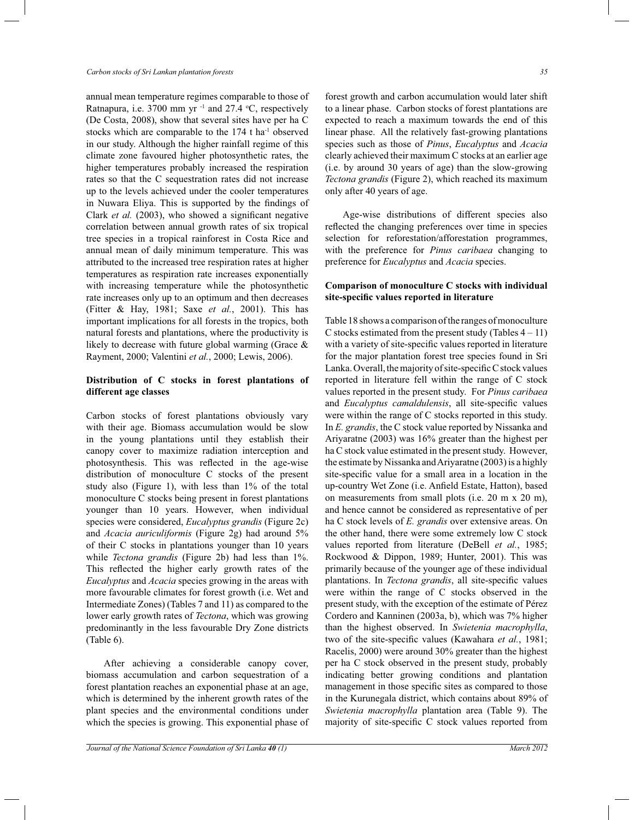annual mean temperature regimes comparable to those of Ratnapura, i.e. 3700 mm yr $^{-1}$  and 27.4 °C, respectively (De Costa, 2008), show that several sites have per ha C stocks which are comparable to the 174 t ha-1 observed in our study. Although the higher rainfall regime of this climate zone favoured higher photosynthetic rates, the higher temperatures probably increased the respiration rates so that the C sequestration rates did not increase up to the levels achieved under the cooler temperatures in Nuwara Eliya. This is supported by the findings of Clark *et al.* (2003), who showed a significant negative correlation between annual growth rates of six tropical tree species in a tropical rainforest in Costa Rice and annual mean of daily minimum temperature. This was attributed to the increased tree respiration rates at higher temperatures as respiration rate increases exponentially with increasing temperature while the photosynthetic rate increases only up to an optimum and then decreases (Fitter & Hay, 1981; Saxe *et al.*, 2001). This has important implications for all forests in the tropics, both natural forests and plantations, where the productivity is likely to decrease with future global warming (Grace & Rayment, 2000; Valentini *et al.*, 2000; Lewis, 2006).

# **Distribution of C stocks in forest plantations of different age classes**

Carbon stocks of forest plantations obviously vary with their age. Biomass accumulation would be slow in the young plantations until they establish their canopy cover to maximize radiation interception and photosynthesis. This was reflected in the age-wise distribution of monoculture C stocks of the present study also (Figure 1), with less than 1% of the total monoculture C stocks being present in forest plantations younger than 10 years. However, when individual species were considered, *Eucalyptus grandis* (Figure 2c) and *Acacia auriculiformis* (Figure 2g) had around 5% of their C stocks in plantations younger than 10 years while *Tectona grandis* (Figure 2b) had less than 1%. This reflected the higher early growth rates of the *Eucalyptus* and *Acacia* species growing in the areas with more favourable climates for forest growth (i.e. Wet and Intermediate Zones) (Tables 7 and 11) as compared to the lower early growth rates of *Tectona*, which was growing predominantly in the less favourable Dry Zone districts (Table 6).

 After achieving a considerable canopy cover, biomass accumulation and carbon sequestration of a forest plantation reaches an exponential phase at an age, which is determined by the inherent growth rates of the plant species and the environmental conditions under which the species is growing. This exponential phase of forest growth and carbon accumulation would later shift to a linear phase. Carbon stocks of forest plantations are expected to reach a maximum towards the end of this linear phase. All the relatively fast-growing plantations species such as those of *Pinus*, *Eucalyptus* and *Acacia* clearly achieved their maximum C stocks at an earlier age (i.e. by around 30 years of age) than the slow-growing *Tectona grandis* (Figure 2), which reached its maximum only after 40 years of age.

 Age-wise distributions of different species also reflected the changing preferences over time in species selection for reforestation/afforestation programmes, with the preference for *Pinus caribaea* changing to preference for *Eucalyptus* and *Acacia* species.

#### **Comparison of monoculture C stocks with individual site-specific values reported in literature**

Table 18 shows a comparison of the ranges of monoculture C stocks estimated from the present study (Tables  $4 - 11$ ) with a variety of site-specific values reported in literature for the major plantation forest tree species found in Sri Lanka. Overall, the majority of site-specific C stock values reported in literature fell within the range of C stock values reported in the present study. For *Pinus caribaea*  and *Eucalyptus camaldulensis*, all site-specific values were within the range of C stocks reported in this study. In *E. grandis*, the C stock value reported by Nissanka and Ariyaratne (2003) was 16% greater than the highest per ha C stock value estimated in the present study. However, the estimate by Nissanka and Ariyaratne (2003) is a highly site-specific value for a small area in a location in the up-country Wet Zone (i.e. Anfield Estate, Hatton), based on measurements from small plots (i.e. 20 m x 20 m), and hence cannot be considered as representative of per ha C stock levels of *E. grandis* over extensive areas. On the other hand, there were some extremely low C stock values reported from literature (DeBell *et al.*, 1985; Rockwood & Dippon, 1989; Hunter, 2001). This was primarily because of the younger age of these individual plantations. In *Tectona grandis*, all site-specific values were within the range of C stocks observed in the present study, with the exception of the estimate of Pérez Cordero and Kanninen (2003a, b), which was 7% higher than the highest observed. In *Swietenia macrophylla*, two of the site-specific values (Kawahara *et al.*, 1981; Racelis, 2000) were around 30% greater than the highest per ha C stock observed in the present study, probably indicating better growing conditions and plantation management in those specific sites as compared to those in the Kurunegala district, which contains about 89% of *Swietenia macrophylla* plantation area (Table 9). The majority of site-specific C stock values reported from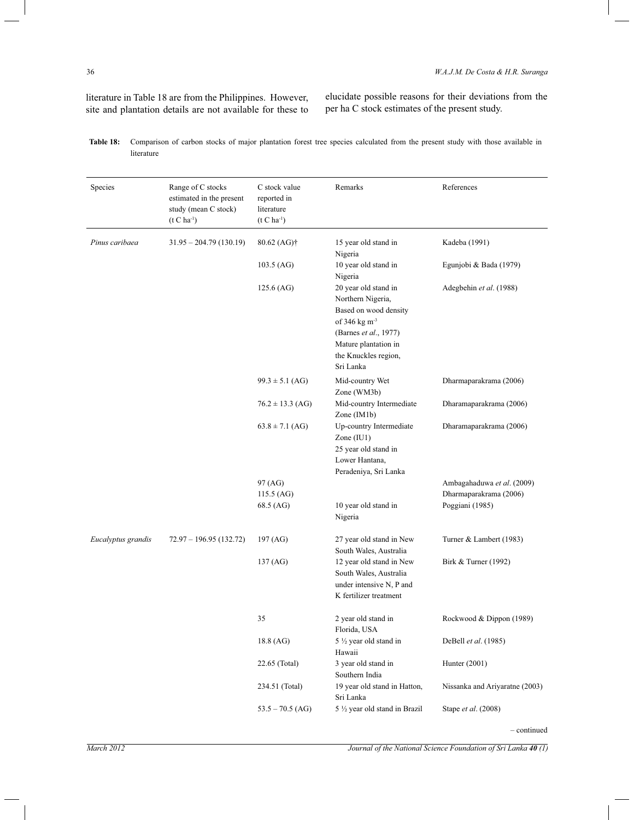literature in Table 18 are from the Philippines. However, site and plantation details are not available for these to

elucidate possible reasons for their deviations from the per ha C stock estimates of the present study.

| Species            | Range of C stocks<br>estimated in the present<br>study (mean C stock)<br>$(t C h a^{-1})$ | C stock value<br>reported in<br>literature<br>$(t C h a^{-1})$ | Remarks                                                                                                                                                                    | References                     |
|--------------------|-------------------------------------------------------------------------------------------|----------------------------------------------------------------|----------------------------------------------------------------------------------------------------------------------------------------------------------------------------|--------------------------------|
| Pinus caribaea     | $31.95 - 204.79(130.19)$                                                                  | 80.62 (AG)†                                                    | 15 year old stand in<br>Nigeria                                                                                                                                            | Kadeba (1991)                  |
|                    |                                                                                           | $103.5$ (AG)                                                   | 10 year old stand in<br>Nigeria                                                                                                                                            | Egunjobi & Bada (1979)         |
|                    |                                                                                           | $125.6$ (AG)                                                   | 20 year old stand in<br>Northern Nigeria,<br>Based on wood density<br>of 346 kg $m3$<br>(Barnes et al., 1977)<br>Mature plantation in<br>the Knuckles region,<br>Sri Lanka | Adegbehin et al. (1988)        |
|                    |                                                                                           | $99.3 \pm 5.1$ (AG)                                            | Mid-country Wet<br>Zone (WM3b)                                                                                                                                             | Dharmaparakrama (2006)         |
|                    |                                                                                           | $76.2 \pm 13.3$ (AG)                                           | Mid-country Intermediate<br>Zone (IM1b)                                                                                                                                    | Dharamaparakrama (2006)        |
|                    |                                                                                           | $63.8 \pm 7.1$ (AG)                                            | Up-country Intermediate<br>Zone $(IU1)$<br>25 year old stand in<br>Lower Hantana,<br>Peradeniya, Sri Lanka                                                                 | Dharamaparakrama (2006)        |
|                    |                                                                                           | 97 (AG)                                                        |                                                                                                                                                                            | Ambagahaduwa et al. (2009)     |
|                    |                                                                                           | 115.5 (AG)                                                     |                                                                                                                                                                            | Dharmaparakrama (2006)         |
|                    |                                                                                           | 68.5 (AG)                                                      | 10 year old stand in<br>Nigeria                                                                                                                                            | Poggiani (1985)                |
| Eucalyptus grandis | $72.97 - 196.95(132.72)$                                                                  | 197 (AG)                                                       | 27 year old stand in New<br>South Wales, Australia                                                                                                                         | Turner & Lambert (1983)        |
|                    |                                                                                           | 137 (AG)                                                       | 12 year old stand in New<br>South Wales, Australia<br>under intensive N, P and<br>K fertilizer treatment                                                                   | Birk & Turner (1992)           |
|                    |                                                                                           | 35                                                             | 2 year old stand in<br>Florida, USA                                                                                                                                        | Rockwood & Dippon (1989)       |
|                    |                                                                                           | 18.8 (AG)                                                      | 5 1/2 year old stand in<br>Hawaii                                                                                                                                          | DeBell et al. (1985)           |
|                    |                                                                                           | 22.65 (Total)                                                  | 3 year old stand in<br>Southern India                                                                                                                                      | Hunter (2001)                  |
|                    |                                                                                           | 234.51 (Total)                                                 | 19 year old stand in Hatton,<br>Sri Lanka                                                                                                                                  | Nissanka and Ariyaratne (2003) |
|                    |                                                                                           | $53.5 - 70.5$ (AG)                                             | 5 1/2 year old stand in Brazil                                                                                                                                             | Stape et al. (2008)            |

| Table 18: Comparison of carbon stocks of major plantation forest tree species calculated from the present study with those available in |
|-----------------------------------------------------------------------------------------------------------------------------------------|
| literature                                                                                                                              |

*–* continued

*March 2012 Journal of the National Science Foundation of Sri Lanka*  $40$  *(1)*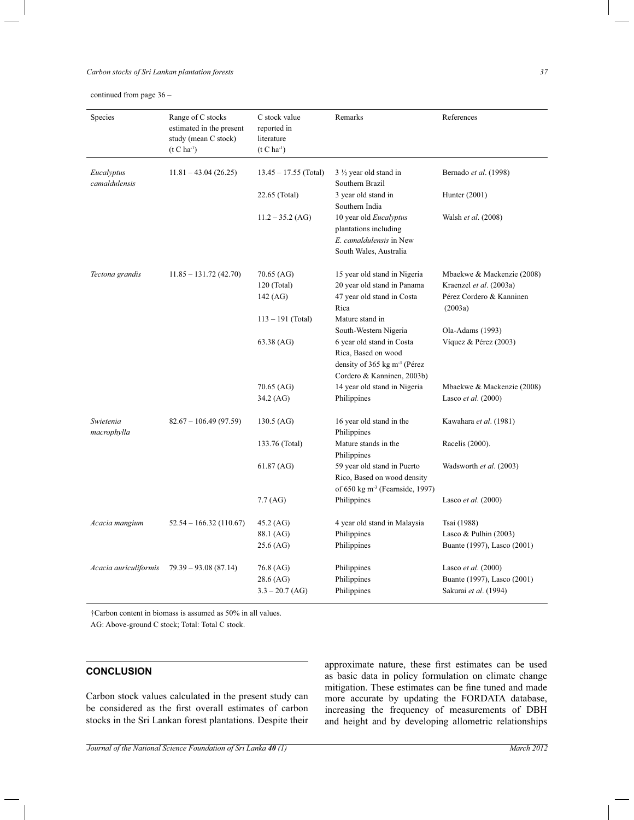## *Carbon stocks of Sri Lankan plantation forests 37*

continued from page 36 *–*

| Species                     | Range of C stocks<br>estimated in the present<br>study (mean C stock)<br>$(t C ha^{-1})$ | C stock value<br>reported in<br>literature<br>$(t C ha^{-1})$ | Remarks                                                                                                         | References                                                                  |
|-----------------------------|------------------------------------------------------------------------------------------|---------------------------------------------------------------|-----------------------------------------------------------------------------------------------------------------|-----------------------------------------------------------------------------|
| Eucalyptus<br>camaldulensis | $11.81 - 43.04(26.25)$                                                                   | $13.45 - 17.55$ (Total)                                       | $3\frac{1}{2}$ year old stand in<br>Southern Brazil                                                             | Bernado et al. (1998)                                                       |
|                             |                                                                                          | 22.65 (Total)                                                 | 3 year old stand in<br>Southern India                                                                           | Hunter (2001)                                                               |
|                             |                                                                                          | $11.2 - 35.2$ (AG)                                            | 10 year old Eucalyptus<br>plantations including<br>E. camaldulensis in New<br>South Wales, Australia            | Walsh et al. (2008)                                                         |
| Tectona grandis             | $11.85 - 131.72(42.70)$                                                                  | 70.65 (AG)                                                    | 15 year old stand in Nigeria                                                                                    | Mbaekwe & Mackenzie (2008)                                                  |
|                             |                                                                                          | $120$ (Total)<br>$142$ (AG)                                   | 20 year old stand in Panama<br>47 year old stand in Costa<br>Rica                                               | Kraenzel et al. (2003a)<br>Pérez Cordero & Kanninen<br>(2003a)              |
|                             |                                                                                          | $113 - 191$ (Total)                                           | Mature stand in<br>South-Western Nigeria                                                                        | Ola-Adams (1993)                                                            |
|                             |                                                                                          | 63.38 (AG)                                                    | 6 year old stand in Costa<br>Rica, Based on wood<br>density of 365 kg $m3$ (Pérez<br>Cordero & Kanninen, 2003b) | Víquez & Pérez (2003)                                                       |
|                             |                                                                                          | 70.65 (AG)                                                    | 14 year old stand in Nigeria                                                                                    | Mbaekwe & Mackenzie (2008)                                                  |
|                             |                                                                                          | 34.2 (AG)                                                     | Philippines                                                                                                     | Lasco et al. (2000)                                                         |
| Swietenia<br>macrophylla    | $82.67 - 106.49(97.59)$                                                                  | $130.5$ (AG)                                                  | 16 year old stand in the<br>Philippines                                                                         | Kawahara et al. (1981)                                                      |
|                             |                                                                                          | 133.76 (Total)                                                | Mature stands in the<br>Philippines                                                                             | Racelis (2000).                                                             |
|                             |                                                                                          | $61.87$ (AG)                                                  | 59 year old stand in Puerto<br>Rico, Based on wood density<br>of 650 kg m <sup>-3</sup> (Fearnside, 1997)       | Wadsworth et al. (2003)                                                     |
|                             |                                                                                          | 7.7 (AG)                                                      | Philippines                                                                                                     | Lasco et al. (2000)                                                         |
| Acacia mangium              | $52.54 - 166.32(110.67)$                                                                 | 45.2 (AG)<br>88.1 (AG)<br>25.6 (AG)                           | 4 year old stand in Malaysia<br>Philippines<br>Philippines                                                      | Tsai (1988)<br>Lasco & Pulhin $(2003)$<br>Buante (1997), Lasco (2001)       |
| Acacia auriculiformis       | $79.39 - 93.08(87.14)$                                                                   | 76.8 (AG)<br>28.6 (AG)<br>$3.3 - 20.7$ (AG)                   | Philippines<br>Philippines<br>Philippines                                                                       | Lasco et al. (2000)<br>Buante (1997), Lasco (2001)<br>Sakurai et al. (1994) |

†Carbon content in biomass is assumed as 50% in all values.

AG: Above-ground C stock; Total: Total C stock.

# **CONCLUSION**

Carbon stock values calculated in the present study can be considered as the first overall estimates of carbon stocks in the Sri Lankan forest plantations. Despite their

approximate nature, these first estimates can be used as basic data in policy formulation on climate change mitigation. These estimates can be fine tuned and made more accurate by updating the FORDATA database, increasing the frequency of measurements of DBH and height and by developing allometric relationships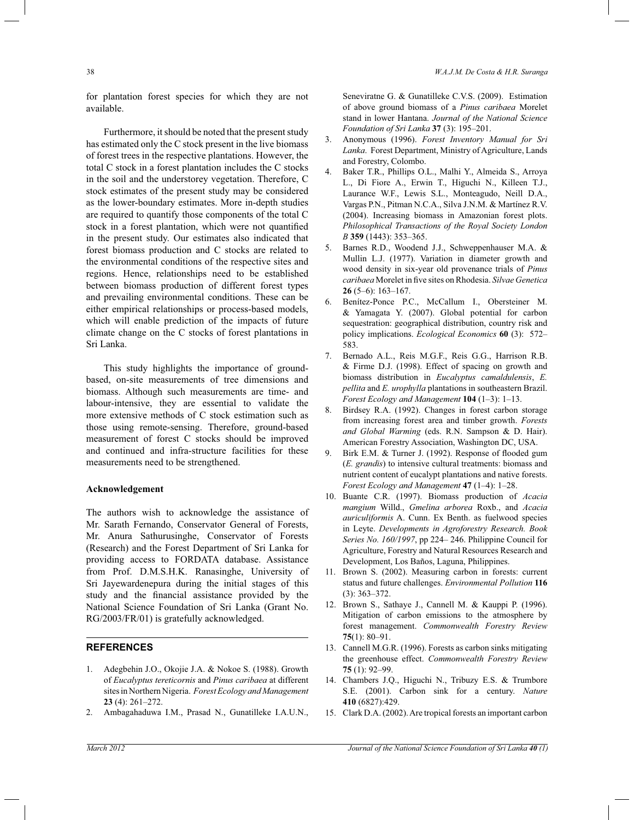for plantation forest species for which they are not available.

 Furthermore, it should be noted that the present study has estimated only the C stock present in the live biomass of forest trees in the respective plantations. However, the total C stock in a forest plantation includes the C stocks in the soil and the understorey vegetation. Therefore, C stock estimates of the present study may be considered as the lower-boundary estimates. More in-depth studies are required to quantify those components of the total C stock in a forest plantation, which were not quantified in the present study. Our estimates also indicated that forest biomass production and C stocks are related to the environmental conditions of the respective sites and regions. Hence, relationships need to be established between biomass production of different forest types and prevailing environmental conditions. These can be either empirical relationships or process-based models, which will enable prediction of the impacts of future climate change on the C stocks of forest plantations in Sri Lanka.

 This study highlights the importance of groundbased, on-site measurements of tree dimensions and biomass. Although such measurements are time- and labour-intensive, they are essential to validate the more extensive methods of C stock estimation such as those using remote-sensing. Therefore, ground-based measurement of forest C stocks should be improved and continued and infra-structure facilities for these measurements need to be strengthened.

#### **Acknowledgement**

The authors wish to acknowledge the assistance of Mr. Sarath Fernando, Conservator General of Forests, Mr. Anura Sathurusinghe, Conservator of Forests (Research) and the Forest Department of Sri Lanka for providing access to FORDATA database. Assistance from Prof. D.M.S.H.K. Ranasinghe, University of Sri Jayewardenepura during the initial stages of this study and the financial assistance provided by the National Science Foundation of Sri Lanka (Grant No. RG/2003/FR/01) is gratefully acknowledged.

## **REFERENCES**

- 1. Adegbehin J.O., Okojie J.A. & Nokoe S. (1988). Growth of *Eucalyptus tereticornis* and *Pinus caribaea* at different sites in Northern Nigeria. *Forest Ecology and Management*  **23** (4): 261*–*272.
- 2. Ambagahaduwa I.M., Prasad N., Gunatilleke I.A.U.N.,

Seneviratne G. & Gunatilleke C.V.S. (2009). Estimation of above ground biomass of a *Pinus caribaea* Morelet stand in lower Hantana. *Journal of the National Science Foundation of Sri Lanka* **37** (3): 195*–*201.

- 3. Anonymous (1996). *Forest Inventory Manual for Sri Lanka*. Forest Department, Ministry of Agriculture, Lands and Forestry, Colombo.
- 4. Baker T.R., Phillips O.L., Malhi Y., Almeida S., Arroya L., Di Fiore A., Erwin T., Higuchi N., Killeen T.J., Laurance W.F., Lewis S.L., Monteagudo, Neill D.A., Vargas P.N., Pitman N.C.A., Silva J.N.M. & Martínez R.V. (2004). Increasing biomass in Amazonian forest plots. *Philosophical Transactions of the Royal Society London B* **359** (1443): 353*–*365.
- 5. Barnes R.D., Woodend J.J., Schweppenhauser M.A. & Mullin L.J. (1977). Variation in diameter growth and wood density in six-year old provenance trials of *Pinus caribaea* Morelet in five sites on Rhodesia. *Silvae Genetica*  **26** (5*–*6): 163*–*167.
- 6. Benítez-Ponce P.C., McCallum I., Obersteiner M. & Yamagata Y. (2007). Global potential for carbon sequestration: geographical distribution, country risk and policy implications. *Ecological Economics* **60** (3): 572*–* 583.
- 7. Bernado A.L., Reis M.G.F., Reis G.G., Harrison R.B. & Firme D.J. (1998). Effect of spacing on growth and biomass distribution in *Eucalyptus camaldulensis*, *E. pellita* and *E. urophylla* plantations in southeastern Brazil. *Forest Ecology and Management* **104** (1*–*3): 1*–*13.
- 8. Birdsey R.A. (1992). Changes in forest carbon storage from increasing forest area and timber growth. *Forests and Global Warming* (eds. R.N. Sampson & D. Hair). American Forestry Association, Washington DC, USA.
- 9. Birk E.M. & Turner J. (1992). Response of flooded gum (*E. grandis*) to intensive cultural treatments: biomass and nutrient content of eucalypt plantations and native forests. *Forest Ecology and Management* **47** (1*–*4): 1*–*28.
- 10. Buante C.R. (1997). Biomass production of *Acacia mangium* Willd., *Gmelina arborea* Roxb., and *Acacia auriculiformis* A. Cunn. Ex Benth. as fuelwood species in Leyte. *Developments in Agroforestry Research. Book Series No. 160/1997*, pp 224*–* 246. Philippine Council for Agriculture, Forestry and Natural Resources Research and Development, Los Baños, Laguna, Philippines.
- 11. Brown S. (2002). Measuring carbon in forests: current status and future challenges. *Environmental Pollution* **116**  (3): 363–372.
- 12. Brown S., Sathaye J., Cannell M. & Kauppi P. (1996). Mitigation of carbon emissions to the atmosphere by forest management. *Commonwealth Forestry Review*  **75**(1): 80*–*91.
- 13. Cannell M.G.R. (1996). Forests as carbon sinks mitigating the greenhouse effect. *Commonwealth Forestry Review*  **75** (1): 92*–*99.
- 14. Chambers J.Q., Higuchi N., Tribuzy E.S. & Trumbore S.E. (2001). Carbon sink for a century. *Nature* **410** (6827):429.
- 15. Clark D.A. (2002). Are tropical forests an important carbon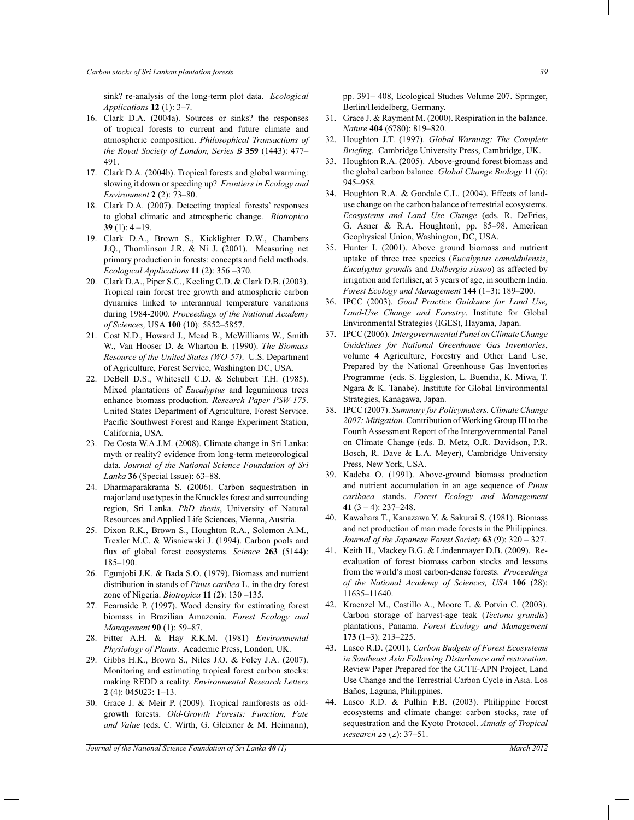sink? re-analysis of the long-term plot data. *Ecological Applications* **12** (1): 3*–*7.

- 16. Clark D.A. (2004a). Sources or sinks? the responses of tropical forests to current and future climate and atmospheric composition. *Philosophical Transactions of the Royal Society of London, Series B* **359** (1443): 477*–* 491.
- 17. Clark D.A. (2004b). Tropical forests and global warming: slowing it down or speeding up? *Frontiers in Ecology and Environment* **2** (2): 73*–*80.
- 18. Clark D.A. (2007). Detecting tropical forests' responses to global climatic and atmospheric change. *Biotropica*  **39** (1): 4 *–*19.
- 19. Clark D.A., Brown S., Kicklighter D.W., Chambers J.Q., Thomlinson J.R. & Ni J. (2001). Measuring net primary production in forests: concepts and field methods. *Ecological Applications* **11** (2): 356 *–*370.
- 20. Clark D.A., Piper S.C., Keeling C.D. & Clark D.B. (2003). Tropical rain forest tree growth and atmospheric carbon dynamics linked to interannual temperature variations during 1984-2000. *Proceedings of the National Academy of Sciences,* USA **100** (10): 5852*–*5857.
- 21. Cost N.D., Howard J., Mead B., McWilliams W., Smith W., Van Hooser D. & Wharton E. (1990). *The Biomass Resource of the United States (WO-57)*. U.S. Department of Agriculture, Forest Service, Washington DC, USA.
- 22. DeBell D.S., Whitesell C.D. & Schubert T.H. (1985). Mixed plantations of *Eucalyptus* and leguminous trees enhance biomass production. *Research Paper PSW-175*. United States Department of Agriculture, Forest Service. Pacific Southwest Forest and Range Experiment Station, California, USA.
- 23. De Costa W.A.J.M. (2008). Climate change in Sri Lanka: myth or reality? evidence from long-term meteorological data. *Journal of the National Science Foundation of Sri Lanka* **36** (Special Issue): 63*–*88.
- 24. Dharmaparakrama S. (2006). Carbon sequestration in major land use types in the Knuckles forest and surrounding region, Sri Lanka. *PhD thesis*, University of Natural Resources and Applied Life Sciences, Vienna, Austria.
- 25. Dixon R.K., Brown S., Houghton R.A., Solomon A.M., Trexler M.C. & Wisniewski J. (1994). Carbon pools and flux of global forest ecosystems. *Science* **263** (5144): 185*–*190.
- 26. Egunjobi J.K. & Bada S.O. (1979). Biomass and nutrient distribution in stands of *Pinus caribea* L. in the dry forest zone of Nigeria. *Biotropica* **11** (2): 130 *–*135.
- 27. Fearnside P. (1997). Wood density for estimating forest biomass in Brazilian Amazonia. *Forest Ecology and Management* **90** (1): 59*–*87.
- 28. Fitter A.H. & Hay R.K.M. (1981) *Environmental Physiology of Plants*. Academic Press, London, UK.
- 29. Gibbs H.K., Brown S., Niles J.O. & Foley J.A. (2007). Monitoring and estimating tropical forest carbon stocks: making REDD a reality. *Environmental Research Letters*  **2** (4): 045023: 1*–*13.
- 30. Grace J. & Meir P. (2009). Tropical rainforests as oldgrowth forests. *Old-Growth Forests: Function, Fate and Value* (eds. C. Wirth, G. Gleixner & M. Heimann),

pp. 391*–* 408, Ecological Studies Volume 207. Springer, Berlin/Heidelberg, Germany.

- 31. Grace J. & Rayment M. (2000). Respiration in the balance. *Nature* **404** (6780): 819–820.
- 32. Houghton J.T. (1997). *Global Warming: The Complete Briefing*. Cambridge University Press, Cambridge, UK.
- 33. Houghton R.A. (2005). Above-ground forest biomass and the global carbon balance. *Global Change Biology* **11** (6): 945*–*958.
- 34. Houghton R.A. & Goodale C.L. (2004). Effects of landuse change on the carbon balance of terrestrial ecosystems. *Ecosystems and Land Use Change* (eds. R. DeFries, G. Asner & R.A. Houghton), pp. 85*–*98. American Geophysical Union, Washington, DC, USA.
- 35. Hunter I. (2001). Above ground biomass and nutrient uptake of three tree species (*Eucalyptus camaldulensis*, *Eucalyptus grandis* and *Dalbergia sissoo*) as affected by irrigation and fertiliser, at 3 years of age, in southern India. *Forest Ecology and Management* **144** (1*–*3): 189*–*200.
- 36. IPCC (2003). *Good Practice Guidance for Land Use, Land-Use Change and Forestry*. Institute for Global Environmental Strategies (IGES), Hayama, Japan.
- 37. IPCC (2006). *Intergovernmental Panel on Climate Change Guidelines for National Greenhouse Gas Inventories*, volume 4 Agriculture, Forestry and Other Land Use, Prepared by the National Greenhouse Gas Inventories Programme (eds. S. Eggleston, L. Buendia, K. Miwa, T. Ngara & K. Tanabe). Institute for Global Environmental Strategies, Kanagawa, Japan.
- 38. IPCC (2007). *Summary for Policymakers. Climate Change 2007: Mitigation.* Contribution of Working Group III to the Fourth Assessment Report of the Intergovernmental Panel on Climate Change (eds. B. Metz, O.R. Davidson, P.R. Bosch, R. Dave & L.A. Meyer), Cambridge University Press, New York, USA.
- 39. Kadeba O. (1991). Above-ground biomass production and nutrient accumulation in an age sequence of *Pinus caribaea* stands. *Forest Ecology and Management*  **41** (3 *–* 4): 237*–*248.
- 40. Kawahara T., Kanazawa Y. & Sakurai S. (1981). Biomass and net production of man made forests in the Philippines. *Journal of the Japanese Forest Society* **63** (9): 320 *–* 327.
- 41. Keith H., Mackey B.G. & Lindenmayer D.B. (2009). Reevaluation of forest biomass carbon stocks and lessons from the world's most carbon-dense forests. *Proceedings of the National Academy of Sciences, USA* **106** (28): 11635*–*11640.
- 42. Kraenzel M., Castillo A., Moore T. & Potvin C. (2003). Carbon storage of harvest-age teak (*Tectona grandis*) plantations, Panama. *Forest Ecology and Management*  **173** (1*–*3): 213*–*225.
- 43. Lasco R.D. (2001). *Carbon Budgets of Forest Ecosystems in Southeast Asia Following Disturbance and restoration.*  Review Paper Prepared for the GCTE-APN Project, Land Use Change and the Terrestrial Carbon Cycle in Asia. Los Baños, Laguna, Philippines.
- 44. Lasco R.D. & Pulhin F.B. (2003). Philippine Forest ecosystems and climate change: carbon stocks, rate of sequestration and the Kyoto Protocol. *Annals of Tropical Research* **25** (2): 37*–*51.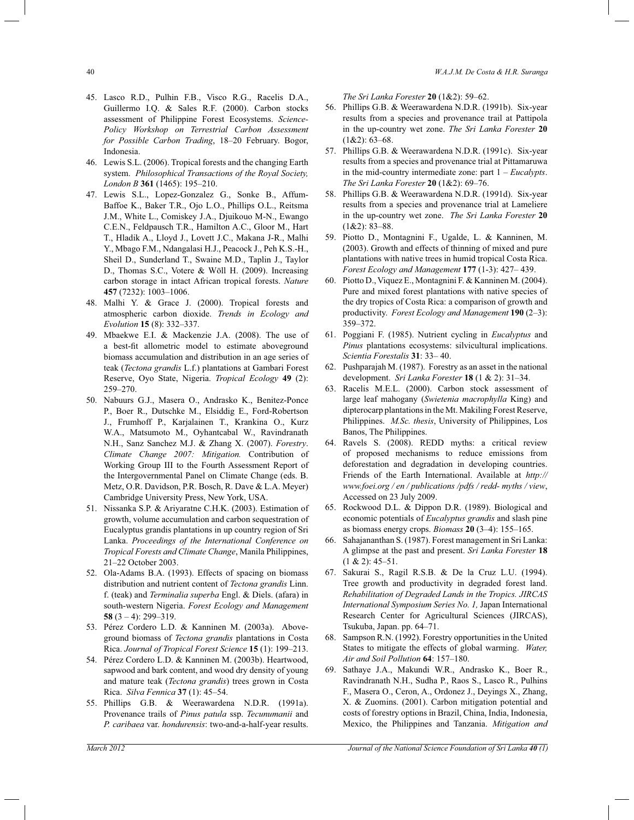- 45. Lasco R.D., Pulhin F.B., Visco R.G., Racelis D.A., Guillermo I.Q. & Sales R.F. (2000). Carbon stocks assessment of Philippine Forest Ecosystems. *Science-Policy Workshop on Terrestrial Carbon Assessment for Possible Carbon Trading*, 18*–*20 February. Bogor, Indonesia.
- 46. Lewis S.L. (2006). Tropical forests and the changing Earth system. *Philosophical Transactions of the Royal Society, London B* **361** (1465): 195*–*210.
- 47. Lewis S.L., Lopez-Gonzalez G., Sonke B., Affum-Baffoe K., Baker T.R., Ojo L.O., Phillips O.L., Reitsma J.M., White L., Comiskey J.A., Djuikouo M-N., Ewango C.E.N., Feldpausch T.R., Hamilton A.C., Gloor M., Hart T., Hladik A., Lloyd J., Lovett J.C., Makana J-R., Malhi Y., Mbago F.M., Ndangalasi H.J., Peacock J., Peh K.S.-H., Sheil D., Sunderland T., Swaine M.D., Taplin J., Taylor D., Thomas S.C., Votere & Wöll H. (2009). Increasing carbon storage in intact African tropical forests. *Nature*  **457** (7232): 1003*–*1006.
- 48. Malhi Y. & Grace J. (2000). Tropical forests and atmospheric carbon dioxide. *Trends in Ecology and Evolution* **15** (8): 332*–*337.
- 49. Mbaekwe E.I. & Mackenzie J.A. (2008). The use of a best-fit allometric model to estimate aboveground biomass accumulation and distribution in an age series of teak (*Tectona grandis* L.f.) plantations at Gambari Forest Reserve, Oyo State, Nigeria. *Tropical Ecology* **49** (2): 259*–*270.
- 50. Nabuurs G.J., Masera O., Andrasko K., Benitez-Ponce P., Boer R., Dutschke M., Elsiddig E., Ford-Robertson J., Frumhoff P., Karjalainen T., Krankina O., Kurz W.A., Matsumoto M., Oyhantcabal W., Ravindranath N.H., Sanz Sanchez M.J. & Zhang X. (2007). *Forestry*. *Climate Change 2007: Mitigation.* Contribution of Working Group III to the Fourth Assessment Report of the Intergovernmental Panel on Climate Change (eds. B. Metz, O.R. Davidson, P.R. Bosch, R. Dave & L.A. Meyer) Cambridge University Press, New York, USA.
- 51. Nissanka S.P. & Ariyaratne C.H.K. (2003). Estimation of growth, volume accumulation and carbon sequestration of Eucalyptus grandis plantations in up country region of Sri Lanka. *Proceedings of the International Conference on Tropical Forests and Climate Change*, Manila Philippines, 21*–*22 October 2003.
- 52. Ola-Adams B.A. (1993). Effects of spacing on biomass distribution and nutrient content of *Tectona grandis* Linn. f. (teak) and *Terminalia superba* Engl. & Diels. (afara) in south-western Nigeria. *Forest Ecology and Management*  **58** (3 *–* 4): 299*–*319.
- 53. Pérez Cordero L.D. & Kanninen M. (2003a). Aboveground biomass of *Tectona grandis* plantations in Costa Rica. *Journal of Tropical Forest Science* **15** (1): 199*–*213.
- 54. Pérez Cordero L.D. & Kanninen M. (2003b). Heartwood, sapwood and bark content, and wood dry density of young and mature teak (*Tectona grandis*) trees grown in Costa Rica. *Silva Fennica* **37** (1): 45*–*54.
- 55. Phillips G.B. & Weerawardena N.D.R. (1991a). Provenance trails of *Pinus patula* ssp. *Tecunumanii* and *P. caribaea* var. *hondurensis*: two-and-a-half-year results.

*The Sri Lanka Forester* **20** (1&2): 59*–*62.

- 56. Phillips G.B. & Weerawardena N.D.R. (1991b). Six-year results from a species and provenance trail at Pattipola in the up-country wet zone. *The Sri Lanka Forester* **20**  (1&2): 63*–*68.
- 57. Phillips G.B. & Weerawardena N.D.R. (1991c). Six-year results from a species and provenance trial at Pittamaruwa in the mid-country intermediate zone: part 1 – *Eucalypts*. *The Sri Lanka Forester* **20** (1&2): 69*–*76.
- 58. Phillips G.B. & Weerawardena N.D.R. (1991d). Six-year results from a species and provenance trial at Lameliere in the up-country wet zone. *The Sri Lanka Forester* **20**  (1&2): 83*–*88.
- 59. Piotto D., Montagnini F., Ugalde, L. & Kanninen, M. (2003). Growth and effects of thinning of mixed and pure plantations with native trees in humid tropical Costa Rica. *Forest Ecology and Management* **177** (1-3): 427*–* 439.
- 60. Piotto D., Viquez E., Montagnini F. & Kanninen M. (2004). Pure and mixed forest plantations with native species of the dry tropics of Costa Rica: a comparison of growth and productivity. *Forest Ecology and Management* **190** (2*–*3): 359*–*372.
- 61. Poggiani F. (1985). Nutrient cycling in *Eucalyptus* and *Pinus* plantations ecosystems: silvicultural implications. *Scientia Forestalis* **31**: 33*–* 40.
- 62. Pushparajah M. (1987). Forestry as an asset in the national development. *Sri Lanka Forester* **18** (1 & 2): 31*–*34.
- 63. Racelis M.E.L. (2000). Carbon stock assessment of large leaf mahogany (*Swietenia macrophylla* King) and dipterocarp plantations in the Mt. Makiling Forest Reserve, Philippines. *M.Sc. thesis*, University of Philippines, Los Banos, The Philippines.
- 64. Ravels S. (2008). REDD myths: a critical review of proposed mechanisms to reduce emissions from deforestation and degradation in developing countries. Friends of the Earth International. Available at *http:// www.foei.org / en / publications /pdfs / redd- myths / view*, Accessed on 23 July 2009.
- 65. Rockwood D.L. & Dippon D.R. (1989). Biological and economic potentials of *Eucalyptus grandis* and slash pine as biomass energy crops. *Biomass* **20** (3*–*4): 155*–*165.
- 66. Sahajananthan S. (1987). Forest management in Sri Lanka: A glimpse at the past and present. *Sri Lanka Forester* **18**  (1 & 2): 45*–*51.
- 67. Sakurai S., Ragil R.S.B. & De la Cruz L.U. (1994). Tree growth and productivity in degraded forest land. *Rehabilitation of Degraded Lands in the Tropics. JIRCAS International Symposium Series No. 1,* Japan International Research Center for Agricultural Sciences (JIRCAS), Tsukuba, Japan. pp. 64*–*71.
- 68. Sampson R.N. (1992). Forestry opportunities in the United States to mitigate the effects of global warming. *Water, Air and Soil Pollution* **64**: 157*–*180.
- 69. Sathaye J.A., Makundi W.R., Andrasko K., Boer R., Ravindranath N.H., Sudha P., Raos S., Lasco R., Pulhins F., Masera O., Ceron, A., Ordonez J., Deyings X., Zhang, X. & Zuomins. (2001). Carbon mitigation potential and costs of forestry options in Brazil, China, India, Indonesia, Mexico, the Philippines and Tanzania. *Mitigation and*